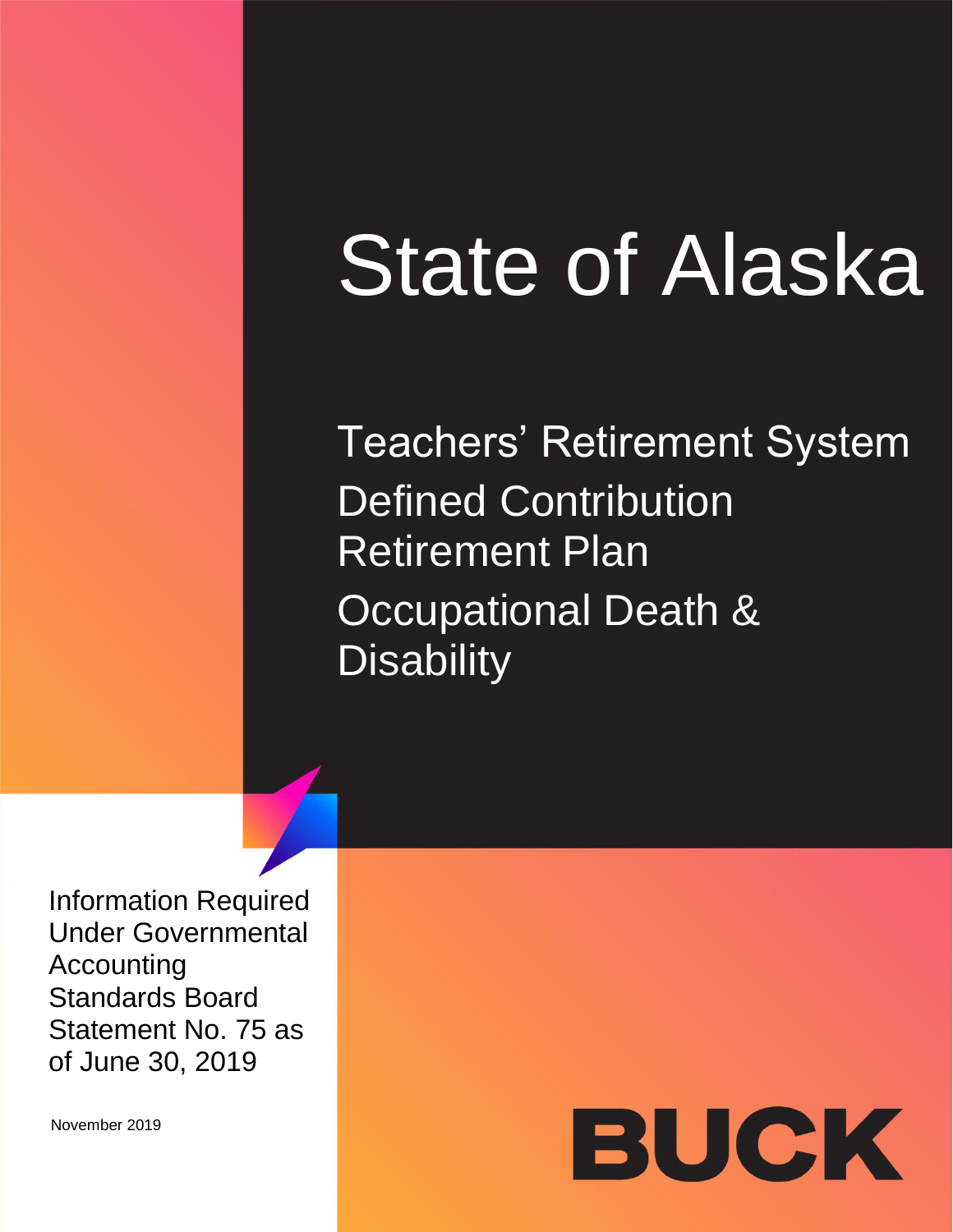# State of Alaska

Teachers' Retirement System **Defined Contribution** Retirement Plan Occupational Death & **Disability** 

Information Required Under Governmental Accounting Standards Board Statement No. 75 as of June 30, 2019

November 2019

# BUCK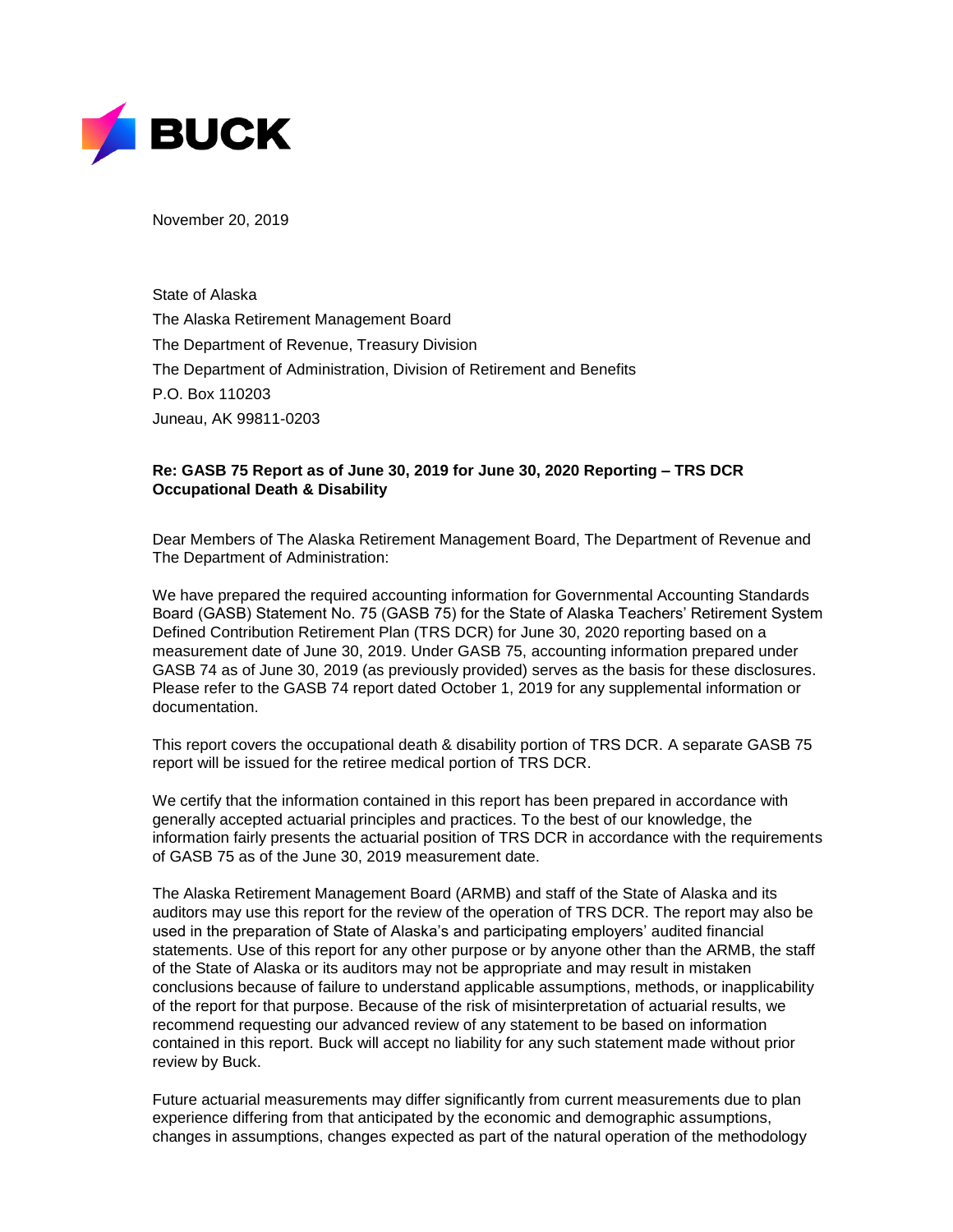

November 20, 2019

State of Alaska The Alaska Retirement Management Board The Department of Revenue, Treasury Division The Department of Administration, Division of Retirement and Benefits P.O. Box 110203 Juneau, AK 99811-0203

## **Re: GASB 75 Report as of June 30, 2019 for June 30, 2020 Reporting – TRS DCR Occupational Death & Disability**

Dear Members of The Alaska Retirement Management Board, The Department of Revenue and The Department of Administration:

We have prepared the required accounting information for Governmental Accounting Standards Board (GASB) Statement No. 75 (GASB 75) for the State of Alaska Teachers' Retirement System Defined Contribution Retirement Plan (TRS DCR) for June 30, 2020 reporting based on a measurement date of June 30, 2019. Under GASB 75, accounting information prepared under GASB 74 as of June 30, 2019 (as previously provided) serves as the basis for these disclosures. Please refer to the GASB 74 report dated October 1, 2019 for any supplemental information or documentation.

This report covers the occupational death & disability portion of TRS DCR. A separate GASB 75 report will be issued for the retiree medical portion of TRS DCR.

We certify that the information contained in this report has been prepared in accordance with generally accepted actuarial principles and practices. To the best of our knowledge, the information fairly presents the actuarial position of TRS DCR in accordance with the requirements of GASB 75 as of the June 30, 2019 measurement date.

The Alaska Retirement Management Board (ARMB) and staff of the State of Alaska and its auditors may use this report for the review of the operation of TRS DCR. The report may also be used in the preparation of State of Alaska's and participating employers' audited financial statements. Use of this report for any other purpose or by anyone other than the ARMB, the staff of the State of Alaska or its auditors may not be appropriate and may result in mistaken conclusions because of failure to understand applicable assumptions, methods, or inapplicability of the report for that purpose. Because of the risk of misinterpretation of actuarial results, we recommend requesting our advanced review of any statement to be based on information contained in this report. Buck will accept no liability for any such statement made without prior review by Buck.

Future actuarial measurements may differ significantly from current measurements due to plan experience differing from that anticipated by the economic and demographic assumptions, changes in assumptions, changes expected as part of the natural operation of the methodology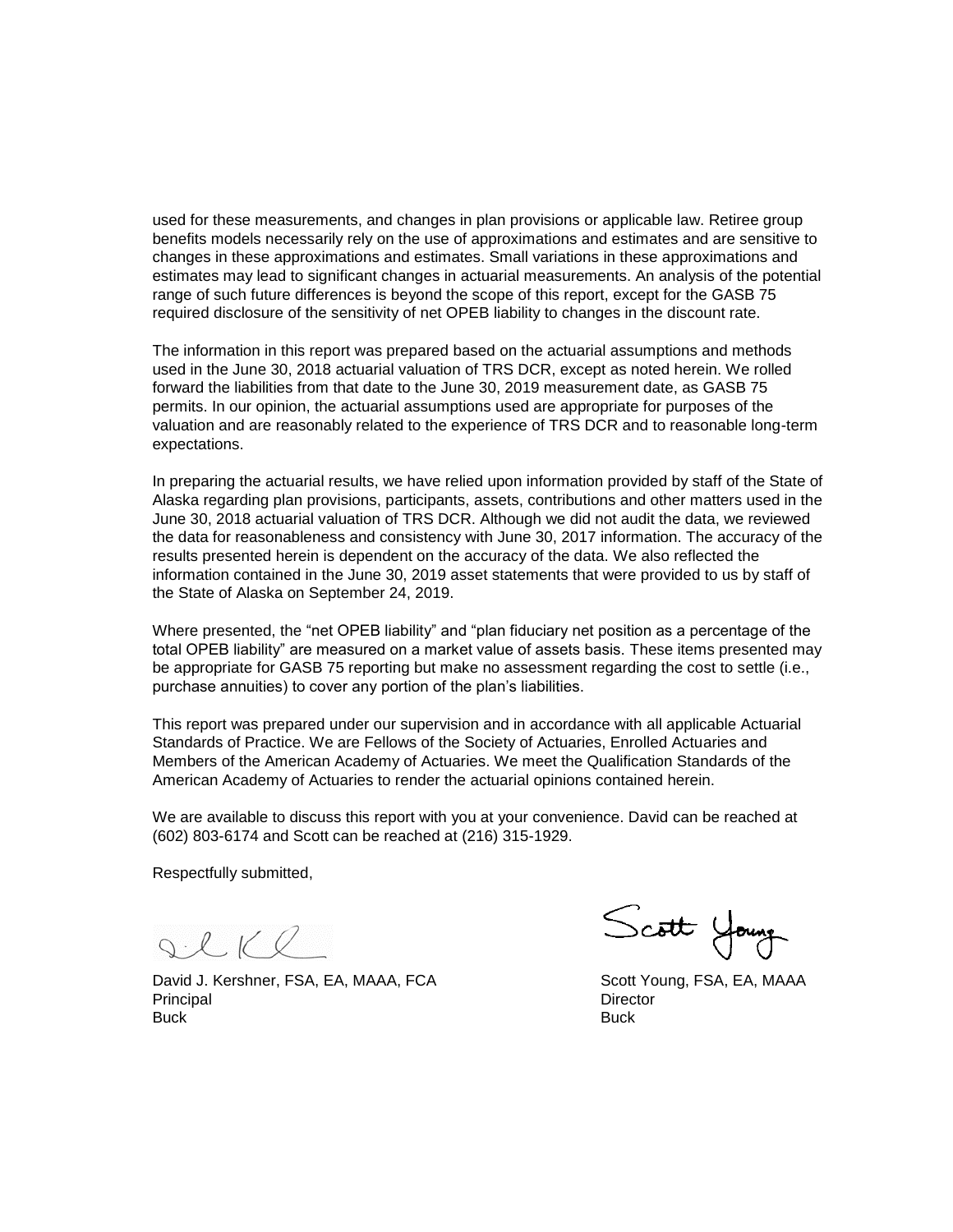used for these measurements, and changes in plan provisions or applicable law. Retiree group benefits models necessarily rely on the use of approximations and estimates and are sensitive to changes in these approximations and estimates. Small variations in these approximations and estimates may lead to significant changes in actuarial measurements. An analysis of the potential range of such future differences is beyond the scope of this report, except for the GASB 75 required disclosure of the sensitivity of net OPEB liability to changes in the discount rate.

The information in this report was prepared based on the actuarial assumptions and methods used in the June 30, 2018 actuarial valuation of TRS DCR, except as noted herein. We rolled forward the liabilities from that date to the June 30, 2019 measurement date, as GASB 75 permits. In our opinion, the actuarial assumptions used are appropriate for purposes of the valuation and are reasonably related to the experience of TRS DCR and to reasonable long-term expectations.

In preparing the actuarial results, we have relied upon information provided by staff of the State of Alaska regarding plan provisions, participants, assets, contributions and other matters used in the June 30, 2018 actuarial valuation of TRS DCR. Although we did not audit the data, we reviewed the data for reasonableness and consistency with June 30, 2017 information. The accuracy of the results presented herein is dependent on the accuracy of the data. We also reflected the information contained in the June 30, 2019 asset statements that were provided to us by staff of the State of Alaska on September 24, 2019.

Where presented, the "net OPEB liability" and "plan fiduciary net position as a percentage of the total OPEB liability" are measured on a market value of assets basis. These items presented may be appropriate for GASB 75 reporting but make no assessment regarding the cost to settle (i.e., purchase annuities) to cover any portion of the plan's liabilities.

This report was prepared under our supervision and in accordance with all applicable Actuarial Standards of Practice. We are Fellows of the Society of Actuaries, Enrolled Actuaries and Members of the American Academy of Actuaries. We meet the Qualification Standards of the American Academy of Actuaries to render the actuarial opinions contained herein.

We are available to discuss this report with you at your convenience. David can be reached at (602) 803-6174 and Scott can be reached at (216) 315-1929.

Respectfully submitted,

 $Q. L K Q$ 

David J. Kershner, FSA, EA, MAAA, FCA Scott Young, FSA, EA, MAAA Principal Director Buck Buck

Scott Young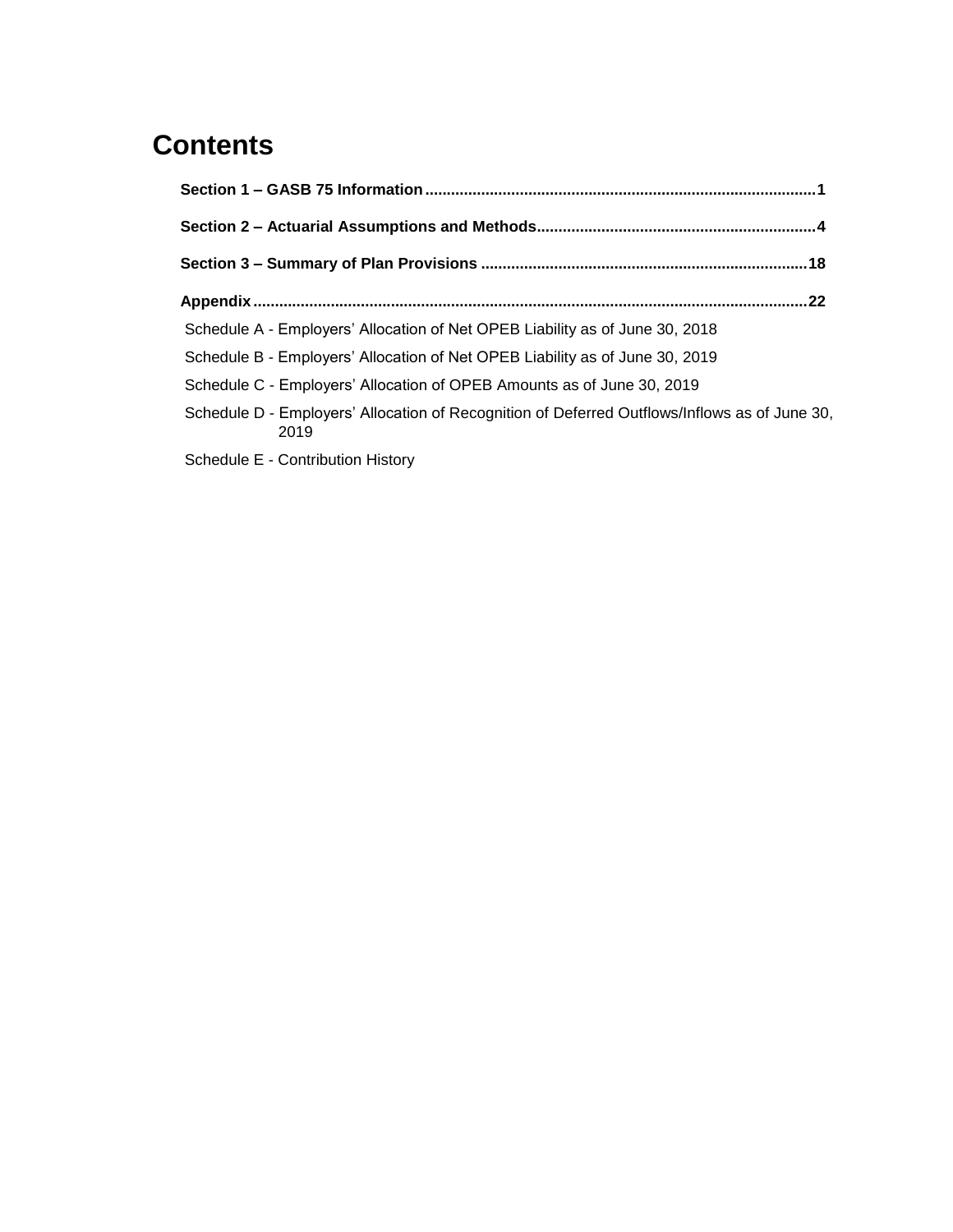# **Contents**

| .22                                                                                                   |  |
|-------------------------------------------------------------------------------------------------------|--|
| Schedule A - Employers' Allocation of Net OPEB Liability as of June 30, 2018                          |  |
| Schedule B - Employers' Allocation of Net OPEB Liability as of June 30, 2019                          |  |
| Schedule C - Employers' Allocation of OPEB Amounts as of June 30, 2019                                |  |
| Schedule D - Employers' Allocation of Recognition of Deferred Outflows/Inflows as of June 30,<br>2019 |  |
| Schedule E - Contribution History                                                                     |  |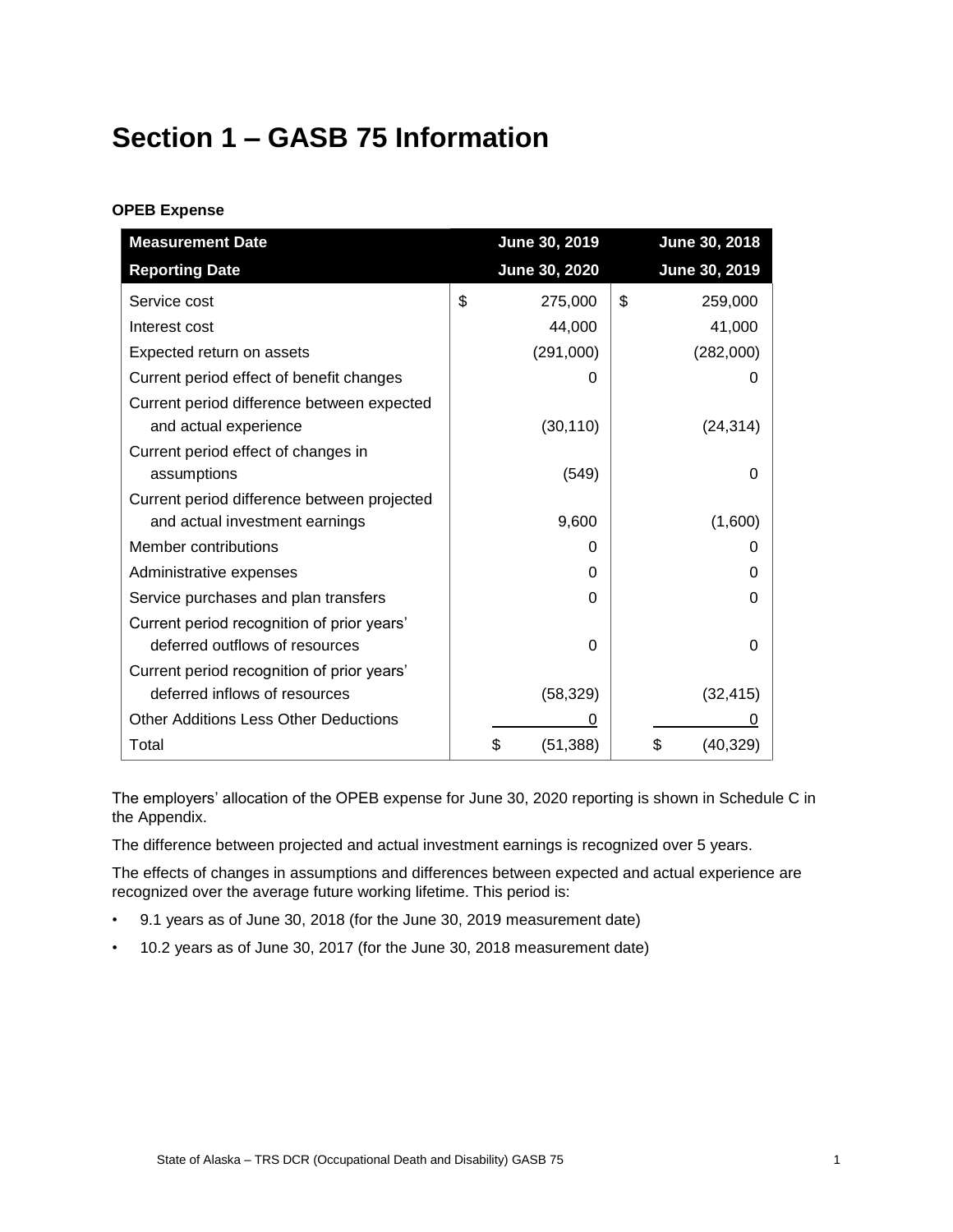# <span id="page-4-0"></span>**Section 1 – GASB 75 Information**

## **OPEB Expense**

| <b>Measurement Date</b>                      | June 30, 2019   | June 30, 2018   |
|----------------------------------------------|-----------------|-----------------|
| <b>Reporting Date</b>                        | June 30, 2020   | June 30, 2019   |
| Service cost                                 | \$<br>275,000   | \$<br>259,000   |
| Interest cost                                | 44,000          | 41,000          |
| Expected return on assets                    | (291,000)       | (282,000)       |
| Current period effect of benefit changes     | 0               |                 |
| Current period difference between expected   |                 |                 |
| and actual experience                        | (30, 110)       | (24, 314)       |
| Current period effect of changes in          |                 |                 |
| assumptions                                  | (549)           | Ω               |
| Current period difference between projected  |                 |                 |
| and actual investment earnings               | 9,600           | (1,600)         |
| Member contributions                         | O               | O               |
| Administrative expenses                      | 0               | O               |
| Service purchases and plan transfers         | 0               | 0               |
| Current period recognition of prior years'   |                 |                 |
| deferred outflows of resources               | 0               | 0               |
| Current period recognition of prior years'   |                 |                 |
| deferred inflows of resources                | (58, 329)       | (32, 415)       |
| <b>Other Additions Less Other Deductions</b> | O               |                 |
| Total                                        | (51, 388)<br>\$ | \$<br>(40, 329) |

The employers' allocation of the OPEB expense for June 30, 2020 reporting is shown in Schedule C in the Appendix.

The difference between projected and actual investment earnings is recognized over 5 years.

The effects of changes in assumptions and differences between expected and actual experience are recognized over the average future working lifetime. This period is:

- 9.1 years as of June 30, 2018 (for the June 30, 2019 measurement date)
- 10.2 years as of June 30, 2017 (for the June 30, 2018 measurement date)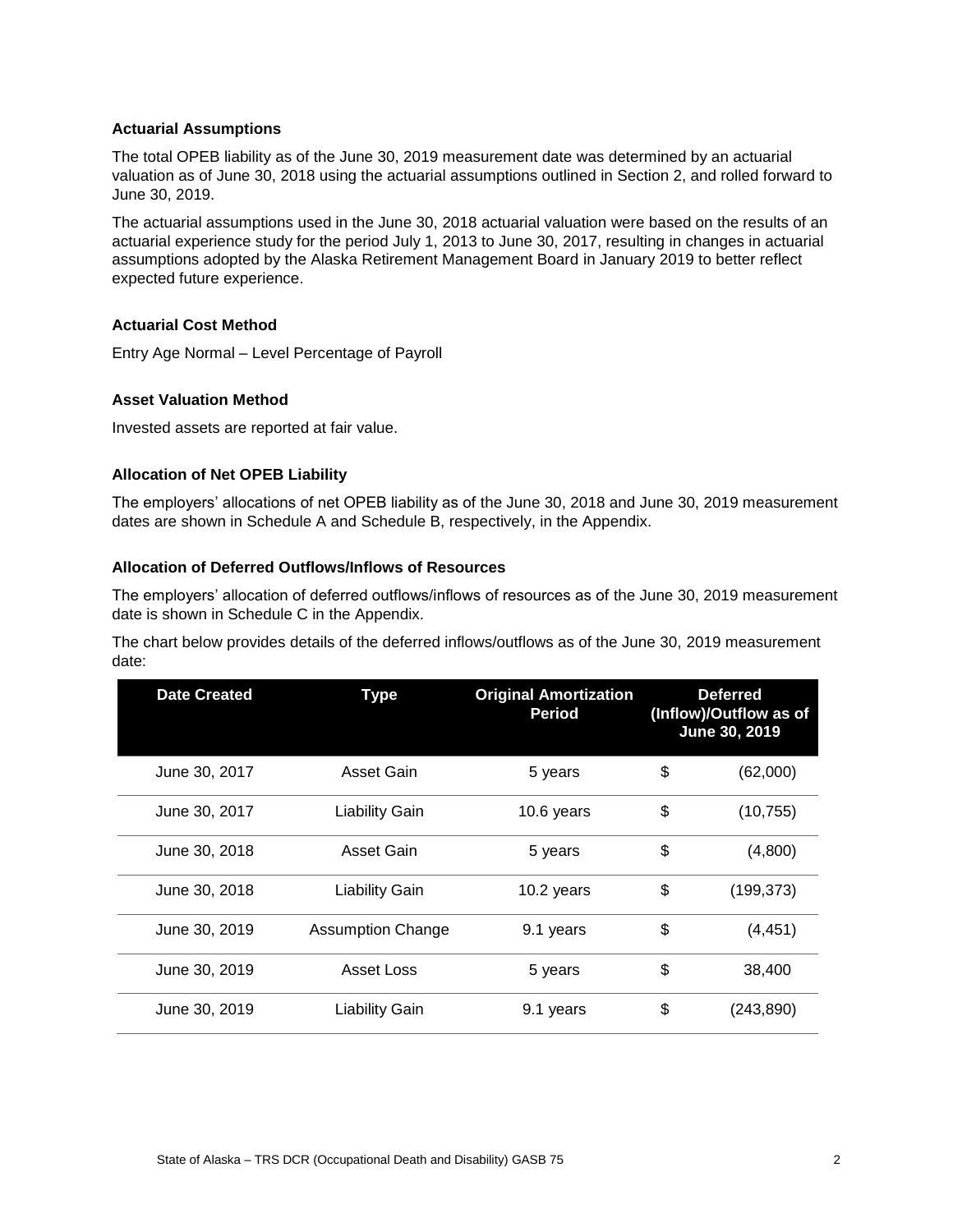#### **Actuarial Assumptions**

The total OPEB liability as of the June 30, 2019 measurement date was determined by an actuarial valuation as of June 30, 2018 using the actuarial assumptions outlined in Section 2, and rolled forward to June 30, 2019.

The actuarial assumptions used in the June 30, 2018 actuarial valuation were based on the results of an actuarial experience study for the period July 1, 2013 to June 30, 2017, resulting in changes in actuarial assumptions adopted by the Alaska Retirement Management Board in January 2019 to better reflect expected future experience.

#### **Actuarial Cost Method**

Entry Age Normal – Level Percentage of Payroll

#### **Asset Valuation Method**

Invested assets are reported at fair value.

#### **Allocation of Net OPEB Liability**

The employers' allocations of net OPEB liability as of the June 30, 2018 and June 30, 2019 measurement dates are shown in Schedule A and Schedule B, respectively, in the Appendix.

#### **Allocation of Deferred Outflows/Inflows of Resources**

The employers' allocation of deferred outflows/inflows of resources as of the June 30, 2019 measurement date is shown in Schedule C in the Appendix.

The chart below provides details of the deferred inflows/outflows as of the June 30, 2019 measurement date:

| <b>Date Created</b> | <b>Type</b>              | <b>Original Amortization</b><br>Period | <b>Deferred</b><br>(Inflow)/Outflow as of<br>June 30, 2019 |
|---------------------|--------------------------|----------------------------------------|------------------------------------------------------------|
| June 30, 2017       | Asset Gain               | 5 years                                | \$<br>(62,000)                                             |
| June 30, 2017       | <b>Liability Gain</b>    | 10.6 years                             | \$<br>(10, 755)                                            |
| June 30, 2018       | Asset Gain               | 5 years                                | \$<br>(4,800)                                              |
| June 30, 2018       | <b>Liability Gain</b>    | 10.2 years                             | \$<br>(199, 373)                                           |
| June 30, 2019       | <b>Assumption Change</b> | 9.1 years                              | \$<br>(4, 451)                                             |
| June 30, 2019       | Asset Loss               | 5 years                                | \$<br>38,400                                               |
| June 30, 2019       | <b>Liability Gain</b>    | 9.1 years                              | \$<br>(243, 890)                                           |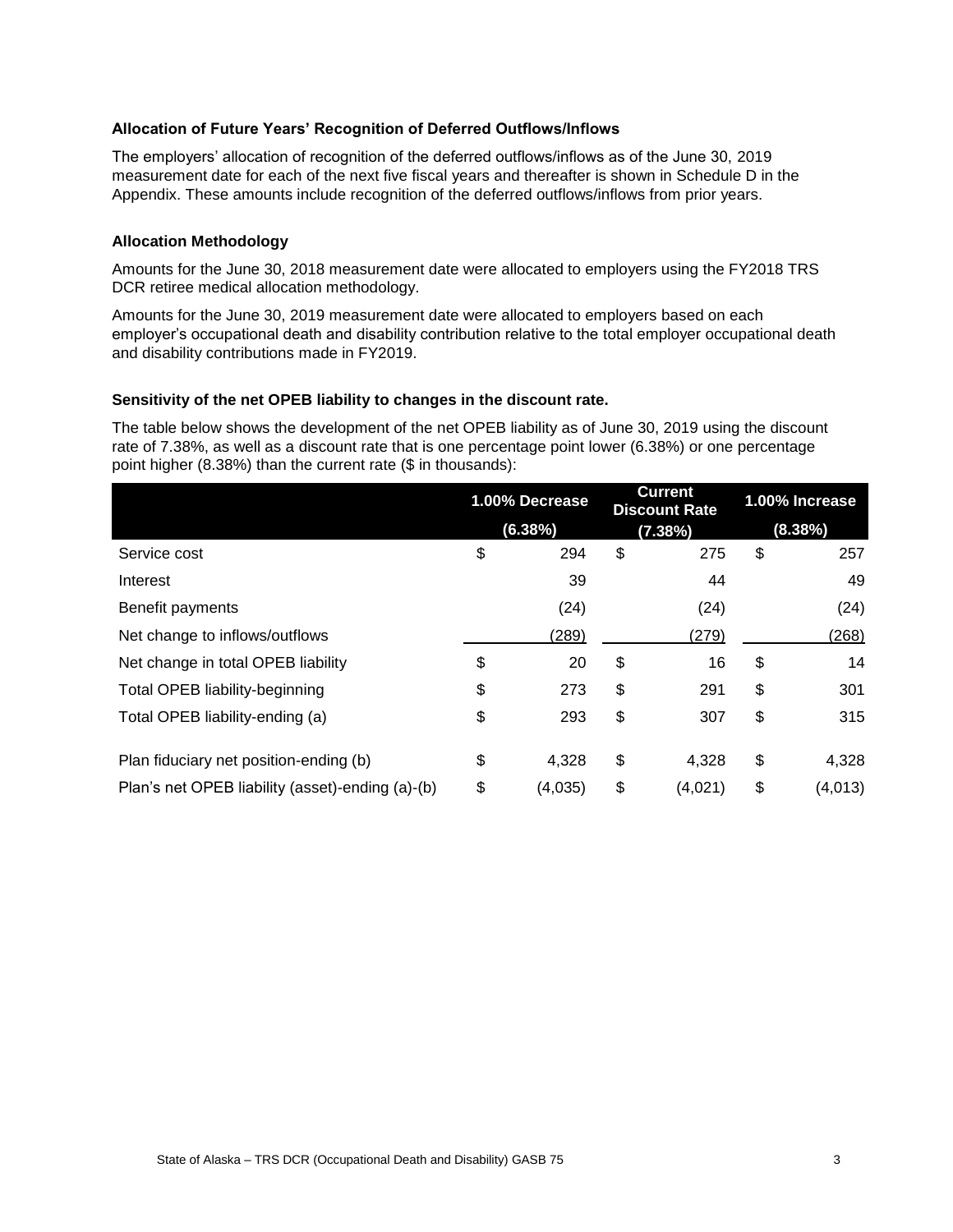#### **Allocation of Future Years' Recognition of Deferred Outflows/Inflows**

The employers' allocation of recognition of the deferred outflows/inflows as of the June 30, 2019 measurement date for each of the next five fiscal years and thereafter is shown in Schedule D in the Appendix. These amounts include recognition of the deferred outflows/inflows from prior years.

#### **Allocation Methodology**

Amounts for the June 30, 2018 measurement date were allocated to employers using the FY2018 TRS DCR retiree medical allocation methodology.

Amounts for the June 30, 2019 measurement date were allocated to employers based on each employer's occupational death and disability contribution relative to the total employer occupational death and disability contributions made in FY2019.

#### **Sensitivity of the net OPEB liability to changes in the discount rate.**

The table below shows the development of the net OPEB liability as of June 30, 2019 using the discount rate of 7.38%, as well as a discount rate that is one percentage point lower (6.38%) or one percentage point higher (8.38%) than the current rate (\$ in thousands):

|                                                  | 1.00% Decrease |         | <b>Current</b><br><b>Discount Rate</b> |    | 1.00% Increase |  |
|--------------------------------------------------|----------------|---------|----------------------------------------|----|----------------|--|
|                                                  |                | (6.38%) | (7.38%)                                |    | (8.38%)        |  |
| Service cost                                     | \$             | 294     | \$<br>275                              | \$ | 257            |  |
| Interest                                         |                | 39      | 44                                     |    | 49             |  |
| Benefit payments                                 |                | (24)    | (24)                                   |    | (24)           |  |
| Net change to inflows/outflows                   |                | (289)   | (279)                                  |    | (268)          |  |
| Net change in total OPEB liability               | \$             | 20      | \$<br>16                               | \$ | 14             |  |
| <b>Total OPEB liability-beginning</b>            | \$             | 273     | \$<br>291                              | \$ | 301            |  |
| Total OPEB liability-ending (a)                  | \$             | 293     | \$<br>307                              | \$ | 315            |  |
| Plan fiduciary net position-ending (b)           | \$             | 4,328   | \$<br>4,328                            | \$ | 4,328          |  |
| Plan's net OPEB liability (asset)-ending (a)-(b) | \$             | (4,035) | \$<br>(4,021)                          | \$ | (4,013)        |  |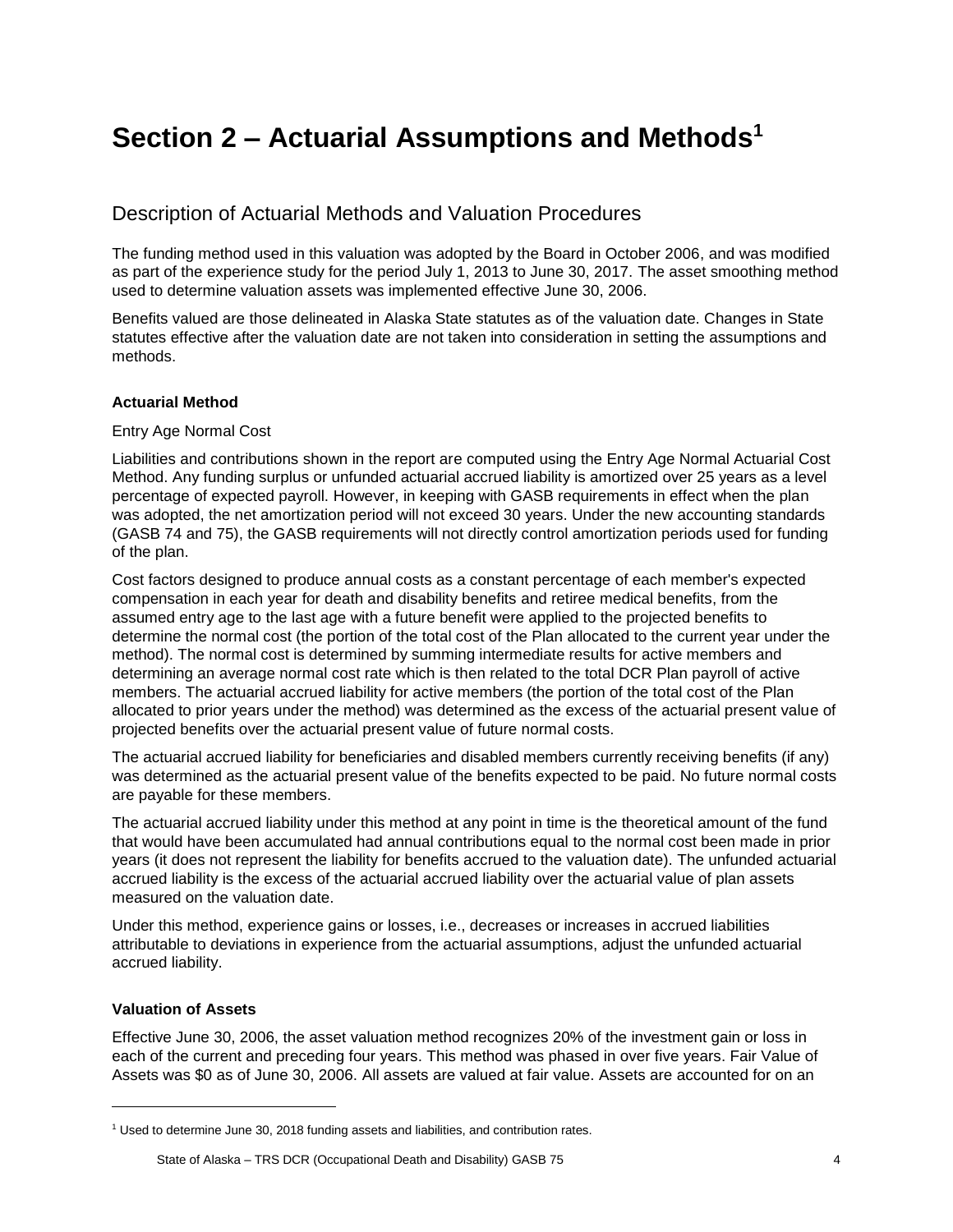# <span id="page-7-0"></span>**Section 2 – Actuarial Assumptions and Methods<sup>1</sup>**

# Description of Actuarial Methods and Valuation Procedures

The funding method used in this valuation was adopted by the Board in October 2006, and was modified as part of the experience study for the period July 1, 2013 to June 30, 2017. The asset smoothing method used to determine valuation assets was implemented effective June 30, 2006.

Benefits valued are those delineated in Alaska State statutes as of the valuation date. Changes in State statutes effective after the valuation date are not taken into consideration in setting the assumptions and methods.

#### **Actuarial Method**

#### Entry Age Normal Cost

Liabilities and contributions shown in the report are computed using the Entry Age Normal Actuarial Cost Method. Any funding surplus or unfunded actuarial accrued liability is amortized over 25 years as a level percentage of expected payroll. However, in keeping with GASB requirements in effect when the plan was adopted, the net amortization period will not exceed 30 years. Under the new accounting standards (GASB 74 and 75), the GASB requirements will not directly control amortization periods used for funding of the plan.

Cost factors designed to produce annual costs as a constant percentage of each member's expected compensation in each year for death and disability benefits and retiree medical benefits, from the assumed entry age to the last age with a future benefit were applied to the projected benefits to determine the normal cost (the portion of the total cost of the Plan allocated to the current year under the method). The normal cost is determined by summing intermediate results for active members and determining an average normal cost rate which is then related to the total DCR Plan payroll of active members. The actuarial accrued liability for active members (the portion of the total cost of the Plan allocated to prior years under the method) was determined as the excess of the actuarial present value of projected benefits over the actuarial present value of future normal costs.

The actuarial accrued liability for beneficiaries and disabled members currently receiving benefits (if any) was determined as the actuarial present value of the benefits expected to be paid. No future normal costs are payable for these members.

The actuarial accrued liability under this method at any point in time is the theoretical amount of the fund that would have been accumulated had annual contributions equal to the normal cost been made in prior years (it does not represent the liability for benefits accrued to the valuation date). The unfunded actuarial accrued liability is the excess of the actuarial accrued liability over the actuarial value of plan assets measured on the valuation date.

Under this method, experience gains or losses, i.e., decreases or increases in accrued liabilities attributable to deviations in experience from the actuarial assumptions, adjust the unfunded actuarial accrued liability.

#### **Valuation of Assets**

l

Effective June 30, 2006, the asset valuation method recognizes 20% of the investment gain or loss in each of the current and preceding four years. This method was phased in over five years. Fair Value of Assets was \$0 as of June 30, 2006. All assets are valued at fair value. Assets are accounted for on an

<sup>&</sup>lt;sup>1</sup> Used to determine June 30, 2018 funding assets and liabilities, and contribution rates.

State of Alaska – TRS DCR (Occupational Death and Disability) GASB 75 4 4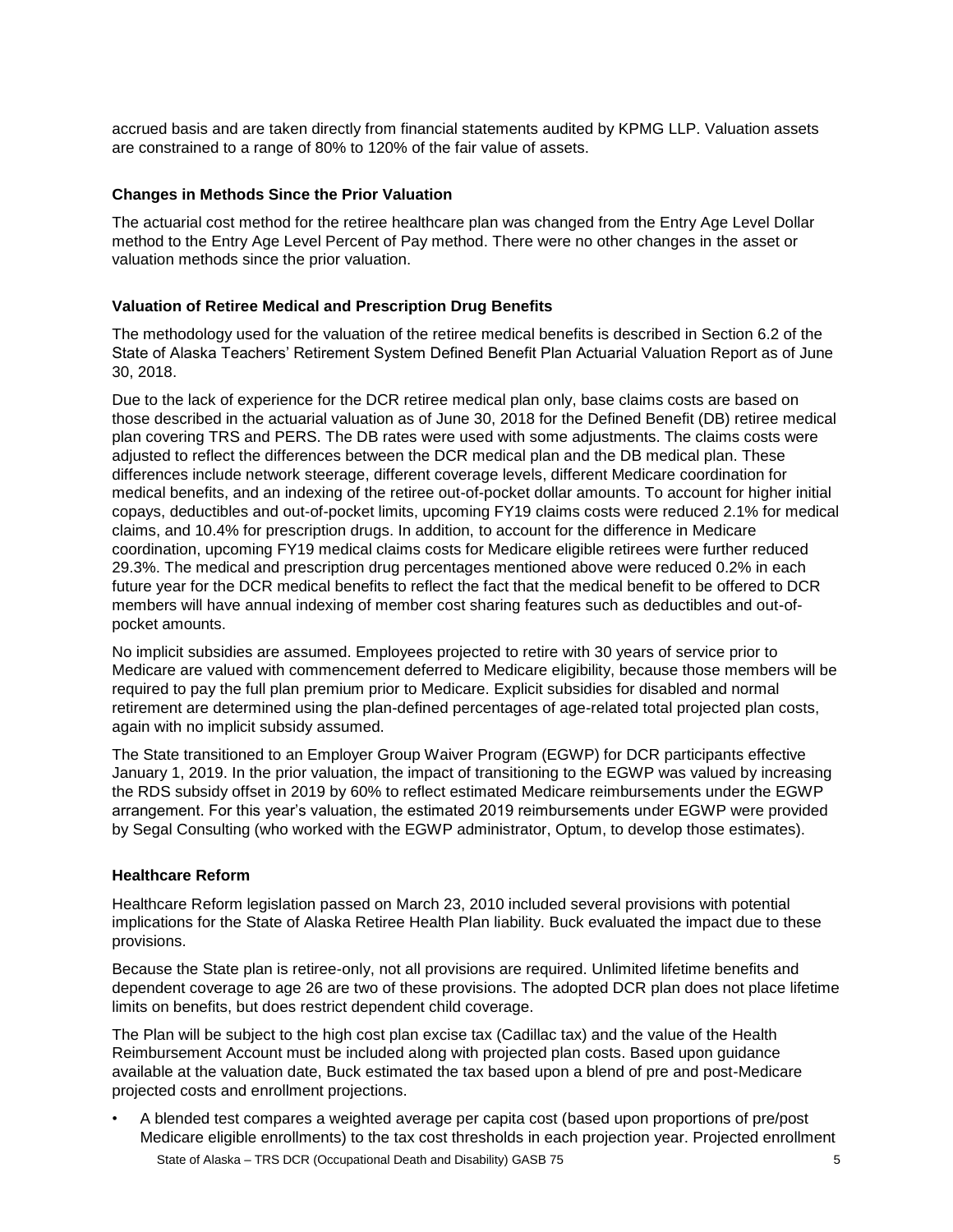accrued basis and are taken directly from financial statements audited by KPMG LLP. Valuation assets are constrained to a range of 80% to 120% of the fair value of assets.

#### **Changes in Methods Since the Prior Valuation**

The actuarial cost method for the retiree healthcare plan was changed from the Entry Age Level Dollar method to the Entry Age Level Percent of Pay method. There were no other changes in the asset or valuation methods since the prior valuation.

#### **Valuation of Retiree Medical and Prescription Drug Benefits**

The methodology used for the valuation of the retiree medical benefits is described in Section 6.2 of the State of Alaska Teachers' Retirement System Defined Benefit Plan Actuarial Valuation Report as of June 30, 2018.

Due to the lack of experience for the DCR retiree medical plan only, base claims costs are based on those described in the actuarial valuation as of June 30, 2018 for the Defined Benefit (DB) retiree medical plan covering TRS and PERS. The DB rates were used with some adjustments. The claims costs were adjusted to reflect the differences between the DCR medical plan and the DB medical plan. These differences include network steerage, different coverage levels, different Medicare coordination for medical benefits, and an indexing of the retiree out-of-pocket dollar amounts. To account for higher initial copays, deductibles and out-of-pocket limits, upcoming FY19 claims costs were reduced 2.1% for medical claims, and 10.4% for prescription drugs. In addition, to account for the difference in Medicare coordination, upcoming FY19 medical claims costs for Medicare eligible retirees were further reduced 29.3%. The medical and prescription drug percentages mentioned above were reduced 0.2% in each future year for the DCR medical benefits to reflect the fact that the medical benefit to be offered to DCR members will have annual indexing of member cost sharing features such as deductibles and out-ofpocket amounts.

No implicit subsidies are assumed. Employees projected to retire with 30 years of service prior to Medicare are valued with commencement deferred to Medicare eligibility, because those members will be required to pay the full plan premium prior to Medicare. Explicit subsidies for disabled and normal retirement are determined using the plan-defined percentages of age-related total projected plan costs, again with no implicit subsidy assumed.

The State transitioned to an Employer Group Waiver Program (EGWP) for DCR participants effective January 1, 2019. In the prior valuation, the impact of transitioning to the EGWP was valued by increasing the RDS subsidy offset in 2019 by 60% to reflect estimated Medicare reimbursements under the EGWP arrangement. For this year's valuation, the estimated 2019 reimbursements under EGWP were provided by Segal Consulting (who worked with the EGWP administrator, Optum, to develop those estimates).

#### **Healthcare Reform**

Healthcare Reform legislation passed on March 23, 2010 included several provisions with potential implications for the State of Alaska Retiree Health Plan liability. Buck evaluated the impact due to these provisions.

Because the State plan is retiree-only, not all provisions are required. Unlimited lifetime benefits and dependent coverage to age 26 are two of these provisions. The adopted DCR plan does not place lifetime limits on benefits, but does restrict dependent child coverage.

The Plan will be subject to the high cost plan excise tax (Cadillac tax) and the value of the Health Reimbursement Account must be included along with projected plan costs. Based upon guidance available at the valuation date, Buck estimated the tax based upon a blend of pre and post-Medicare projected costs and enrollment projections.

• A blended test compares a weighted average per capita cost (based upon proportions of pre/post Medicare eligible enrollments) to the tax cost thresholds in each projection year. Projected enrollment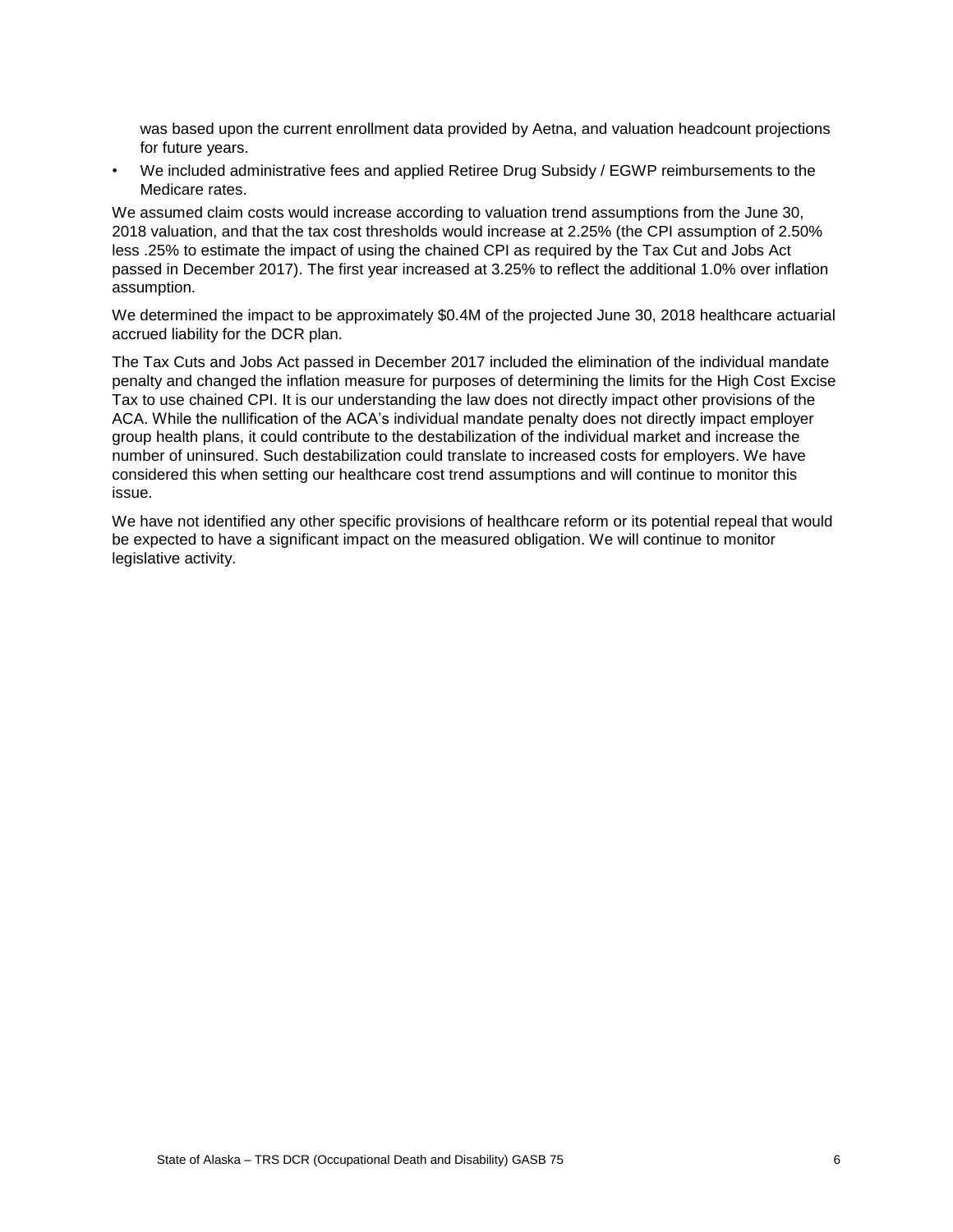was based upon the current enrollment data provided by Aetna, and valuation headcount projections for future years.

• We included administrative fees and applied Retiree Drug Subsidy / EGWP reimbursements to the Medicare rates.

We assumed claim costs would increase according to valuation trend assumptions from the June 30, 2018 valuation, and that the tax cost thresholds would increase at 2.25% (the CPI assumption of 2.50% less .25% to estimate the impact of using the chained CPI as required by the Tax Cut and Jobs Act passed in December 2017). The first year increased at 3.25% to reflect the additional 1.0% over inflation assumption.

We determined the impact to be approximately \$0.4M of the projected June 30, 2018 healthcare actuarial accrued liability for the DCR plan.

The Tax Cuts and Jobs Act passed in December 2017 included the elimination of the individual mandate penalty and changed the inflation measure for purposes of determining the limits for the High Cost Excise Tax to use chained CPI. It is our understanding the law does not directly impact other provisions of the ACA. While the nullification of the ACA's individual mandate penalty does not directly impact employer group health plans, it could contribute to the destabilization of the individual market and increase the number of uninsured. Such destabilization could translate to increased costs for employers. We have considered this when setting our healthcare cost trend assumptions and will continue to monitor this issue.

We have not identified any other specific provisions of healthcare reform or its potential repeal that would be expected to have a significant impact on the measured obligation. We will continue to monitor legislative activity.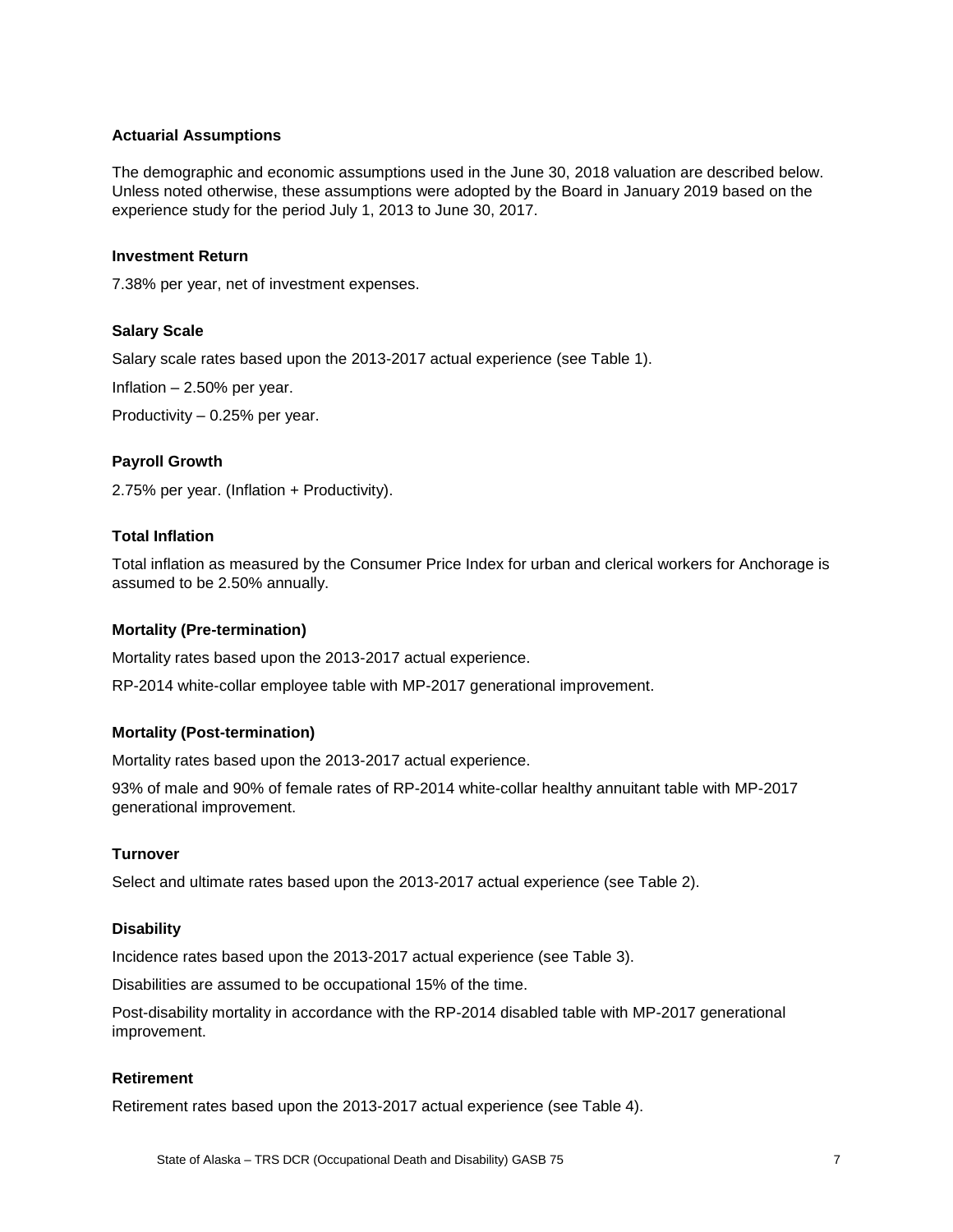#### **Actuarial Assumptions**

The demographic and economic assumptions used in the June 30, 2018 valuation are described below. Unless noted otherwise, these assumptions were adopted by the Board in January 2019 based on the experience study for the period July 1, 2013 to June 30, 2017.

#### **Investment Return**

7.38% per year, net of investment expenses.

#### **Salary Scale**

Salary scale rates based upon the 2013-2017 actual experience (see Table 1).

Inflation – 2.50% per year.

Productivity – 0.25% per year.

#### **Payroll Growth**

2.75% per year. (Inflation + Productivity).

## **Total Inflation**

Total inflation as measured by the Consumer Price Index for urban and clerical workers for Anchorage is assumed to be 2.50% annually.

#### **Mortality (Pre-termination)**

Mortality rates based upon the 2013-2017 actual experience.

RP-2014 white-collar employee table with MP-2017 generational improvement.

#### **Mortality (Post-termination)**

Mortality rates based upon the 2013-2017 actual experience.

93% of male and 90% of female rates of RP-2014 white-collar healthy annuitant table with MP-2017 generational improvement.

#### **Turnover**

Select and ultimate rates based upon the 2013-2017 actual experience (see Table 2).

#### **Disability**

Incidence rates based upon the 2013-2017 actual experience (see Table 3).

Disabilities are assumed to be occupational 15% of the time.

Post-disability mortality in accordance with the RP-2014 disabled table with MP-2017 generational improvement.

#### **Retirement**

Retirement rates based upon the 2013-2017 actual experience (see Table 4).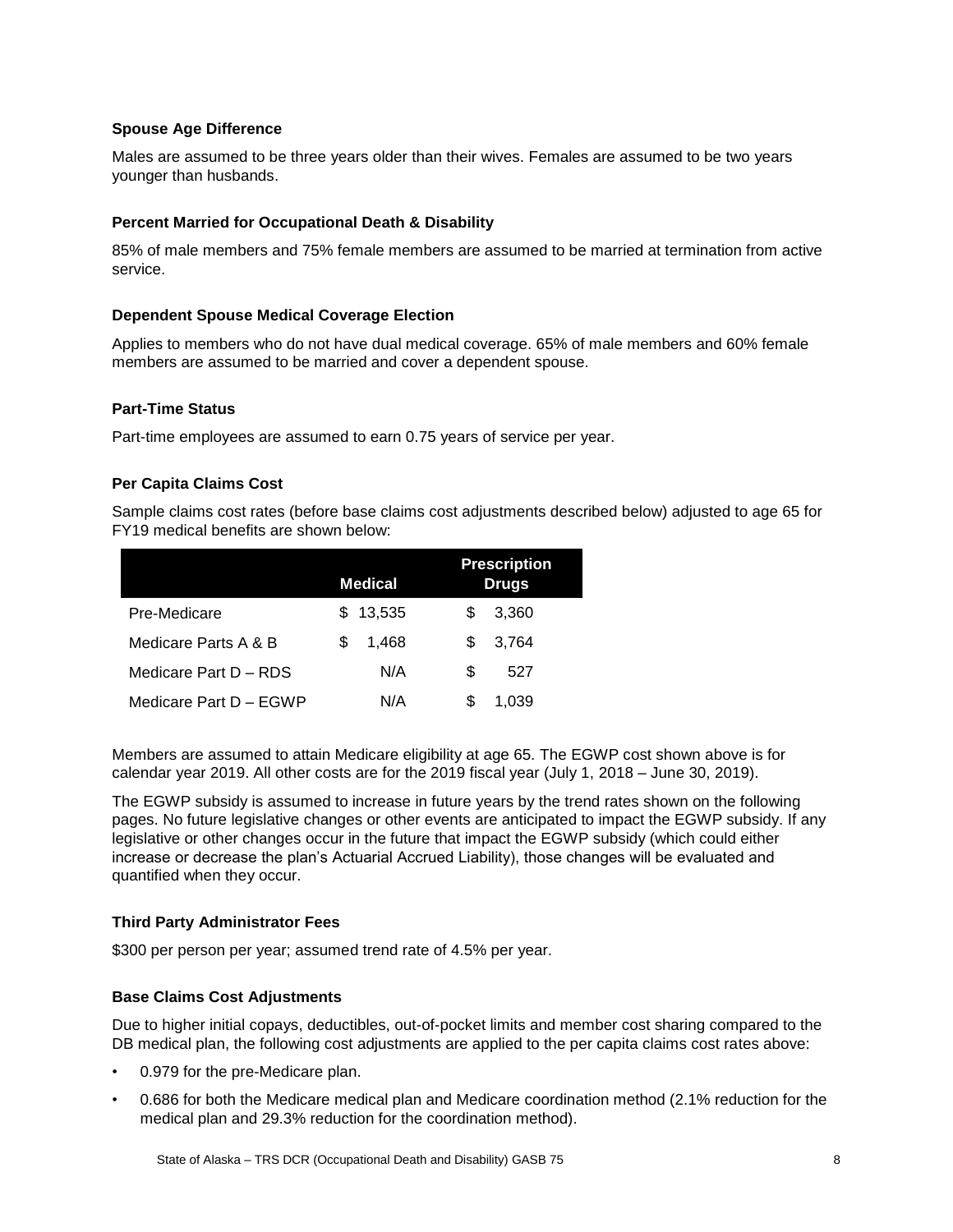#### **Spouse Age Difference**

Males are assumed to be three years older than their wives. Females are assumed to be two years younger than husbands.

#### **Percent Married for Occupational Death & Disability**

85% of male members and 75% female members are assumed to be married at termination from active service.

#### **Dependent Spouse Medical Coverage Election**

Applies to members who do not have dual medical coverage. 65% of male members and 60% female members are assumed to be married and cover a dependent spouse.

#### **Part-Time Status**

Part-time employees are assumed to earn 0.75 years of service per year.

#### **Per Capita Claims Cost**

Sample claims cost rates (before base claims cost adjustments described below) adjusted to age 65 for FY19 medical benefits are shown below:

|                        | <b>Medical</b> | <b>Prescription</b><br><b>Drugs</b> |
|------------------------|----------------|-------------------------------------|
| Pre-Medicare           | 13,535<br>S    | 3,360<br>S                          |
| Medicare Parts A & B   | 1.468<br>S     | 3.764<br>S                          |
| Medicare Part D - RDS  | N/A            | S<br>527                            |
| Medicare Part D - EGWP | N/A            | S<br>1,039                          |

Members are assumed to attain Medicare eligibility at age 65. The EGWP cost shown above is for calendar year 2019. All other costs are for the 2019 fiscal year (July 1, 2018 – June 30, 2019).

The EGWP subsidy is assumed to increase in future years by the trend rates shown on the following pages. No future legislative changes or other events are anticipated to impact the EGWP subsidy. If any legislative or other changes occur in the future that impact the EGWP subsidy (which could either increase or decrease the plan's Actuarial Accrued Liability), those changes will be evaluated and quantified when they occur.

#### **Third Party Administrator Fees**

\$300 per person per year; assumed trend rate of 4.5% per year.

#### **Base Claims Cost Adjustments**

Due to higher initial copays, deductibles, out-of-pocket limits and member cost sharing compared to the DB medical plan, the following cost adjustments are applied to the per capita claims cost rates above:

- 0.979 for the pre-Medicare plan.
- 0.686 for both the Medicare medical plan and Medicare coordination method (2.1% reduction for the medical plan and 29.3% reduction for the coordination method).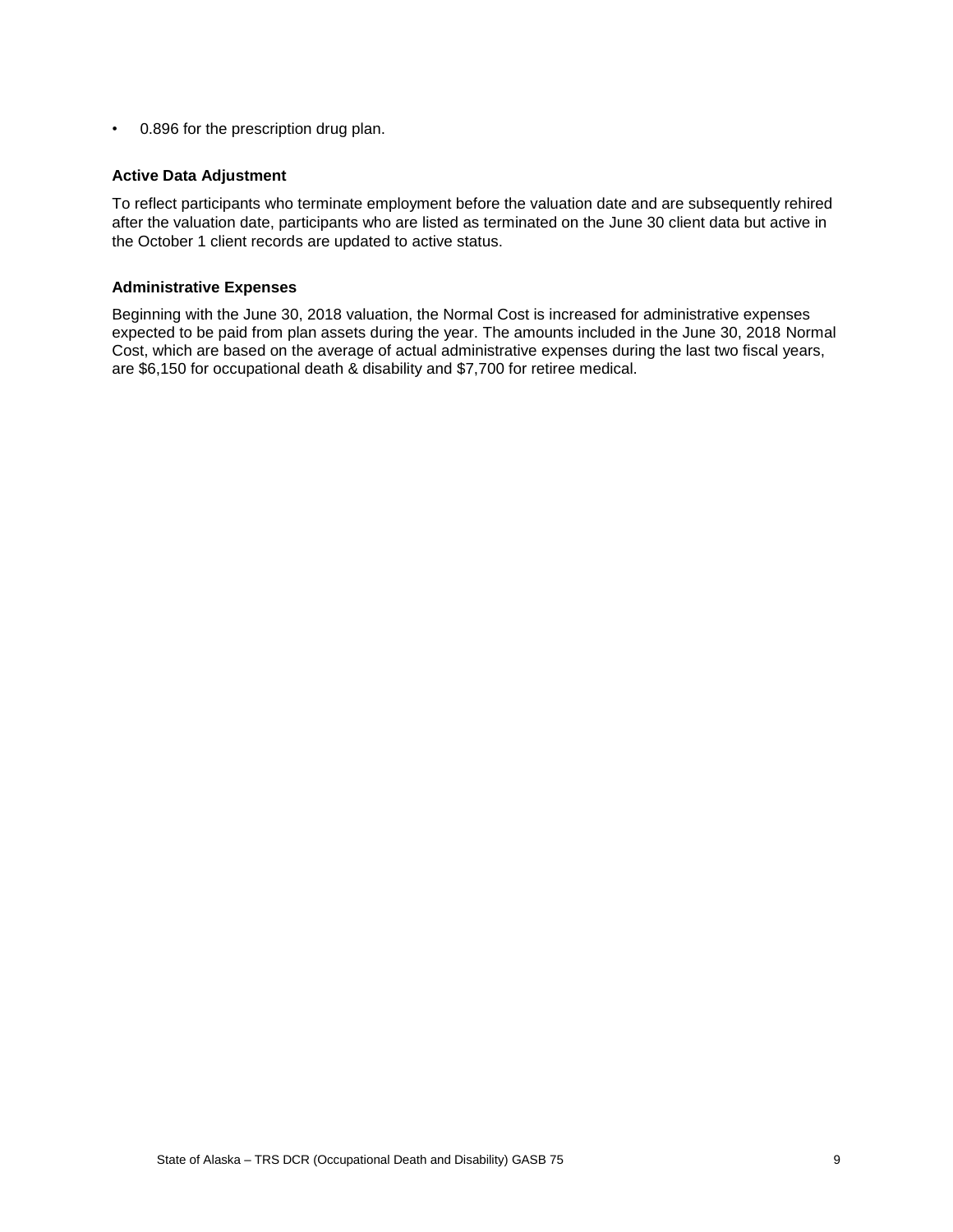• 0.896 for the prescription drug plan.

#### **Active Data Adjustment**

To reflect participants who terminate employment before the valuation date and are subsequently rehired after the valuation date, participants who are listed as terminated on the June 30 client data but active in the October 1 client records are updated to active status.

#### **Administrative Expenses**

Beginning with the June 30, 2018 valuation, the Normal Cost is increased for administrative expenses expected to be paid from plan assets during the year. The amounts included in the June 30, 2018 Normal Cost, which are based on the average of actual administrative expenses during the last two fiscal years, are \$6,150 for occupational death & disability and \$7,700 for retiree medical.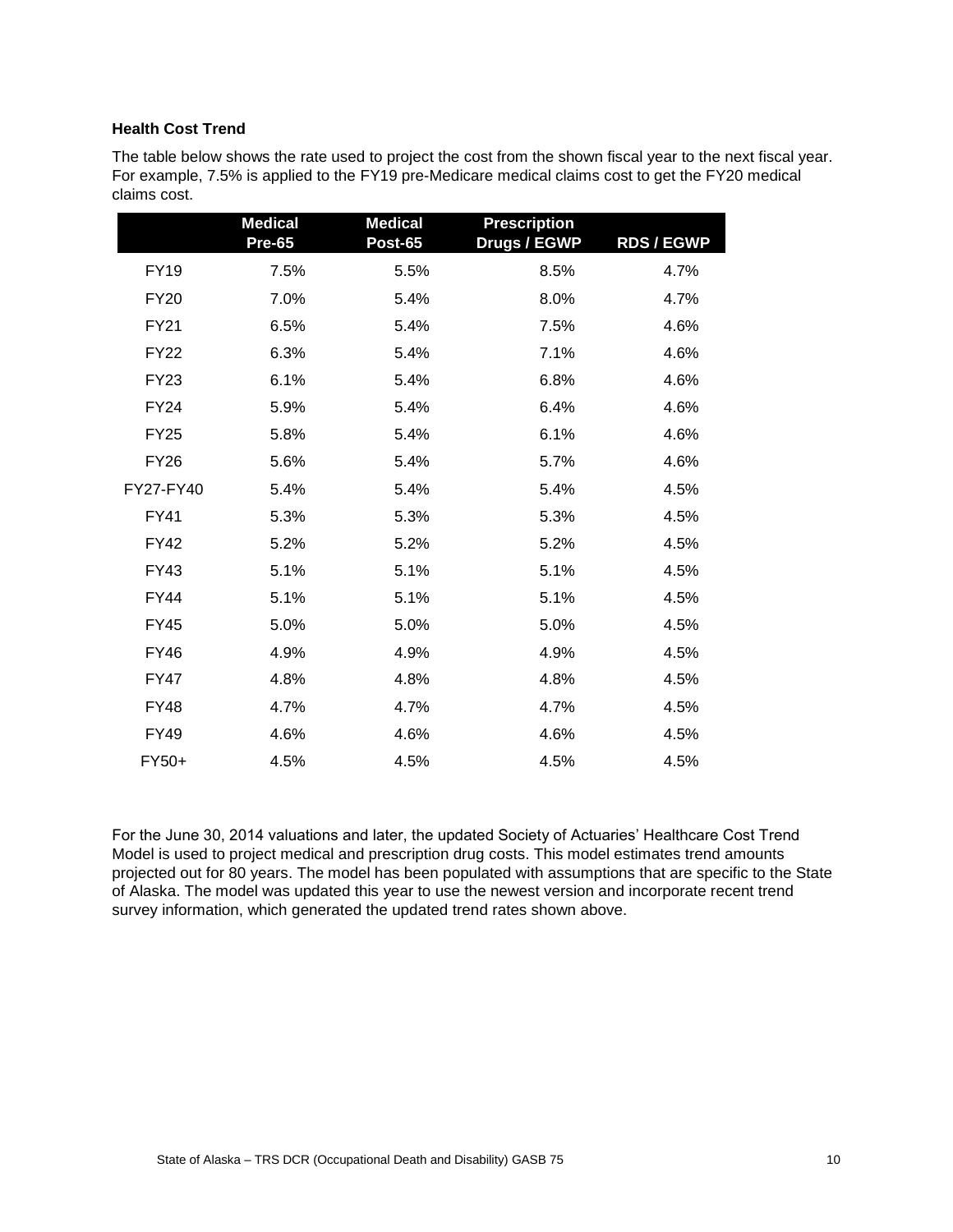#### **Health Cost Trend**

The table below shows the rate used to project the cost from the shown fiscal year to the next fiscal year. For example, 7.5% is applied to the FY19 pre-Medicare medical claims cost to get the FY20 medical claims cost.

|             | <b>Medical</b><br><b>Pre-65</b> | <b>Medical</b><br><b>Post-65</b> | <b>Prescription</b><br><b>Drugs / EGWP</b> | <b>RDS / EGWP</b> |
|-------------|---------------------------------|----------------------------------|--------------------------------------------|-------------------|
| <b>FY19</b> | 7.5%                            | 5.5%                             | 8.5%                                       | 4.7%              |
| <b>FY20</b> | 7.0%                            | 5.4%                             | 8.0%                                       | 4.7%              |
| <b>FY21</b> | 6.5%                            | 5.4%                             | 7.5%                                       | 4.6%              |
| <b>FY22</b> | 6.3%                            | 5.4%                             | 7.1%                                       | 4.6%              |
| <b>FY23</b> | 6.1%                            | 5.4%                             | 6.8%                                       | 4.6%              |
| <b>FY24</b> | 5.9%                            | 5.4%                             | 6.4%                                       | 4.6%              |
| <b>FY25</b> | 5.8%                            | 5.4%                             | 6.1%                                       | 4.6%              |
| <b>FY26</b> | 5.6%                            | 5.4%                             | 5.7%                                       | 4.6%              |
| FY27-FY40   | 5.4%                            | 5.4%                             | 5.4%                                       | 4.5%              |
| <b>FY41</b> | 5.3%                            | 5.3%                             | 5.3%                                       | 4.5%              |
| <b>FY42</b> | 5.2%                            | 5.2%                             | 5.2%                                       | 4.5%              |
| <b>FY43</b> | 5.1%                            | 5.1%                             | 5.1%                                       | 4.5%              |
| <b>FY44</b> | 5.1%                            | 5.1%                             | 5.1%                                       | 4.5%              |
| <b>FY45</b> | 5.0%                            | 5.0%                             | 5.0%                                       | 4.5%              |
| <b>FY46</b> | 4.9%                            | 4.9%                             | 4.9%                                       | 4.5%              |
| <b>FY47</b> | 4.8%                            | 4.8%                             | 4.8%                                       | 4.5%              |
| <b>FY48</b> | 4.7%                            | 4.7%                             | 4.7%                                       | 4.5%              |
| FY49        | 4.6%                            | 4.6%                             | 4.6%                                       | 4.5%              |
| FY50+       | 4.5%                            | 4.5%                             | 4.5%                                       | 4.5%              |

For the June 30, 2014 valuations and later, the updated Society of Actuaries' Healthcare Cost Trend Model is used to project medical and prescription drug costs. This model estimates trend amounts projected out for 80 years. The model has been populated with assumptions that are specific to the State of Alaska. The model was updated this year to use the newest version and incorporate recent trend survey information, which generated the updated trend rates shown above.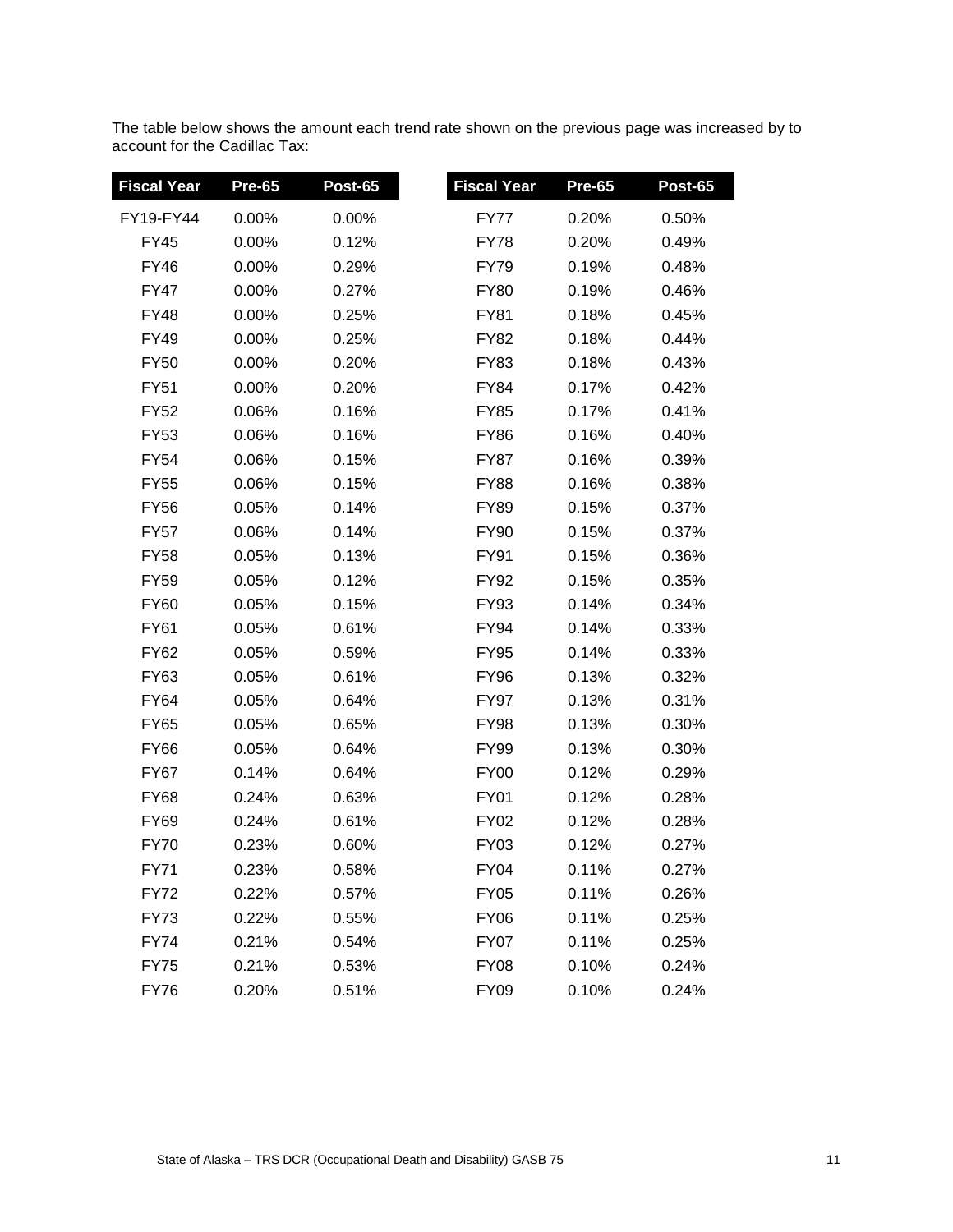The table below shows the amount each trend rate shown on the previous page was increased by to account for the Cadillac Tax:

I

| Fiscal Year | <b>Pre-65</b> | <b>Post-65</b> | <b>Fiscal Year</b> | <b>Pre-65</b> | <b>Post-65</b> |
|-------------|---------------|----------------|--------------------|---------------|----------------|
| FY19-FY44   | 0.00%         | 0.00%          | <b>FY77</b>        | 0.20%         | 0.50%          |
| <b>FY45</b> | 0.00%         | 0.12%          | FY78               | 0.20%         | 0.49%          |
| <b>FY46</b> | $0.00\%$      | 0.29%          | <b>FY79</b>        | 0.19%         | 0.48%          |
| <b>FY47</b> | 0.00%         | 0.27%          | <b>FY80</b>        | 0.19%         | 0.46%          |
| <b>FY48</b> | 0.00%         | 0.25%          | FY81               | 0.18%         | 0.45%          |
| <b>FY49</b> | $0.00\%$      | 0.25%          | FY82               | 0.18%         | 0.44%          |
| <b>FY50</b> | 0.00%         | 0.20%          | FY83               | 0.18%         | 0.43%          |
| <b>FY51</b> | 0.00%         | 0.20%          | FY84               | 0.17%         | 0.42%          |
| <b>FY52</b> | 0.06%         | 0.16%          | <b>FY85</b>        | 0.17%         | 0.41%          |
| <b>FY53</b> | 0.06%         | 0.16%          | <b>FY86</b>        | 0.16%         | 0.40%          |
| <b>FY54</b> | 0.06%         | 0.15%          | FY87               | 0.16%         | 0.39%          |
| <b>FY55</b> | 0.06%         | 0.15%          | <b>FY88</b>        | 0.16%         | 0.38%          |
| <b>FY56</b> | 0.05%         | 0.14%          | <b>FY89</b>        | 0.15%         | 0.37%          |
| <b>FY57</b> | 0.06%         | 0.14%          | FY90               | 0.15%         | 0.37%          |
| <b>FY58</b> | 0.05%         | 0.13%          | FY91               | 0.15%         | 0.36%          |
| <b>FY59</b> | 0.05%         | 0.12%          | FY92               | 0.15%         | 0.35%          |
| <b>FY60</b> | 0.05%         | 0.15%          | <b>FY93</b>        | 0.14%         | 0.34%          |
| <b>FY61</b> | 0.05%         | 0.61%          | <b>FY94</b>        | 0.14%         | 0.33%          |
| <b>FY62</b> | 0.05%         | 0.59%          | FY95               | 0.14%         | 0.33%          |
| <b>FY63</b> | 0.05%         | 0.61%          | <b>FY96</b>        | 0.13%         | 0.32%          |
| <b>FY64</b> | 0.05%         | 0.64%          | <b>FY97</b>        | 0.13%         | 0.31%          |
| <b>FY65</b> | 0.05%         | 0.65%          | <b>FY98</b>        | 0.13%         | 0.30%          |
| <b>FY66</b> | 0.05%         | 0.64%          | FY99               | 0.13%         | 0.30%          |
| <b>FY67</b> | 0.14%         | 0.64%          | <b>FY00</b>        | 0.12%         | 0.29%          |
| <b>FY68</b> | 0.24%         | 0.63%          | <b>FY01</b>        | 0.12%         | 0.28%          |
| <b>FY69</b> | 0.24%         | 0.61%          | FY02               | 0.12%         | 0.28%          |
| <b>FY70</b> | 0.23%         | 0.60%          | <b>FY03</b>        | 0.12%         | 0.27%          |
| <b>FY71</b> | 0.23%         | 0.58%          | <b>FY04</b>        | 0.11%         | 0.27%          |
| <b>FY72</b> | 0.22%         | 0.57%          | <b>FY05</b>        | 0.11%         | 0.26%          |
| <b>FY73</b> | 0.22%         | 0.55%          | <b>FY06</b>        | 0.11%         | 0.25%          |
| <b>FY74</b> | 0.21%         | 0.54%          | FY07               | 0.11%         | 0.25%          |
| <b>FY75</b> | 0.21%         | 0.53%          | <b>FY08</b>        | 0.10%         | 0.24%          |
| <b>FY76</b> | 0.20%         | 0.51%          | <b>FY09</b>        | 0.10%         | 0.24%          |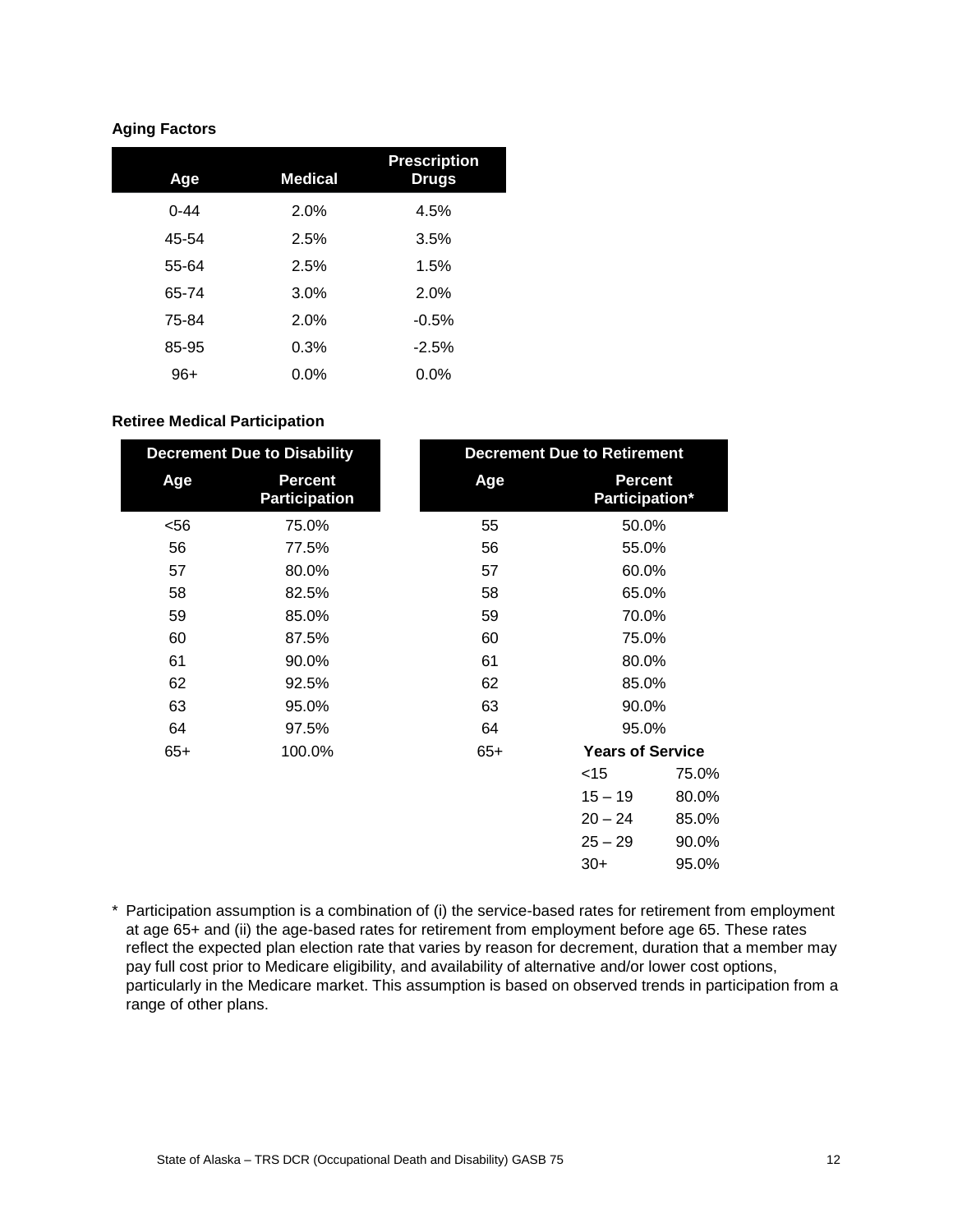## **Aging Factors**

| Age      | <b>Medical</b> | <b>Prescription</b><br><b>Drugs</b> |
|----------|----------------|-------------------------------------|
| $0 - 44$ | 2.0%           | 4.5%                                |
| 45-54    | 2.5%           | 3.5%                                |
| 55-64    | 2.5%           | 1.5%                                |
| 65-74    | 3.0%           | 2.0%                                |
| 75-84    | 2.0%           | $-0.5%$                             |
| 85-95    | 0.3%           | $-2.5%$                             |
| $96+$    | $0.0\%$        | $0.0\%$                             |

#### **Retiree Medical Participation**

|       | <b>Decrement Due to Disability</b>     | <b>Decrement Due to Retirement</b> |                                  |       |
|-------|----------------------------------------|------------------------------------|----------------------------------|-------|
| Age   | <b>Percent</b><br><b>Participation</b> | Age                                | <b>Percent</b><br>Participation* |       |
| $56$  | 75.0%                                  | 55                                 | 50.0%                            |       |
| 56    | 77.5%                                  | 56                                 | 55.0%                            |       |
| 57    | 80.0%                                  | 57                                 | 60.0%                            |       |
| 58    | 82.5%                                  | 58                                 | 65.0%                            |       |
| 59    | 85.0%                                  | 59                                 | 70.0%                            |       |
| 60    | 87.5%                                  | 60                                 | 75.0%                            |       |
| 61    | 90.0%                                  | 61                                 | 80.0%                            |       |
| 62    | 92.5%                                  | 62                                 | 85.0%                            |       |
| 63    | 95.0%                                  | 63                                 | 90.0%                            |       |
| 64    | 97.5%                                  | 64                                 | 95.0%                            |       |
| $65+$ | 100.0%                                 | $65+$                              | <b>Years of Service</b>          |       |
|       |                                        |                                    | $<$ 15                           | 75.0% |
|       |                                        |                                    | $15 - 19$                        | 80.0% |
|       |                                        |                                    | $20 - 24$                        | 85.0% |
|       |                                        |                                    | $25 - 29$                        | 90.0% |
|       |                                        |                                    | $30+$                            | 95.0% |

\* Participation assumption is a combination of (i) the service-based rates for retirement from employment at age 65+ and (ii) the age-based rates for retirement from employment before age 65. These rates reflect the expected plan election rate that varies by reason for decrement, duration that a member may pay full cost prior to Medicare eligibility, and availability of alternative and/or lower cost options, particularly in the Medicare market. This assumption is based on observed trends in participation from a range of other plans.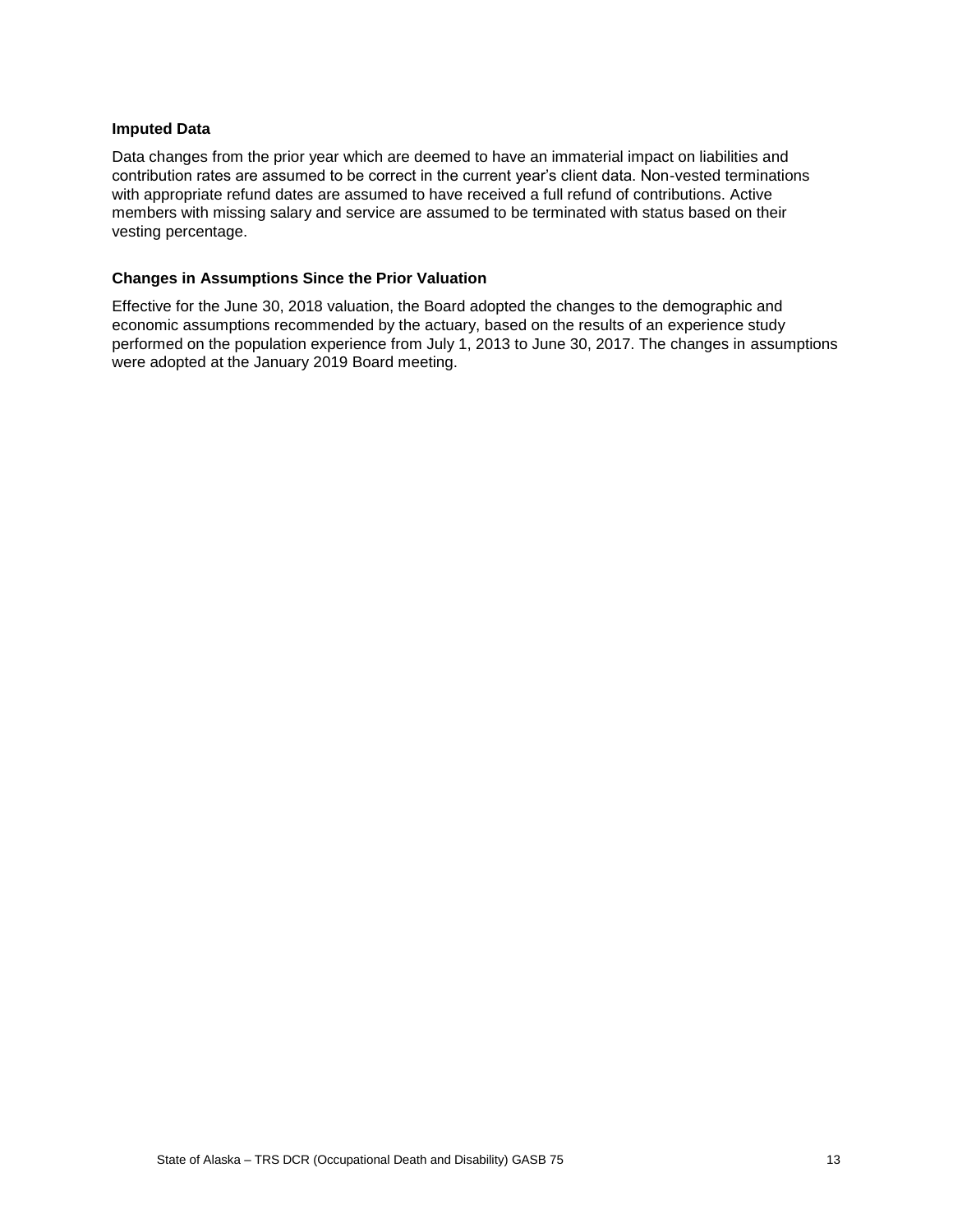#### **Imputed Data**

Data changes from the prior year which are deemed to have an immaterial impact on liabilities and contribution rates are assumed to be correct in the current year's client data. Non-vested terminations with appropriate refund dates are assumed to have received a full refund of contributions. Active members with missing salary and service are assumed to be terminated with status based on their vesting percentage.

#### **Changes in Assumptions Since the Prior Valuation**

Effective for the June 30, 2018 valuation, the Board adopted the changes to the demographic and economic assumptions recommended by the actuary, based on the results of an experience study performed on the population experience from July 1, 2013 to June 30, 2017. The changes in assumptions were adopted at the January 2019 Board meeting.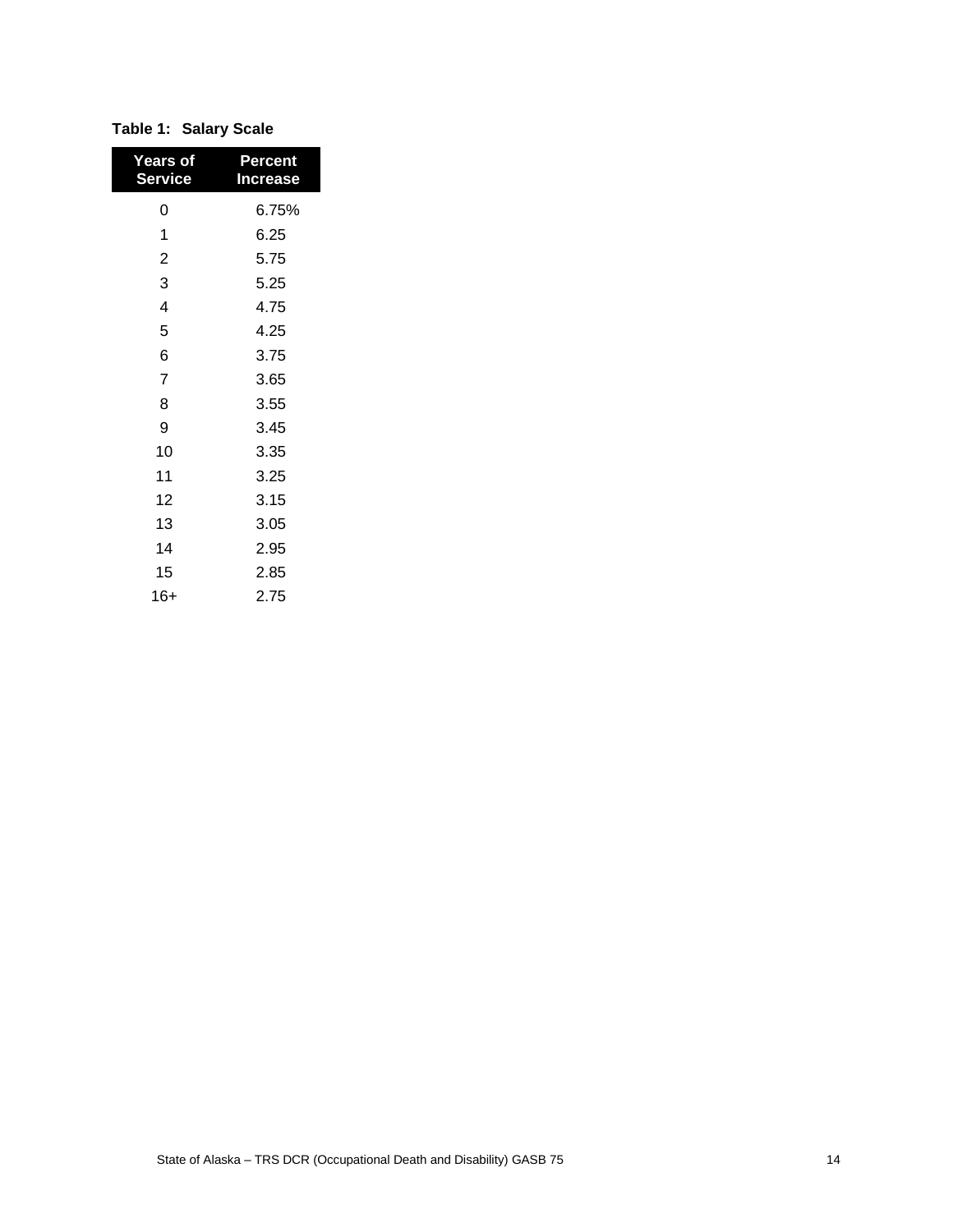| <b>Years of</b><br><b>Service</b> | Percent<br>Increase |
|-----------------------------------|---------------------|
| 0                                 | 6.75%               |
| 1                                 | 6.25                |
| $\overline{2}$                    | 5.75                |
| 3                                 | 5.25                |
| 4                                 | 4.75                |
| 5                                 | 4.25                |
| 6                                 | 3.75                |
| $\overline{7}$                    | 3.65                |
| 8                                 | 3.55                |
| 9                                 | 3.45                |
| 10                                | 3.35                |
| 11                                | 3.25                |
| 12                                | 3.15                |
| 13                                | 3.05                |
| 14                                | 2.95                |
| 15                                | 2.85                |
| 16+                               | 2.75                |

# **Table 1: Salary Scale**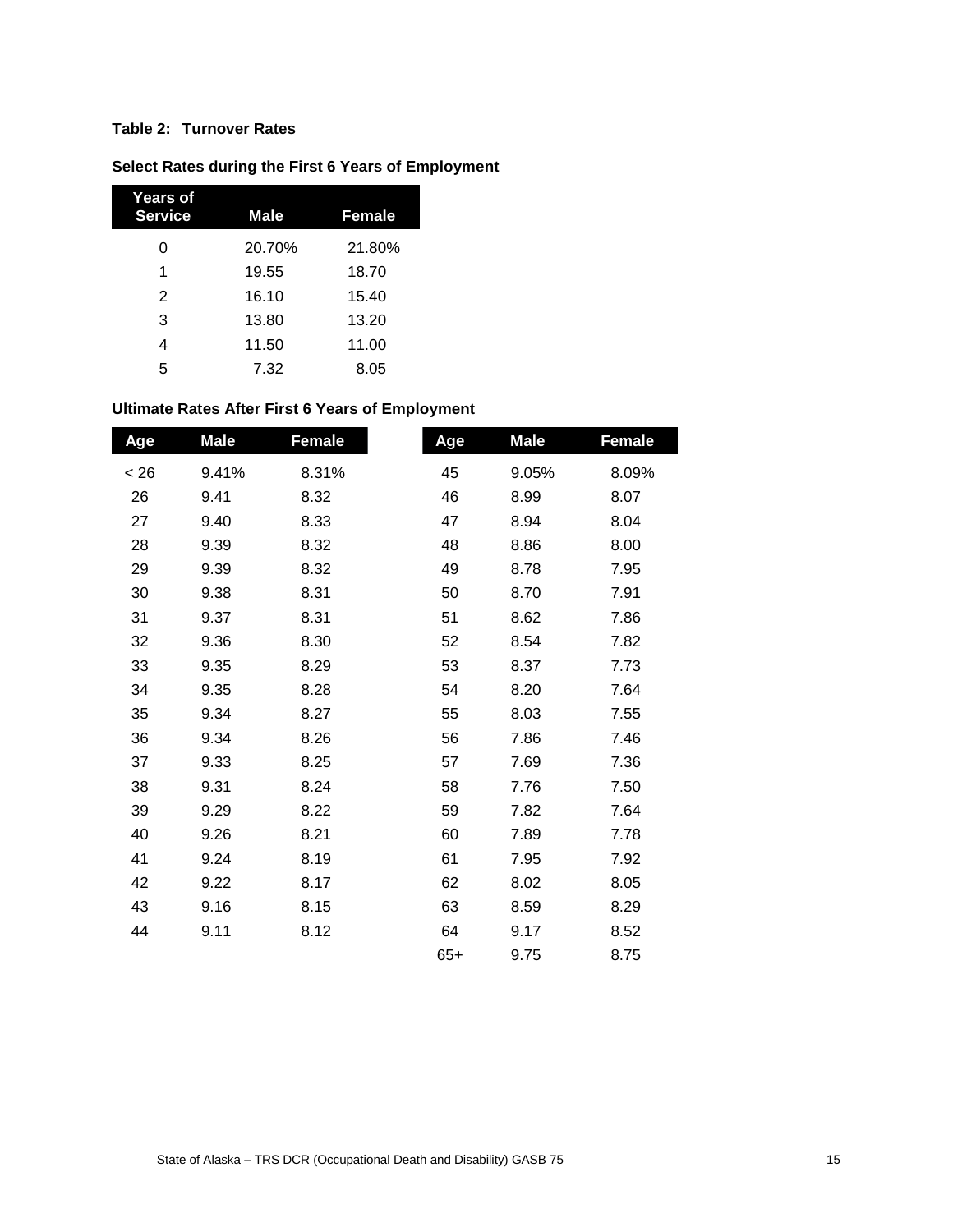# **Table 2: Turnover Rates**

| Years of<br><b>Service</b> | <b>Male</b> | Female |
|----------------------------|-------------|--------|
| 0                          | 20.70%      | 21.80% |
| 1                          | 19.55       | 18.70  |
| 2                          | 16.10       | 15.40  |
| 3                          | 13.80       | 13.20  |
| 4                          | 11.50       | 11.00  |
| 5                          | 7.32        | 8.05   |

# **Select Rates during the First 6 Years of Employment**

# **Ultimate Rates After First 6 Years of Employment**

| Age  | <b>Male</b> | <b>Female</b> | Age   | <b>Male</b> | <b>Female</b> |
|------|-------------|---------------|-------|-------------|---------------|
| < 26 | 9.41%       | 8.31%         | 45    | 9.05%       | 8.09%         |
| 26   | 9.41        | 8.32          | 46    | 8.99        | 8.07          |
| 27   | 9.40        | 8.33          | 47    | 8.94        | 8.04          |
| 28   | 9.39        | 8.32          | 48    | 8.86        | 8.00          |
| 29   | 9.39        | 8.32          | 49    | 8.78        | 7.95          |
| 30   | 9.38        | 8.31          | 50    | 8.70        | 7.91          |
| 31   | 9.37        | 8.31          | 51    | 8.62        | 7.86          |
| 32   | 9.36        | 8.30          | 52    | 8.54        | 7.82          |
| 33   | 9.35        | 8.29          | 53    | 8.37        | 7.73          |
| 34   | 9.35        | 8.28          | 54    | 8.20        | 7.64          |
| 35   | 9.34        | 8.27          | 55    | 8.03        | 7.55          |
| 36   | 9.34        | 8.26          | 56    | 7.86        | 7.46          |
| 37   | 9.33        | 8.25          | 57    | 7.69        | 7.36          |
| 38   | 9.31        | 8.24          | 58    | 7.76        | 7.50          |
| 39   | 9.29        | 8.22          | 59    | 7.82        | 7.64          |
| 40   | 9.26        | 8.21          | 60    | 7.89        | 7.78          |
| 41   | 9.24        | 8.19          | 61    | 7.95        | 7.92          |
| 42   | 9.22        | 8.17          | 62    | 8.02        | 8.05          |
| 43   | 9.16        | 8.15          | 63    | 8.59        | 8.29          |
| 44   | 9.11        | 8.12          | 64    | 9.17        | 8.52          |
|      |             |               | $65+$ | 9.75        | 8.75          |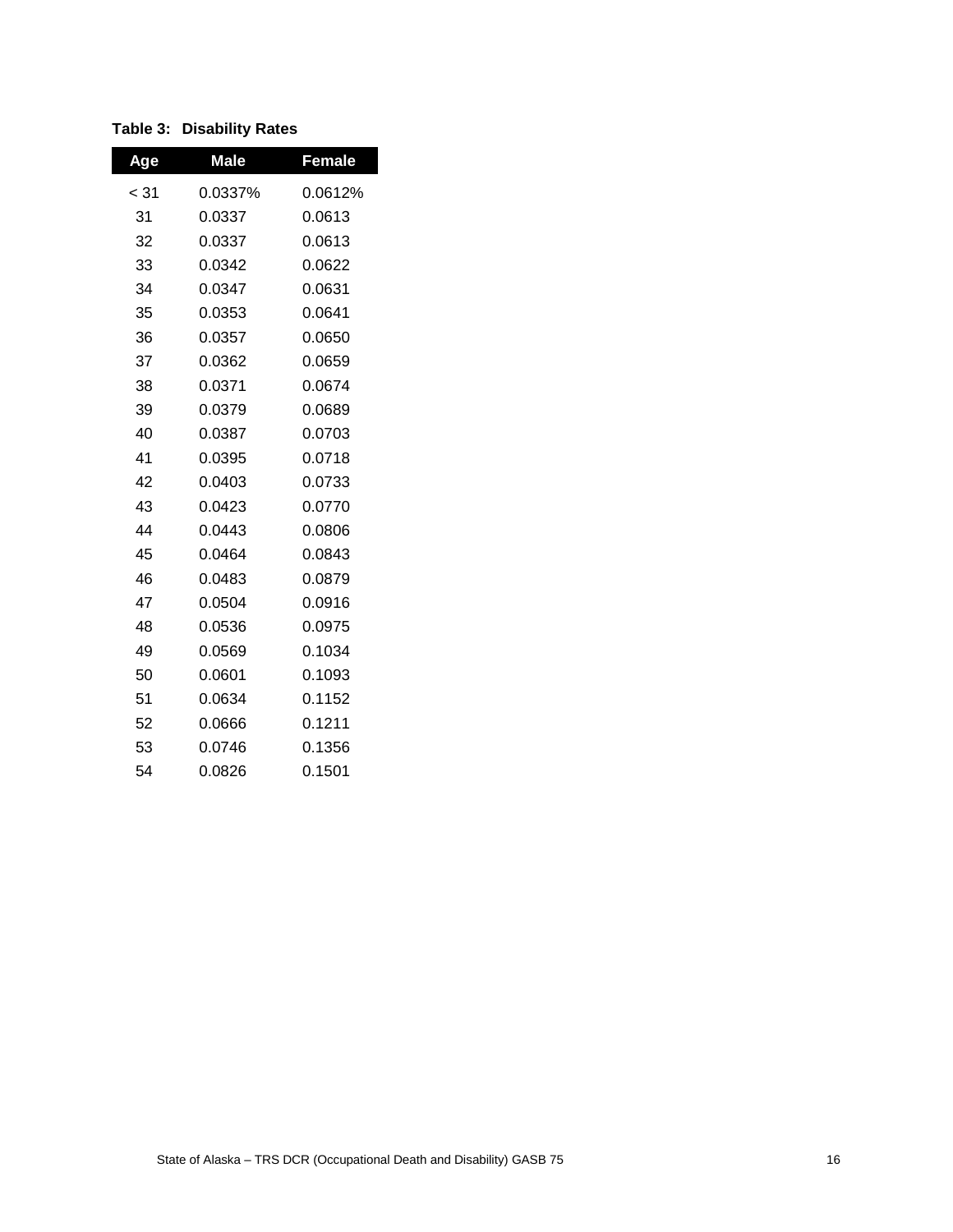|  | <b>Table 3: Disability Rates</b> |  |
|--|----------------------------------|--|
|--|----------------------------------|--|

| Age    | <b>Male</b> | <b>Female</b> |
|--------|-------------|---------------|
| $<$ 31 | 0.0337%     | 0.0612%       |
| 31     | 0.0337      | 0.0613        |
| 32     | 0.0337      | 0.0613        |
| 33     | 0.0342      | 0.0622        |
| 34     | 0.0347      | 0.0631        |
| 35     | 0.0353      | 0.0641        |
| 36     | 0.0357      | 0.0650        |
| 37     | 0.0362      | 0.0659        |
| 38     | 0.0371      | 0.0674        |
| 39     | 0.0379      | 0.0689        |
| 40     | 0.0387      | 0.0703        |
| 41     | 0.0395      | 0.0718        |
| 42     | 0.0403      | 0.0733        |
| 43     | 0.0423      | 0.0770        |
| 44     | 0.0443      | 0.0806        |
| 45     | 0.0464      | 0.0843        |
| 46     | 0.0483      | 0.0879        |
| 47     | 0.0504      | 0.0916        |
| 48     | 0.0536      | 0.0975        |
| 49     | 0.0569      | 0.1034        |
| 50     | 0.0601      | 0.1093        |
| 51     | 0.0634      | 0.1152        |
| 52     | 0.0666      | 0.1211        |
| 53     | 0.0746      | 0.1356        |
| 54     | 0.0826      | 0.1501        |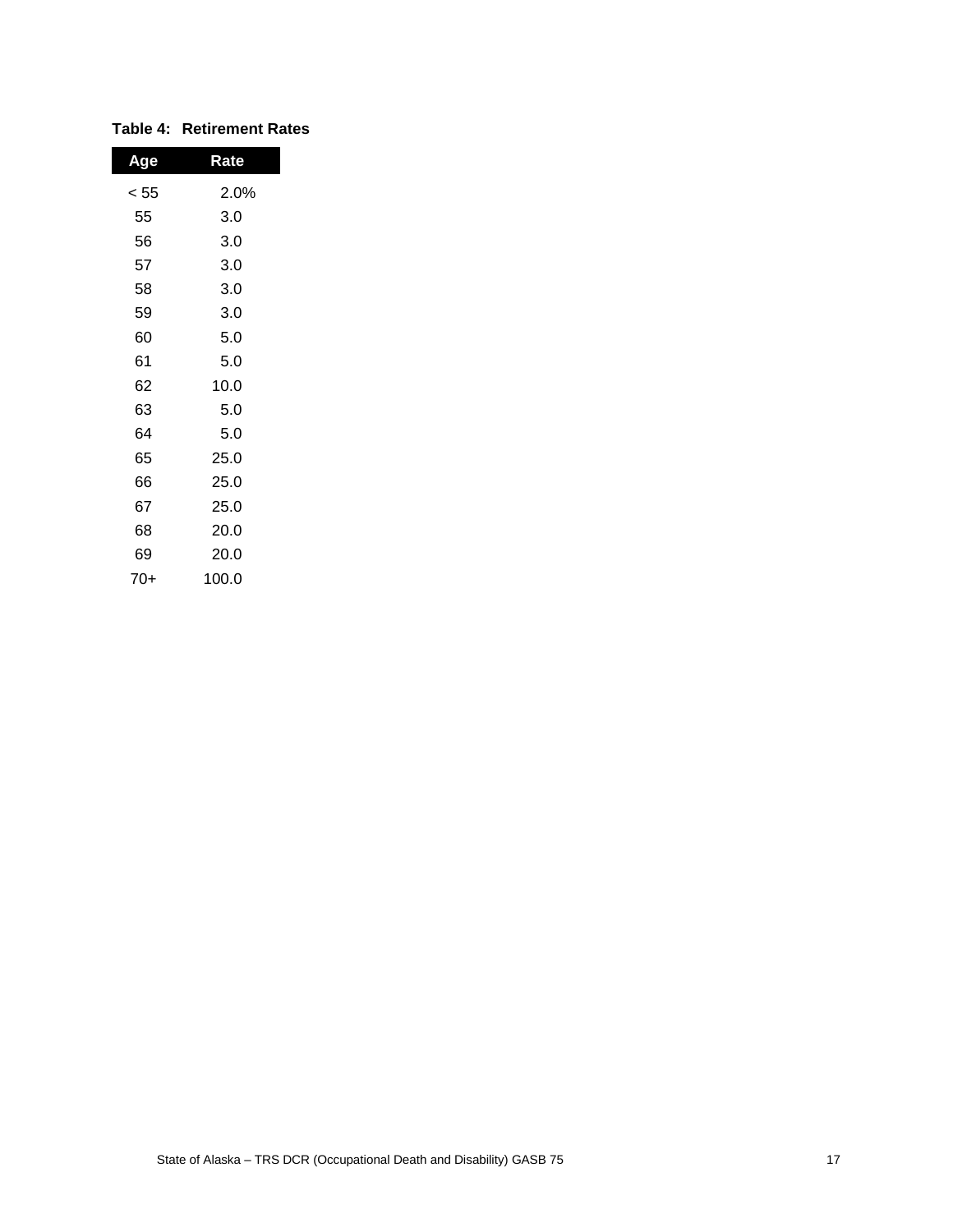| Age  | Rate  |
|------|-------|
| < 55 | 2.0%  |
| 55   | 3.0   |
| 56   | 3.0   |
| 57   | 3.0   |
| 58   | 3.0   |
| 59   | 3.0   |
| 60   | 5.0   |
| 61   | 5.0   |
| 62   | 10.0  |
| 63   | 5.0   |
| 64   | 5.0   |
| 65   | 25.0  |
| 66   | 25.0  |
| 67   | 25.0  |
| 68   | 20.0  |
| 69   | 20.0  |
| 70+  | 100.0 |

## **Table 4: Retirement Rates**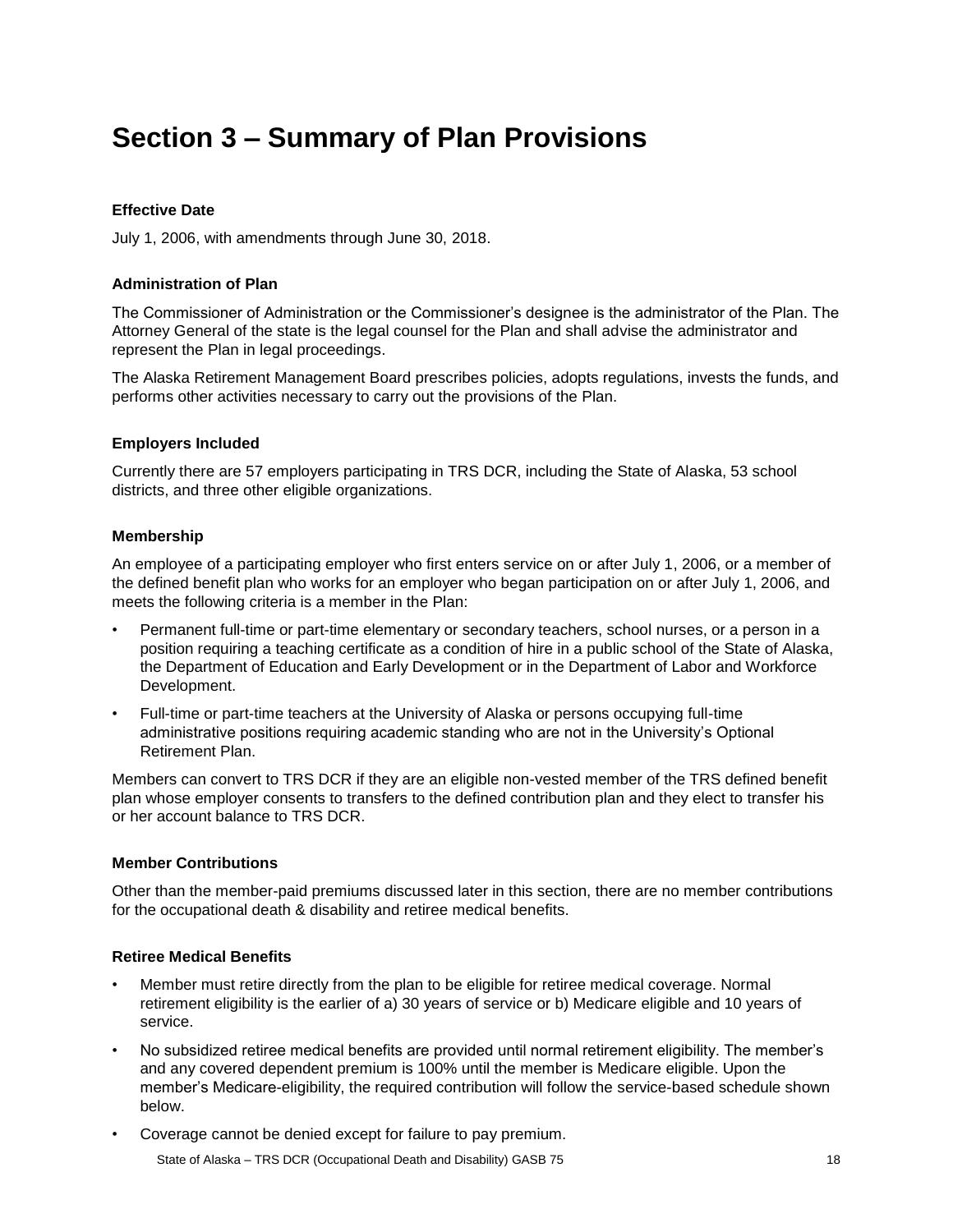# <span id="page-21-0"></span>**Section 3 – Summary of Plan Provisions**

#### **Effective Date**

July 1, 2006, with amendments through June 30, 2018.

#### **Administration of Plan**

The Commissioner of Administration or the Commissioner's designee is the administrator of the Plan. The Attorney General of the state is the legal counsel for the Plan and shall advise the administrator and represent the Plan in legal proceedings.

The Alaska Retirement Management Board prescribes policies, adopts regulations, invests the funds, and performs other activities necessary to carry out the provisions of the Plan.

#### **Employers Included**

Currently there are 57 employers participating in TRS DCR, including the State of Alaska, 53 school districts, and three other eligible organizations.

#### **Membership**

An employee of a participating employer who first enters service on or after July 1, 2006, or a member of the defined benefit plan who works for an employer who began participation on or after July 1, 2006, and meets the following criteria is a member in the Plan:

- Permanent full-time or part-time elementary or secondary teachers, school nurses, or a person in a position requiring a teaching certificate as a condition of hire in a public school of the State of Alaska, the Department of Education and Early Development or in the Department of Labor and Workforce Development.
- Full-time or part-time teachers at the University of Alaska or persons occupying full-time administrative positions requiring academic standing who are not in the University's Optional Retirement Plan.

Members can convert to TRS DCR if they are an eligible non-vested member of the TRS defined benefit plan whose employer consents to transfers to the defined contribution plan and they elect to transfer his or her account balance to TRS DCR.

#### **Member Contributions**

Other than the member-paid premiums discussed later in this section, there are no member contributions for the occupational death & disability and retiree medical benefits.

#### **Retiree Medical Benefits**

- Member must retire directly from the plan to be eligible for retiree medical coverage. Normal retirement eligibility is the earlier of a) 30 years of service or b) Medicare eligible and 10 years of service.
- No subsidized retiree medical benefits are provided until normal retirement eligibility. The member's and any covered dependent premium is 100% until the member is Medicare eligible. Upon the member's Medicare-eligibility, the required contribution will follow the service-based schedule shown below.
- Coverage cannot be denied except for failure to pay premium.

State of Alaska – TRS DCR (Occupational Death and Disability) GASB 75 18 18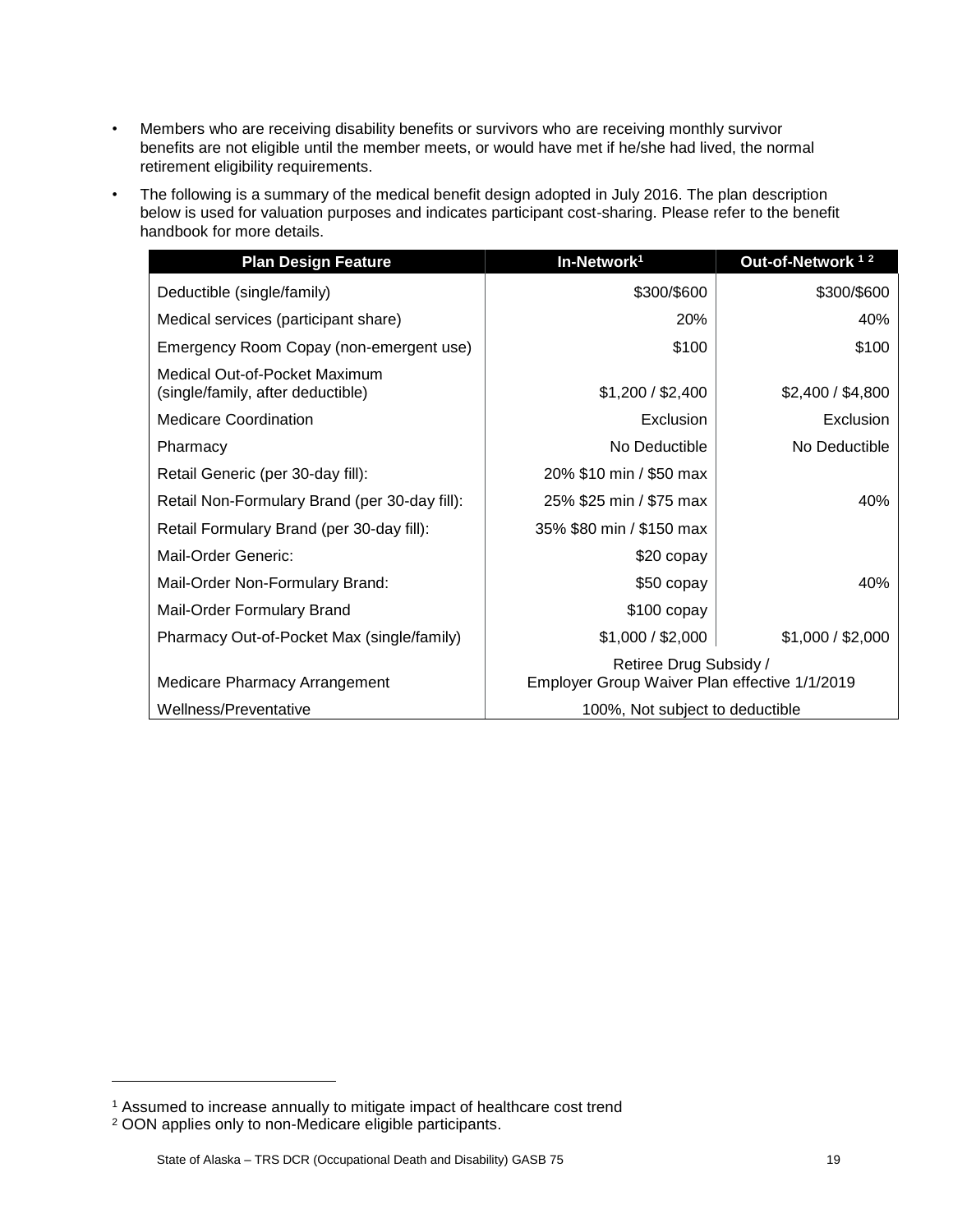- Members who are receiving disability benefits or survivors who are receiving monthly survivor benefits are not eligible until the member meets, or would have met if he/she had lived, the normal retirement eligibility requirements.
- The following is a summary of the medical benefit design adopted in July 2016. The plan description below is used for valuation purposes and indicates participant cost-sharing. Please refer to the benefit handbook for more details.

| <b>Plan Design Feature</b>                                         | In-Network <sup>1</sup>                                                 | Out-of-Network <sup>12</sup> |
|--------------------------------------------------------------------|-------------------------------------------------------------------------|------------------------------|
| Deductible (single/family)                                         | \$300/\$600                                                             | \$300/\$600                  |
| Medical services (participant share)                               | 20%                                                                     | 40%                          |
| Emergency Room Copay (non-emergent use)                            | \$100                                                                   | \$100                        |
| Medical Out-of-Pocket Maximum<br>(single/family, after deductible) | \$1,200 / \$2,400                                                       | \$2,400 / \$4,800            |
| <b>Medicare Coordination</b>                                       | Exclusion                                                               | Exclusion                    |
| Pharmacy                                                           | No Deductible                                                           | No Deductible                |
| Retail Generic (per 30-day fill):                                  | 20% \$10 min / \$50 max                                                 |                              |
| Retail Non-Formulary Brand (per 30-day fill):                      | 25% \$25 min / \$75 max                                                 | 40%                          |
| Retail Formulary Brand (per 30-day fill):                          | 35% \$80 min / \$150 max                                                |                              |
| Mail-Order Generic:                                                | \$20 copay                                                              |                              |
| Mail-Order Non-Formulary Brand:                                    | \$50 copay                                                              | 40%                          |
| Mail-Order Formulary Brand                                         | $$100$ copay                                                            |                              |
| Pharmacy Out-of-Pocket Max (single/family)                         | \$1,000 / \$2,000                                                       | \$1,000 / \$2,000            |
| Medicare Pharmacy Arrangement                                      | Retiree Drug Subsidy /<br>Employer Group Waiver Plan effective 1/1/2019 |                              |
| Wellness/Preventative                                              | 100%, Not subject to deductible                                         |                              |

l

<sup>&</sup>lt;sup>1</sup> Assumed to increase annually to mitigate impact of healthcare cost trend

<sup>2</sup> OON applies only to non-Medicare eligible participants.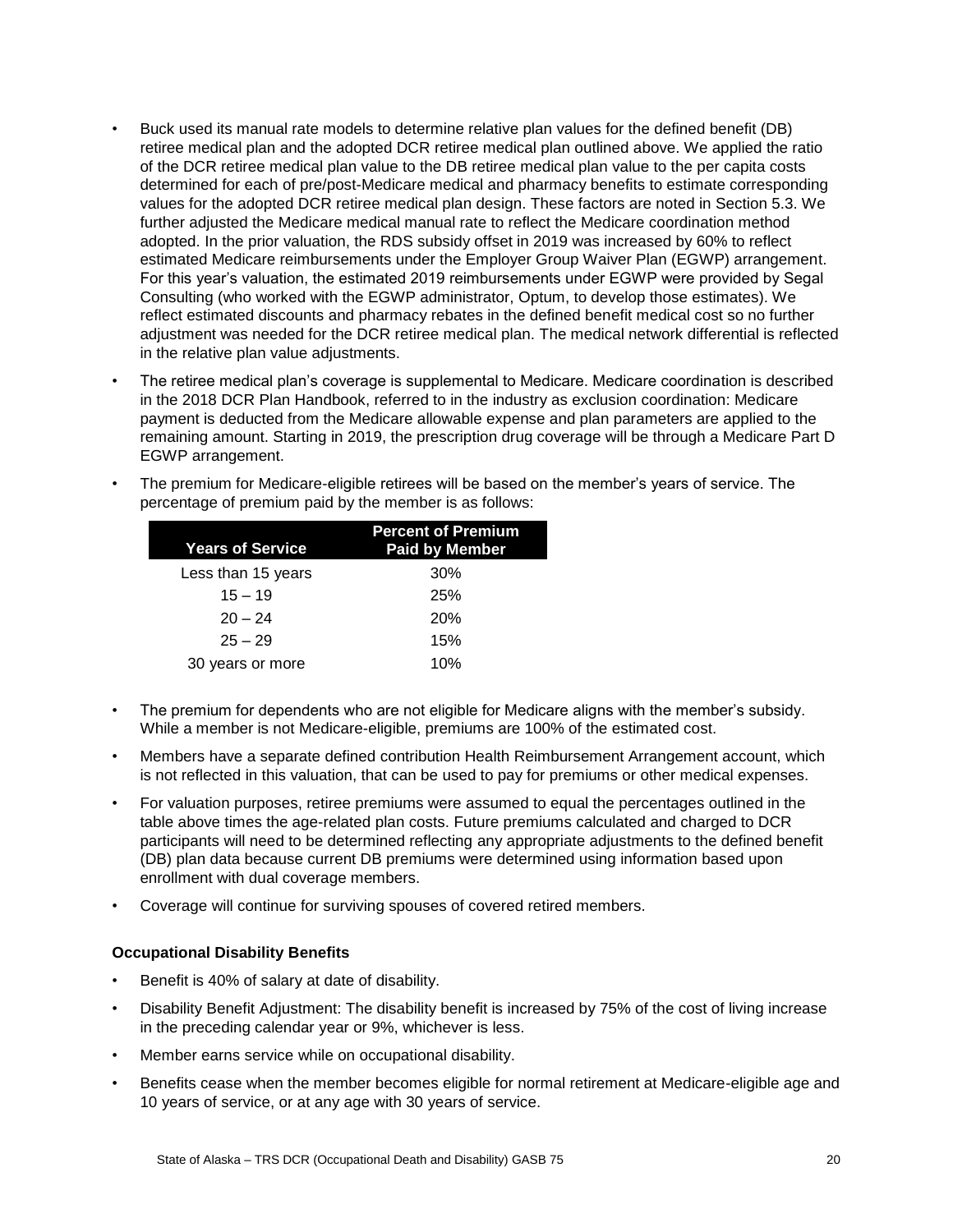- Buck used its manual rate models to determine relative plan values for the defined benefit (DB) retiree medical plan and the adopted DCR retiree medical plan outlined above. We applied the ratio of the DCR retiree medical plan value to the DB retiree medical plan value to the per capita costs determined for each of pre/post-Medicare medical and pharmacy benefits to estimate corresponding values for the adopted DCR retiree medical plan design. These factors are noted in Section 5.3. We further adjusted the Medicare medical manual rate to reflect the Medicare coordination method adopted. In the prior valuation, the RDS subsidy offset in 2019 was increased by 60% to reflect estimated Medicare reimbursements under the Employer Group Waiver Plan (EGWP) arrangement. For this year's valuation, the estimated 2019 reimbursements under EGWP were provided by Segal Consulting (who worked with the EGWP administrator, Optum, to develop those estimates). We reflect estimated discounts and pharmacy rebates in the defined benefit medical cost so no further adjustment was needed for the DCR retiree medical plan. The medical network differential is reflected in the relative plan value adjustments.
- The retiree medical plan's coverage is supplemental to Medicare. Medicare coordination is described in the 2018 DCR Plan Handbook, referred to in the industry as exclusion coordination: Medicare payment is deducted from the Medicare allowable expense and plan parameters are applied to the remaining amount. Starting in 2019, the prescription drug coverage will be through a Medicare Part D EGWP arrangement.
- The premium for Medicare-eligible retirees will be based on the member's years of service. The percentage of premium paid by the member is as follows:

| Years of Service   | <b>Percent of Premium</b><br><b>Paid by Member</b> |
|--------------------|----------------------------------------------------|
| Less than 15 years | 30%                                                |
| $15 - 19$          | 25%                                                |
| $20 - 24$          | 20%                                                |
| $25 - 29$          | 15%                                                |
| 30 years or more   | 10%                                                |

- The premium for dependents who are not eligible for Medicare aligns with the member's subsidy. While a member is not Medicare-eligible, premiums are 100% of the estimated cost.
- Members have a separate defined contribution Health Reimbursement Arrangement account, which is not reflected in this valuation, that can be used to pay for premiums or other medical expenses.
- For valuation purposes, retiree premiums were assumed to equal the percentages outlined in the table above times the age-related plan costs. Future premiums calculated and charged to DCR participants will need to be determined reflecting any appropriate adjustments to the defined benefit (DB) plan data because current DB premiums were determined using information based upon enrollment with dual coverage members.
- Coverage will continue for surviving spouses of covered retired members.

#### **Occupational Disability Benefits**

- Benefit is 40% of salary at date of disability.
- Disability Benefit Adjustment: The disability benefit is increased by 75% of the cost of living increase in the preceding calendar year or 9%, whichever is less.
- Member earns service while on occupational disability.
- Benefits cease when the member becomes eligible for normal retirement at Medicare-eligible age and 10 years of service, or at any age with 30 years of service.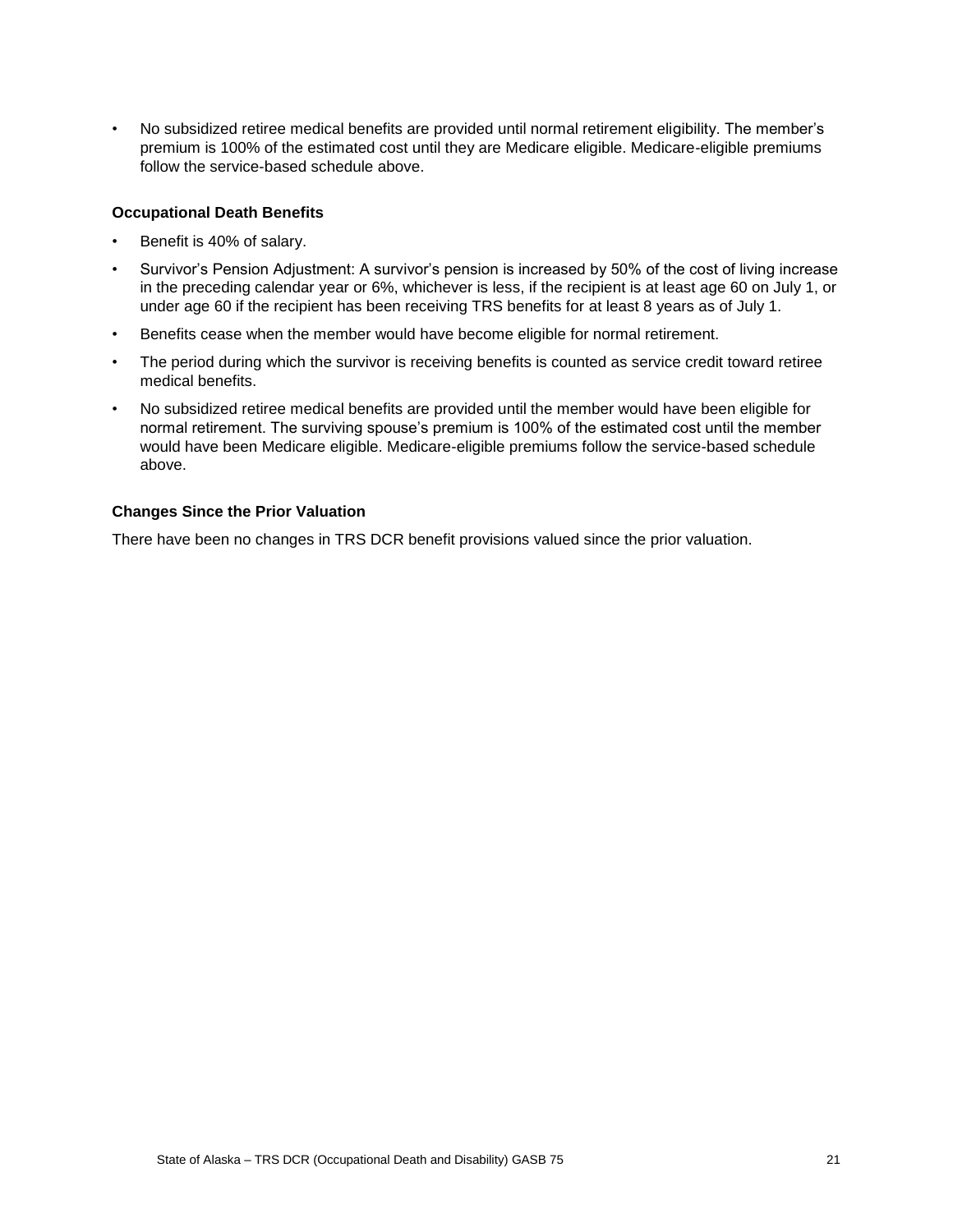• No subsidized retiree medical benefits are provided until normal retirement eligibility. The member's premium is 100% of the estimated cost until they are Medicare eligible. Medicare-eligible premiums follow the service-based schedule above.

#### **Occupational Death Benefits**

- Benefit is 40% of salary.
- Survivor's Pension Adjustment: A survivor's pension is increased by 50% of the cost of living increase in the preceding calendar year or 6%, whichever is less, if the recipient is at least age 60 on July 1, or under age 60 if the recipient has been receiving TRS benefits for at least 8 years as of July 1.
- Benefits cease when the member would have become eligible for normal retirement.
- The period during which the survivor is receiving benefits is counted as service credit toward retiree medical benefits.
- No subsidized retiree medical benefits are provided until the member would have been eligible for normal retirement. The surviving spouse's premium is 100% of the estimated cost until the member would have been Medicare eligible. Medicare-eligible premiums follow the service-based schedule above.

#### **Changes Since the Prior Valuation**

There have been no changes in TRS DCR benefit provisions valued since the prior valuation.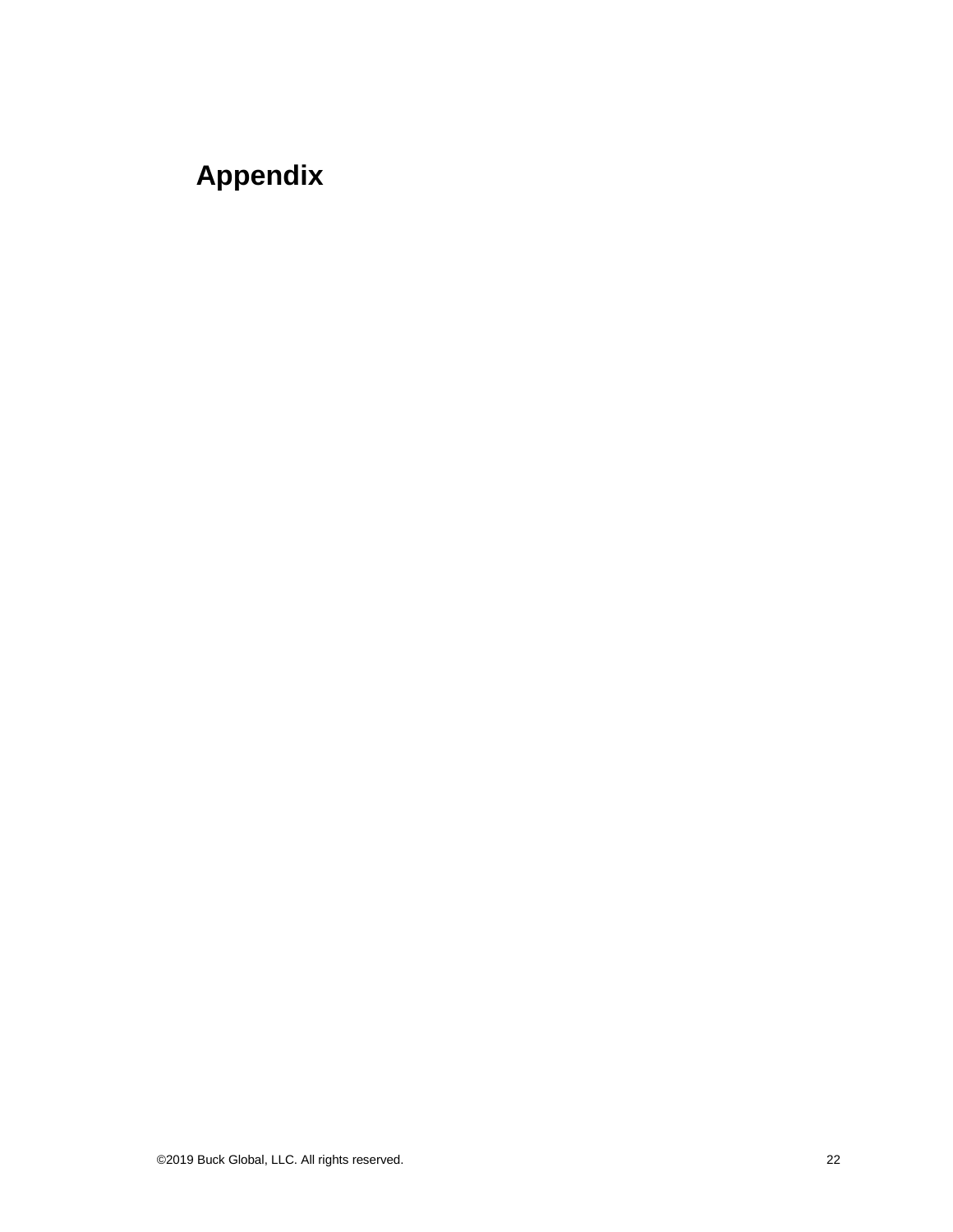# <span id="page-25-0"></span>**Appendix**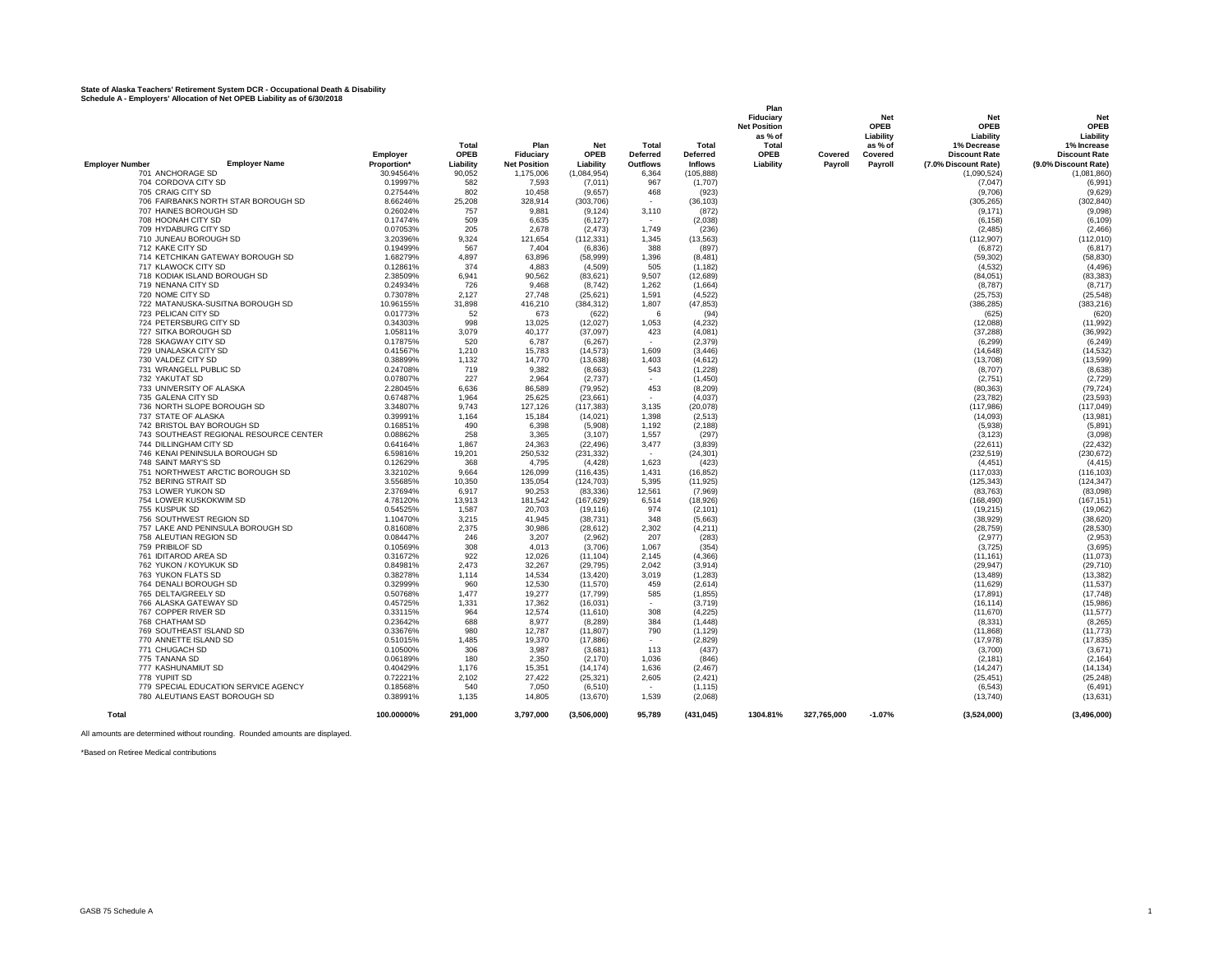#### **State of Alaska Teachers' Retirement System DCR - Occupational Death & Disability Schedule A - Employers' Allocation of Net OPEB Liability as of 6/30/2018**

| Schedule A - Employers' Allocation of Net OPEB Liability as of 6/30/2018 |                      |              |                     |                       |                                 |                    | Plan                |             |             |                       |                       |
|--------------------------------------------------------------------------|----------------------|--------------|---------------------|-----------------------|---------------------------------|--------------------|---------------------|-------------|-------------|-----------------------|-----------------------|
|                                                                          |                      |              |                     |                       |                                 |                    | Fiduciarv           |             | Net         | <b>Net</b>            | <b>Net</b>            |
|                                                                          |                      |              |                     |                       |                                 |                    | <b>Net Position</b> |             | <b>OPEB</b> | <b>OPEB</b>           | OPEB                  |
|                                                                          |                      |              |                     |                       |                                 |                    | as % of             |             | Liability   | Liability             | Liability             |
|                                                                          |                      | Total        | Plan                | <b>Net</b>            | <b>Total</b>                    | Total              | Total               |             | as % of     | 1% Decrease           | 1% Increase           |
|                                                                          | Employer             | <b>OPEB</b>  | <b>Fiduciarv</b>    | OPEB                  | <b>Deferred</b>                 | <b>Deferred</b>    | <b>OPEB</b>         | Covered     | Covered     | <b>Discount Rate</b>  | <b>Discount Rate</b>  |
| <b>Employer Number</b><br><b>Employer Name</b>                           | Proportion*          | Liability    | <b>Net Position</b> | Liability             | <b>Outflows</b>                 | <b>Inflows</b>     | Liability           | Payroll     | Payroll     | (7.0% Discount Rate)  | (9.0% Discount Rate)  |
| 701 ANCHORAGE SD                                                         | 30.94564%            | 90,052       | 1,175,006           | (1,084,954)           | 6,364                           | (105, 888)         |                     |             |             | (1,090,524)           | (1,081,860)           |
| 704 CORDOVA CITY SD                                                      | 0.19997%             | 582          | 7,593               | (7,011)               | 967                             | (1,707)            |                     |             |             | (7,047)               | (6,991)               |
| 705 CRAIG CITY SD                                                        | 0.27544%             | 802          | 10,458              | (9,657)               | 468                             | (923)              |                     |             |             | (9,706)               | (9,629)               |
| 706 FAIRBANKS NORTH STAR BOROUGH SD                                      | 8.66246%             | 25,208       | 328,914             | (303, 706)            |                                 | (36, 103)          |                     |             |             | (305, 265)            | (302, 840)            |
| 707 HAINES BOROUGH SD                                                    | 0.26024%             | 757          | 9,881               | (9, 124)              | 3,110                           | (872)              |                     |             |             | (9, 171)              | (9,098)               |
| 708 HOONAH CITY SD                                                       | 0.17474%             | 509          | 6,635               | (6, 127)              | $\sim$                          | (2,038)            |                     |             |             | (6, 158)              | (6, 109)              |
| 709 HYDABURG CITY SD                                                     | 0.07053%             | 205          | 2,678               | (2, 473)              | 1.749                           | (236)              |                     |             |             | (2, 485)              | (2, 466)              |
| 710 JUNEAU BOROUGH SD                                                    | 3.20396%             | 9,324        | 121,654             | (112, 331)            | 1,345                           | (13,563)           |                     |             |             | (112, 907)            | (112,010)             |
| 712 KAKE CITY SD                                                         | 0.19499%             | 567          | 7,404               | (6, 836)              | 388                             | (897)              |                     |             |             | (6, 872)              | (6, 817)              |
| 714 KETCHIKAN GATEWAY BOROUGH SD                                         | 1.68279%             | 4.897        | 63,896              | (58, 999)             | 1,396                           | (8, 481)           |                     |             |             | (59, 302)             | (58, 830)             |
| 717 KLAWOCK CITY SD                                                      | 0.12861%             | 374          | 4,883               | (4,509)               | 505                             | (1, 182)           |                     |             |             | (4,532)               | (4, 496)              |
| 718 KODIAK ISLAND BOROUGH SD                                             | 2.38509%             | 6.941        | 90.562              | (83, 621)             | 9.507                           | (12,689)           |                     |             |             | (84,051)              | (83, 383)             |
| 719 NENANA CITY SD                                                       | 0.24934%             | 726          | 9.468               | (8,742)               | 1,262                           | (1,664)            |                     |             |             | (8,787)               | (8,717)               |
| 720 NOME CITY SD                                                         | 0.73078%             | 2,127        | 27,748              | (25, 621)             | 1,591                           | (4,522)            |                     |             |             | (25, 753)             | (25, 548)             |
| 722 MATANUSKA-SUSITNA BOROUGH SD                                         | 10.96155%            | 31,898       | 416,210             | (384, 312)            | 1,807                           | (47, 853)          |                     |             |             | (386, 285)            | (383, 216)            |
| 723 PELICAN CITY SD                                                      | 0.01773%             | 52           | 673                 | (622)                 | 6                               | (94)               |                     |             |             | (625)                 | (620)                 |
| 724 PETERSBURG CITY SD                                                   | 0.34303%             | 998          | 13,025              | (12, 027)             | 1,053                           | (4,232)            |                     |             |             | (12,088)              | (11, 992)             |
| 727 SITKA BOROUGH SD                                                     | 1.05811%             | 3.079        | 40.177              | (37,097)              | 423                             | (4,081)            |                     |             |             | (37, 288)             | (36,992)              |
| 728 SKAGWAY CITY SD                                                      | 0.17875%             | 520          | 6,787               | (6, 267)              |                                 | (2, 379)           |                     |             |             | (6, 299)              | (6, 249)              |
| 729 UNALASKA CITY SD                                                     | 0.41567%             | 1,210        | 15,783              | (14, 573)             | 1,609                           | (3, 446)           |                     |             |             | (14, 648)             | (14, 532)             |
| 730 VALDEZ CITY SD                                                       | 0.38899%             | 1,132        | 14.770              | (13, 638)             | 1.403                           | (4,612)            |                     |             |             | (13,708)              | (13, 599)             |
| 731 WRANGELL PUBLIC SD<br>732 YAKUTAT SD                                 | 0.24708%<br>0.07807% | 719<br>227   | 9,382<br>2.964      | (8,663)               | 543<br>$\overline{\phantom{a}}$ | (1,228)<br>(1.450) |                     |             |             | (8,707)               | (8,638)<br>(2.729)    |
| 733 UNIVERSITY OF ALASKA                                                 | 2.28045%             | 6,636        | 86,589              | (2,737)<br>(79, 952)  | 453                             | (8, 209)           |                     |             |             | (2,751)<br>(80, 363)  | (79, 724)             |
| 735 GALENA CITY SD                                                       | 0.67487%             | 1,964        | 25,625              | (23,661)              |                                 | (4,037)            |                     |             |             | (23, 782)             | (23, 593)             |
| 736 NORTH SLOPE BOROUGH SD                                               | 3.34807%             | 9,743        | 127,126             | (117, 383)            | 3,135                           | (20,078)           |                     |             |             | (117, 986)            | (117, 049)            |
| 737 STATE OF ALASKA                                                      | 0.39991%             | 1,164        | 15,184              | (14, 021)             | 1,398                           | (2,513)            |                     |             |             | (14,093)              | (13,981)              |
| 742 BRISTOL BAY BOROUGH SD                                               | 0.16851%             | 490          | 6.398               | (5,908)               | 1,192                           | (2, 188)           |                     |             |             | (5,938)               | (5,891)               |
| 743 SOUTHEAST REGIONAL RESOURCE CENTER                                   | 0.08862%             | 258          | 3,365               | (3, 107)              | 1,557                           | (297)              |                     |             |             | (3, 123)              | (3,098)               |
| 744 DILLINGHAM CITY SD                                                   | 0.64164%             | 1,867        | 24,363              | (22, 496)             | 3,477                           | (3,839)            |                     |             |             | (22, 611)             | (22, 432)             |
| 746 KENAI PENINSULA BOROUGH SD                                           | 6.59816%             | 19,201       | 250,532             | (231, 332)            | $\overline{\phantom{a}}$        | (24, 301)          |                     |             |             | (232, 519)            | (230, 672)            |
| 748 SAINT MARY'S SD                                                      | 0.12629%             | 368          | 4,795               | (4, 428)              | 1,623                           | (423)              |                     |             |             | (4, 451)              | (4, 415)              |
| 751 NORTHWEST ARCTIC BOROUGH SD                                          | 3.32102%             | 9,664        | 126,099             | (116, 435)            | 1,431                           | (16, 852)          |                     |             |             | (117, 033)            | (116, 103)            |
| 752 BERING STRAIT SD                                                     | 3.55685%             | 10.350       | 135.054             | (124.703)             | 5.395                           | (11.925)           |                     |             |             | (125, 343)            | (124, 347)            |
| 753 LOWER YUKON SD                                                       | 2.37694%             | 6,917        | 90,253              | (83, 336)             | 12,561                          | (7,969)            |                     |             |             | (83, 763)             | (83,098)              |
| 754 LOWER KUSKOKWIM SD                                                   | 4.78120%             | 13,913       | 181,542             | (167, 629)            | 6,514                           | (18,926)           |                     |             |             | (168, 490)            | (167, 151)            |
| 755 KUSPUK SD                                                            | 0.54525%             | 1,587        | 20,703              | (19, 116)             | 974                             | (2, 101)           |                     |             |             | (19, 215)             | (19,062)              |
| 756 SOUTHWEST REGION SD                                                  | 1.10470%             | 3.215        | 41,945              | (38, 731)             | 348                             | (5,663)            |                     |             |             | (38, 929)             | (38, 620)             |
| 757 LAKE AND PENINSULA BOROUGH SD                                        | 0.81608%             | 2.375        | 30.986              | (28, 612)             | 2.302                           | (4,211)            |                     |             |             | (28, 759)             | (28, 530)             |
| 758 ALEUTIAN REGION SD                                                   | 0.08447%             | 246          | 3,207               | (2,962)               | 207                             | (283)              |                     |             |             | (2,977)               | (2,953)               |
| 759 PRIBILOF SD                                                          | 0.10569%             | 308          | 4,013               | (3,706)               | 1,067                           | (354)              |                     |             |             | (3,725)               | (3,695)               |
| 761 IDITAROD AREA SD                                                     | 0.31672%             | 922          | 12,026              | (11, 104)             | 2,145                           | (4, 366)           |                     |             |             | (11, 161)             | (11,073)              |
| 762 YUKON / KOYUKUK SD                                                   | 0.84981%             | 2.473        | 32.267              | (29, 795)             | 2.042                           | (3,914)            |                     |             |             | (29, 947)             | (29, 710)             |
| 763 YUKON FLATS SD                                                       | 0.38278%             | 1,114        | 14,534              | (13, 420)             | 3,019                           | (1, 283)           |                     |             |             | (13, 489)             | (13, 382)             |
| 764 DENALI BOROUGH SD                                                    | 0.32999%             | 960          | 12,530              | (11, 570)             | 459                             | (2,614)            |                     |             |             | (11, 629)             | (11, 537)             |
| 765 DELTA/GREELY SD                                                      | 0.50768%             | 1,477        | 19,277              | (17, 799)             | 585                             | (1, 855)           |                     |             |             | (17, 891)             | (17,748)              |
| 766 ALASKA GATEWAY SD                                                    | 0.45725%             | 1,331        | 17,362              | (16, 031)             |                                 | (3,719)            |                     |             |             | (16, 114)             | (15,986)              |
| 767 COPPER RIVER SD                                                      | 0.33115%             | 964          | 12,574              | (11,610)              | 308                             | (4,225)            |                     |             |             | (11,670)              | (11, 577)             |
| 768 CHATHAM SD                                                           | 0.23642%             | 688          | 8.977               | (8, 289)              | 384                             | (1, 448)           |                     |             |             | (8, 331)              | (8, 265)              |
| 769 SOUTHEAST ISLAND SD                                                  | 0.33676%             | 980          | 12.787              | (11, 807)             | 790                             | (1, 129)           |                     |             |             | (11, 868)             | (11, 773)             |
| 770 ANNETTE ISLAND SD<br>771 CHUGACH SD                                  | 0.51015%<br>0.10500% | 1,485<br>306 | 19,370<br>3.987     | (17, 886)             | $\overline{\phantom{a}}$<br>113 | (2,829)            |                     |             |             | (17, 978)             | (17, 835)             |
|                                                                          |                      |              |                     | (3,681)               |                                 | (437)              |                     |             |             | (3,700)               | (3,671)               |
| 775 TANANA SD<br>777 KASHUNAMIUT SD                                      | 0.06189%<br>0.40429% | 180<br>1.176 | 2,350<br>15,351     | (2, 170)<br>(14, 174) | 1,036<br>1.636                  | (846)<br>(2.467)   |                     |             |             | (2, 181)<br>(14, 247) | (2, 164)<br>(14, 134) |
| 778 YUPIIT SD                                                            | 0.72221%             | 2,102        | 27,422              | (25, 321)             | 2,605                           | (2, 421)           |                     |             |             | (25, 451)             | (25, 248)             |
| 779 SPECIAL EDUCATION SERVICE AGENCY                                     | 0.18568%             | 540          | 7,050               | (6, 510)              |                                 | (1, 115)           |                     |             |             | (6, 543)              | (6, 491)              |
| 780 ALEUTIANS EAST BOROUGH SD                                            | 0.38991%             | 1,135        | 14,805              | (13,670)              | 1,539                           | (2,068)            |                     |             |             | (13,740)              | (13, 631)             |
|                                                                          |                      |              |                     |                       |                                 |                    |                     |             |             |                       |                       |
| Total                                                                    | 100.00000%           | 291.000      | 3.797.000           | (3,506,000)           | 95.789                          | (431, 045)         | 1304.81%            | 327,765,000 | $-1.07%$    | (3,524,000)           | (3,496,000)           |

All amounts are determined without rounding. Rounded amounts are displayed.

\*Based on Retiree Medical contributions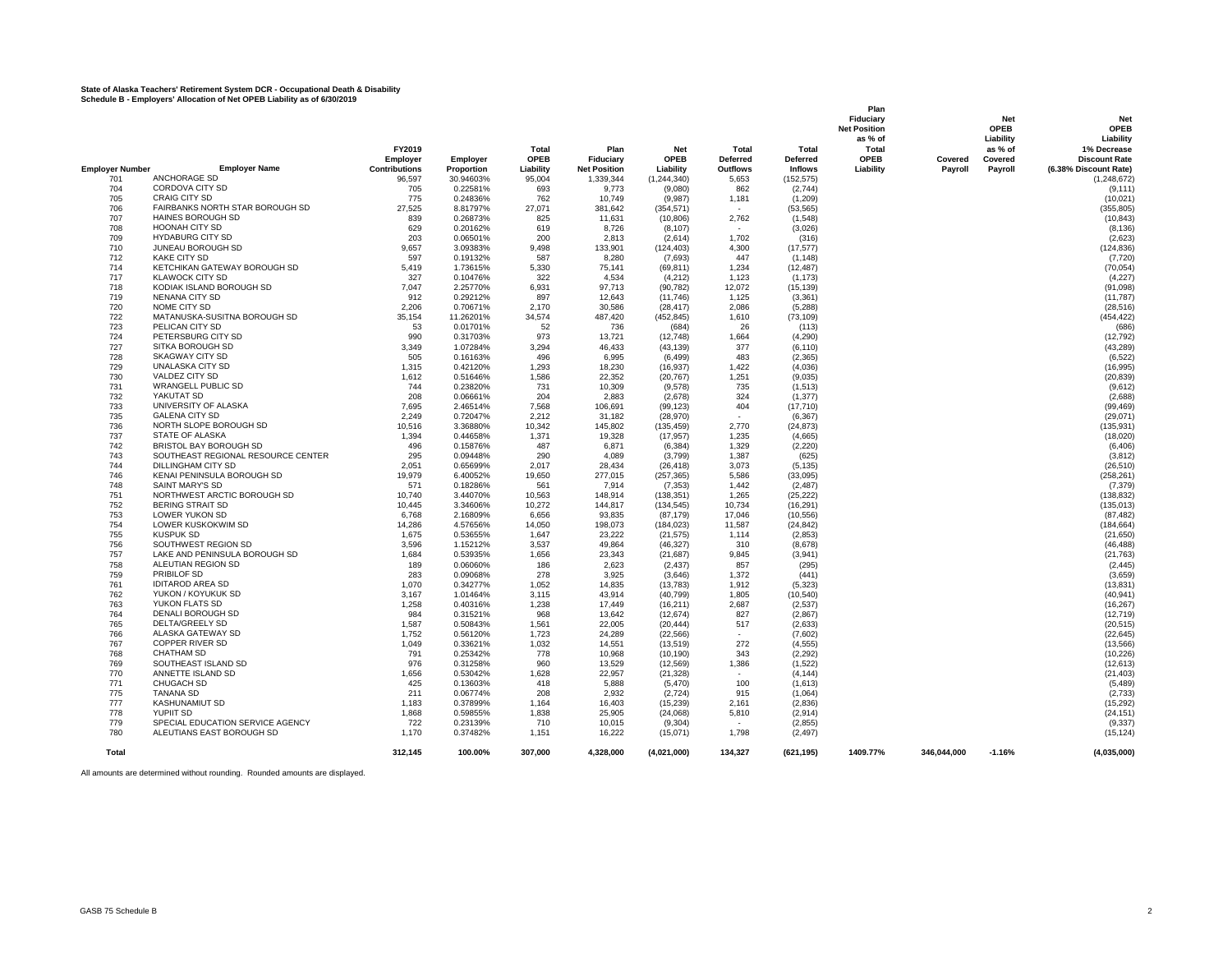# **State of Alaska Teachers' Retirement System DCR - Occupational Death & Disability Schedule B - Employers' Allocation of Net OPEB Liability as of 6/30/2019**

|                        |                                                     |                      |                      |              |                     |                      |                 |                       | Plan<br>Fiduciary<br><b>Net Position</b><br>as % of |             | Net<br>OPEB<br>Liability | <b>Net</b><br>OPEB<br>Liability |
|------------------------|-----------------------------------------------------|----------------------|----------------------|--------------|---------------------|----------------------|-----------------|-----------------------|-----------------------------------------------------|-------------|--------------------------|---------------------------------|
|                        |                                                     | FY2019               |                      | Total        | Plan                | <b>Net</b>           | Total           | Total                 | Total                                               |             | as % of                  | 1% Decrease                     |
|                        |                                                     | Employer             | Employer             | <b>OPEB</b>  | Fiduciary           | <b>OPEB</b>          | <b>Deferred</b> | <b>Deferred</b>       | <b>OPEB</b>                                         | Covered     | Covered                  | <b>Discount Rate</b>            |
| <b>Employer Number</b> | <b>Employer Name</b>                                | <b>Contributions</b> | Proportion           | Liability    | <b>Net Position</b> | Liability            | <b>Outflows</b> | <b>Inflows</b>        | Liability                                           | Payroll     | Payroll                  | (6.38% Discount Rate)           |
| 701                    | ANCHORAGE SD                                        | 96,597               | 30.94603%            | 95,004       | 1,339,344           | (1, 244, 340)        | 5,653           | (152, 575)            |                                                     |             |                          | (1, 248, 672)                   |
| 704                    | CORDOVA CITY SD                                     | 705                  | 0.22581%             | 693          | 9,773               | (9,080)              | 862             | (2,744)               |                                                     |             |                          | (9, 111)                        |
| 705                    | <b>CRAIG CITY SD</b>                                | 775                  | 0.24836%             | 762          | 10,749              | (9,987)              | 1,181           | (1,209)               |                                                     |             |                          | (10, 021)                       |
| 706                    | FAIRBANKS NORTH STAR BOROUGH SD                     | 27,525               | 8.81797%             | 27,071       | 381,642             | (354, 571)           |                 | (53, 565)             |                                                     |             |                          | (355, 805)                      |
| 707                    | <b>HAINES BOROUGH SD</b>                            | 839                  | 0.26873%             | 825          | 11,631              | (10, 806)            | 2,762           | (1,548)               |                                                     |             |                          | (10, 843)                       |
| 708                    | <b>HOONAH CITY SD</b>                               | 629                  | 0.20162%             | 619          | 8,726               | (8, 107)             |                 | (3,026)               |                                                     |             |                          | (8, 136)                        |
| 709                    | <b>HYDABURG CITY SD</b>                             | 203                  | 0.06501%             | 200          | 2,813               | (2,614)              | 1,702           | (316)                 |                                                     |             |                          | (2,623)                         |
| 710                    | JUNEAU BOROUGH SD<br><b>KAKE CITY SD</b>            | 9,657                | 3.09383%             | 9,498        | 133,901             | (124, 403)           | 4,300           | (17, 577)             |                                                     |             |                          | (124, 836)                      |
| 712<br>714             | KETCHIKAN GATEWAY BOROUGH SD                        | 597                  | 0.19132%             | 587          | 8,280               | (7,693)              | 447             | (1, 148)              |                                                     |             |                          | (7, 720)                        |
| 717                    | <b>KLAWOCK CITY SD</b>                              | 5,419<br>327         | 1.73615%             | 5,330<br>322 | 75,141<br>4,534     | (69, 811)            | 1,234           | (12, 487)<br>(1, 173) |                                                     |             |                          | (70, 054)<br>(4,227)            |
| 718                    | KODIAK ISLAND BOROUGH SD                            | 7,047                | 0.10476%<br>2.25770% | 6,931        | 97,713              | (4,212)<br>(90, 782) | 1,123<br>12,072 | (15, 139)             |                                                     |             |                          | (91, 098)                       |
| 719                    | <b>NENANA CITY SD</b>                               | 912                  | 0.29212%             | 897          | 12,643              | (11,746)             | 1,125           | (3,361)               |                                                     |             |                          | (11, 787)                       |
| 720                    | NOME CITY SD                                        | 2,206                | 0.70671%             | 2,170        | 30,586              | (28, 417)            | 2,086           | (5,288)               |                                                     |             |                          | (28, 516)                       |
| 722                    | MATANUSKA-SUSITNA BOROUGH SD                        | 35,154               | 11.26201%            | 34,574       | 487,420             | (452, 845)           | 1,610           | (73, 109)             |                                                     |             |                          | (454, 422)                      |
| 723                    | PELICAN CITY SD                                     | 53                   | 0.01701%             | 52           | 736                 | (684)                | 26              | (113)                 |                                                     |             |                          | (686)                           |
| 724                    | PETERSBURG CITY SD                                  | 990                  | 0.31703%             | 973          | 13,721              | (12,748)             | 1,664           | (4,290)               |                                                     |             |                          | (12, 792)                       |
| 727                    | SITKA BOROUGH SD                                    | 3,349                | 1.07284%             | 3,294        | 46,433              | (43, 139)            | 377             | (6, 110)              |                                                     |             |                          | (43, 289)                       |
| 728                    | <b>SKAGWAY CITY SD</b>                              | 505                  | 0.16163%             | 496          | 6.995               | (6, 499)             | 483             | (2, 365)              |                                                     |             |                          | (6, 522)                        |
| 729                    | <b>UNALASKA CITY SD</b>                             | 1,315                | 0.42120%             | 1,293        | 18,230              | (16, 937)            | 1,422           | (4,036)               |                                                     |             |                          | (16, 995)                       |
| 730                    | VALDEZ CITY SD                                      | 1,612                | 0.51646%             | 1,586        | 22,352              | (20, 767)            | 1,251           | (9,035)               |                                                     |             |                          | (20, 839)                       |
| 731                    | <b>WRANGELL PUBLIC SD</b>                           | 744                  | 0.23820%             | 731          | 10,309              | (9,578)              | 735             | (1, 513)              |                                                     |             |                          | (9,612)                         |
| 732                    | YAKUTAT SD                                          | 208                  | 0.06661%             | 204          | 2,883               | (2,678)              | 324             | (1, 377)              |                                                     |             |                          | (2,688)                         |
| 733                    | UNIVERSITY OF ALASKA                                | 7,695                | 2.46514%             | 7,568        | 106,691             | (99, 123)            | 404             | (17, 710)             |                                                     |             |                          | (99, 469)                       |
| 735                    | <b>GALENA CITY SD</b>                               | 2,249                | 0.72047%             | 2,212        | 31,182              | (28, 970)            | in 1919.        | (6, 367)              |                                                     |             |                          | (29,071)                        |
| 736                    | NORTH SLOPE BOROUGH SD                              | 10,516               | 3.36880%             | 10,342       | 145,802             | (135, 459)           | 2,770           | (24, 873)             |                                                     |             |                          | (135, 931)                      |
| 737                    | STATE OF ALASKA                                     | 1,394                | 0.44658%             | 1,371        | 19,328              | (17, 957)            | 1,235           | (4,665)               |                                                     |             |                          | (18,020)                        |
| 742                    | BRISTOL BAY BOROUGH SD                              | 496                  | 0.15876%             | 487          | 6,871               | (6, 384)             | 1,329           | (2,220)               |                                                     |             |                          | (6, 406)                        |
| 743                    | SOUTHEAST REGIONAL RESOURCE CENTER                  | 295                  | 0.09448%             | 290          | 4,089               | (3,799)              | 1,387           | (625)                 |                                                     |             |                          | (3, 812)                        |
| 744                    | DILLINGHAM CITY SD                                  | 2,051                | 0.65699%             | 2,017        | 28,434              | (26, 418)            | 3,073           | (5, 135)              |                                                     |             |                          | (26, 510)                       |
| 746                    | KENAI PENINSULA BOROUGH SD                          | 19,979               | 6.40052%             | 19,650       | 277,015             | (257, 365)           | 5,586           | (33,095)              |                                                     |             |                          | (258, 261)                      |
| 748                    | SAINT MARY'S SD                                     | 571                  | 0.18286%             | 561          | 7,914               | (7, 353)             | 1,442           | (2, 487)              |                                                     |             |                          | (7, 379)                        |
| 751                    | NORTHWEST ARCTIC BOROUGH SD                         | 10,740               | 3.44070%             | 10,563       | 148,914             | (138, 351)           | 1,265           | (25, 222)             |                                                     |             |                          | (138, 832)                      |
| 752                    | <b>BERING STRAIT SD</b>                             | 10,445               | 3.34606%             | 10,272       | 144,817             | (134, 545)           | 10,734          | (16, 291)             |                                                     |             |                          | (135, 013)                      |
| 753                    | <b>LOWER YUKON SD</b>                               | 6,768                | 2.16809%             | 6,656        | 93,835              | (87, 179)            | 17,046          | (10, 556)             |                                                     |             |                          | (87, 482)                       |
| 754                    | LOWER KUSKOKWIM SD                                  | 14,286               | 4.57656%             | 14,050       | 198,073             | (184, 023)           | 11,587          | (24, 842)             |                                                     |             |                          | (184, 664)                      |
| 755                    | <b>KUSPUK SD</b>                                    | 1,675                | 0.53655%             | 1.647        | 23,222              | (21, 575)            | 1.114           | (2, 853)              |                                                     |             |                          | (21, 650)                       |
| 756                    | SOUTHWEST REGION SD                                 | 3,596                | 1.15212%             | 3,537        | 49,864              | (46, 327)            | 310             | (8,678)               |                                                     |             |                          | (46, 488)                       |
| 757                    | LAKE AND PENINSULA BOROUGH SD<br>ALEUTIAN REGION SD | 1,684                | 0.53935%             | 1,656        | 23,343              | (21, 687)            | 9.845           | (3,941)               |                                                     |             |                          | (21, 763)                       |
| 758<br>759             | PRIBILOF SD                                         | 189<br>283           | 0.06060%             | 186<br>278   | 2.623<br>3.925      | (2, 437)             | 857             | (295)                 |                                                     |             |                          | (2, 445)                        |
| 761                    | <b>IDITAROD AREA SD</b>                             | 1,070                | 0.09068%<br>0.34277% | 1,052        | 14,835              | (3,646)<br>(13, 783) | 1,372<br>1,912  | (441)<br>(5, 323)     |                                                     |             |                          | (3,659)<br>(13, 831)            |
| 762                    | YUKON / KOYUKUK SD                                  | 3,167                | 1.01464%             | 3,115        | 43,914              | (40, 799)            | 1,805           | (10, 540)             |                                                     |             |                          | (40, 941)                       |
| 763                    | YUKON FLATS SD                                      | 1,258                | 0.40316%             | 1,238        | 17,449              | (16, 211)            | 2,687           | (2,537)               |                                                     |             |                          | (16, 267)                       |
| 764                    | DENALI BOROUGH SD                                   | 984                  | 0.31521%             | 968          | 13,642              | (12, 674)            | 827             | (2,867)               |                                                     |             |                          | (12, 719)                       |
| 765                    | <b>DELTA/GREELY SD</b>                              | 1,587                | 0.50843%             | 1,561        | 22,005              | (20, 444)            | 517             | (2,633)               |                                                     |             |                          | (20, 515)                       |
| 766                    | ALASKA GATEWAY SD                                   | 1,752                | 0.56120%             | 1,723        | 24,289              | (22, 566)            |                 | (7,602)               |                                                     |             |                          | (22, 645)                       |
| 767                    | <b>COPPER RIVER SD</b>                              | 1,049                | 0.33621%             | 1,032        | 14,551              | (13, 519)            | 272             | (4, 555)              |                                                     |             |                          | (13, 566)                       |
| 768                    | <b>CHATHAM SD</b>                                   | 791                  | 0.25342%             | 778          | 10,968              | (10, 190)            | 343             | (2, 292)              |                                                     |             |                          | (10, 226)                       |
| 769                    | SOUTHEAST ISLAND SD                                 | 976                  | 0.31258%             | 960          | 13,529              | (12, 569)            | 1,386           | (1,522)               |                                                     |             |                          | (12, 613)                       |
| 770                    | ANNETTE ISLAND SD                                   | 1,656                | 0.53042%             | 1,628        | 22,957              | (21, 328)            |                 | (4, 144)              |                                                     |             |                          | (21, 403)                       |
| 771                    | <b>CHUGACH SD</b>                                   | 425                  | 0.13603%             | 418          | 5,888               | (5,470)              | 100             | (1,613)               |                                                     |             |                          | (5, 489)                        |
| 775                    | TANANA SD                                           | 211                  | 0.06774%             | 208          | 2,932               | (2, 724)             | 915             | (1,064)               |                                                     |             |                          | (2,733)                         |
| 777                    | KASHUNAMIUT SD                                      | 1,183                | 0.37899%             | 1,164        | 16,403              | (15, 239)            | 2,161           | (2,836)               |                                                     |             |                          | (15, 292)                       |
| 778                    | YUPIIT SD                                           | 1,868                | 0.59855%             | 1,838        | 25,905              | (24,068)             | 5,810           | (2,914)               |                                                     |             |                          | (24, 151)                       |
| 779                    | SPECIAL EDUCATION SERVICE AGENCY                    | 722                  | 0.23139%             | 710          | 10,015              | (9,304)              |                 | (2, 855)              |                                                     |             |                          | (9, 337)                        |
| 780                    | ALEUTIANS EAST BOROUGH SD                           | 1,170                | 0.37482%             | 1,151        | 16,222              | (15,071)             | 1,798           | (2, 497)              |                                                     |             |                          | (15, 124)                       |
| Total                  |                                                     | 312,145              | 100.00%              | 307,000      | 4,328,000           | (4,021,000)          | 134,327         | (621, 195)            | 1409.77%                                            | 346,044,000 | $-1.16%$                 | (4,035,000)                     |

All amounts are determined without rounding. Rounded amounts are displayed.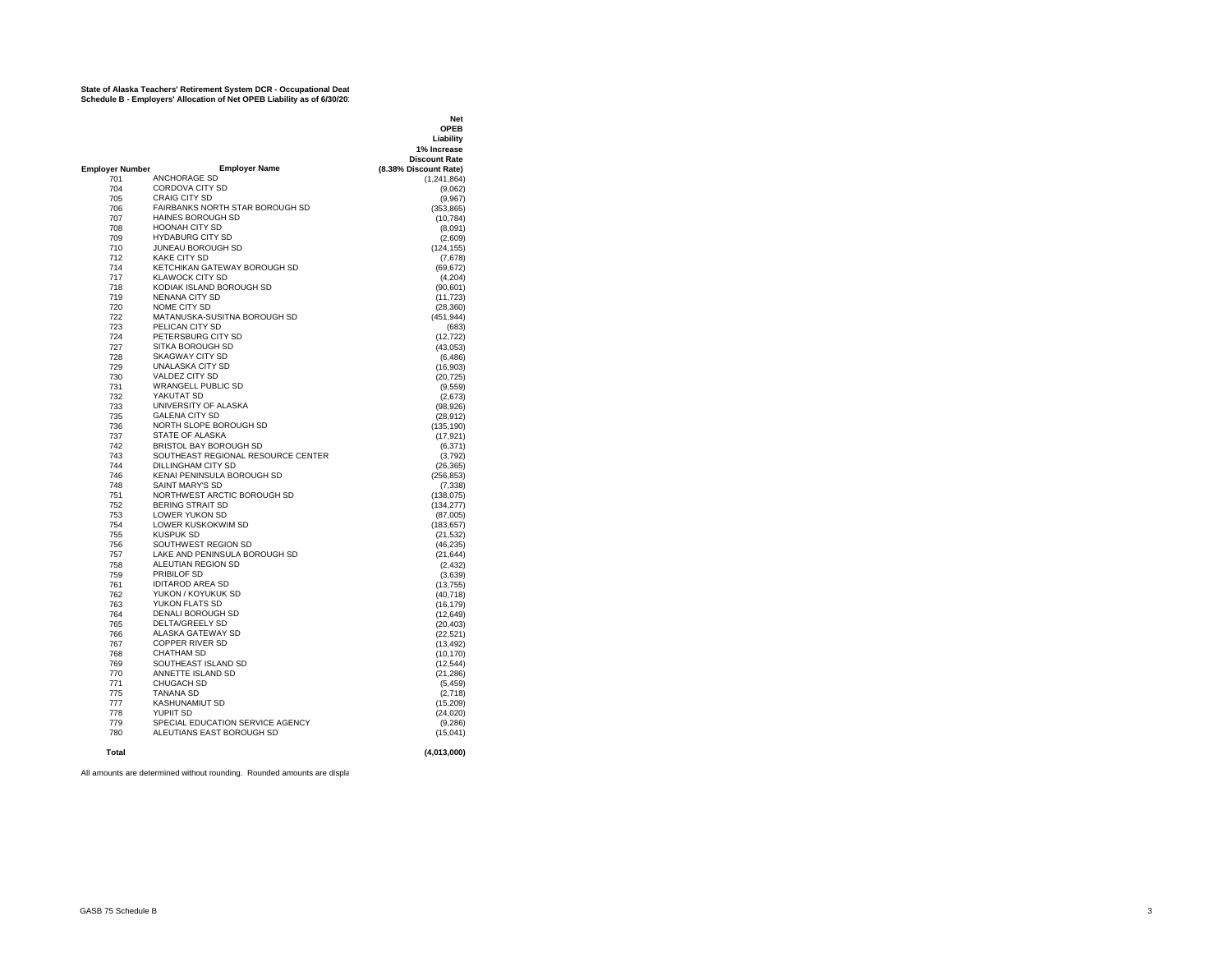#### **State of Alaska Teachers' Retirement System DCR - Occupational Deat Schedule B - Employers' Allocation of Net OPEB Liability as of 6/30/2019**

|                 |                                    | <b>Net</b>            |
|-----------------|------------------------------------|-----------------------|
|                 |                                    | <b>OPEB</b>           |
|                 |                                    | Liability             |
|                 |                                    | 1% Increase           |
|                 |                                    | <b>Discount Rate</b>  |
| Employer Number | <b>Employer Name</b>               | (8.38% Discount Rate) |
| 701             | <b>ANCHORAGE SD</b>                | (1, 241, 864)         |
| 704             | CORDOVA CITY SD                    | (9,062)               |
| 705             | CRAIG CITY SD                      | (9,967)               |
| 706             | FAIRBANKS NORTH STAR BOROUGH SD    | (353, 865)            |
| 707             | HAINES BOROUGH SD                  | (10, 784)             |
| 708             | <b>HOONAH CITY SD</b>              | (8,091)               |
| 709             | <b>HYDABURG CITY SD</b>            | (2,609)               |
| 710             | JUNEAU BOROUGH SD                  | (124, 155)            |
| 712             | <b>KAKE CITY SD</b>                | (7,678)               |
| 714             | KETCHIKAN GATEWAY BOROUGH SD       | (69, 672)             |
| 717             | <b>KLAWOCK CITY SD</b>             | (4,204)               |
| 718             | KODIAK ISLAND BOROUGH SD           | (90, 601)             |
| 719             | <b>NENANA CITY SD</b>              | (11, 723)             |
| 720             | NOME CITY SD                       | (28, 360)             |
| 722             | MATANUSKA-SUSITNA BOROUGH SD       | (451, 944)            |
| 723             | PELICAN CITY SD                    | (683)                 |
| 724             | PETERSBURG CITY SD                 | (12, 722)             |
| 727             | SITKA BOROUGH SD                   | (43, 053)             |
| 728             | <b>SKAGWAY CITY SD</b>             | (6, 486)              |
| 729             | <b>UNALASKA CITY SD</b>            |                       |
| 730             | VALDEZ CITY SD                     | (16,903)<br>(20, 725) |
| 731             | <b>WRANGELL PUBLIC SD</b>          |                       |
|                 |                                    | (9,559)               |
| 732             | YAKUTAT SD                         | (2,673)               |
| 733             | UNIVERSITY OF ALASKA               | (98, 926)             |
| 735             | <b>GALENA CITY SD</b>              | (28, 912)             |
| 736             | NORTH SLOPE BOROUGH SD             | (135,190)             |
| 737             | STATE OF ALASKA                    | (17, 921)             |
| 742             | <b>BRISTOL BAY BOROUGH SD</b>      | (6, 371)              |
| 743             | SOUTHEAST REGIONAL RESOURCE CENTER | (3,792)               |
| 744             | DILLINGHAM CITY SD                 | (26, 365)             |
| 746             | KENAI PENINSULA BOROUGH SD         | (256, 853)            |
| 748             | <b>SAINT MARY'S SD</b>             | (7, 338)              |
| 751             | NORTHWEST ARCTIC BOROUGH SD        | (138, 075)            |
| 752             | <b>BERING STRAIT SD</b>            | (134, 277)            |
| 753             | LOWER YUKON SD                     | (87,005)              |
| 754             | <b>LOWER KUSKOKWIM SD</b>          | (183, 657)            |
| 755             | <b>KUSPUK SD</b>                   | (21, 532)             |
| 756             | SOUTHWEST REGION SD                | (46, 235)             |
| 757             | LAKE AND PENINSULA BOROUGH SD      | (21, 644)             |
| 758             | ALEUTIAN REGION SD                 | (2, 432)              |
| 759             | <b>PRIBILOF SD</b>                 | (3,639)               |
| 761             | <b>IDITAROD AREA SD</b>            | (13, 755)             |
| 762             | YUKON / KOYUKUK SD                 | (40, 718)             |
| 763             | YUKON FLATS SD                     | (16, 179)             |
| 764             | <b>DENALI BOROUGH SD</b>           | (12, 649)             |
| 765             | <b>DELTA/GREELY SD</b>             | (20, 403)             |
| 766             | ALASKA GATEWAY SD                  | (22, 521)             |
| 767             | <b>COPPER RIVER SD</b>             | (13, 492)             |
| 768             | <b>CHATHAM SD</b>                  | (10, 170)             |
| 769             | SOUTHEAST ISLAND SD                | (12, 544)             |
| 770             | ANNETTE ISLAND SD                  | (21, 286)             |
| 771             | CHUGACH SD                         | (5, 459)              |
| 775             | <b>TANANA SD</b>                   | (2,718)               |
| 777             | <b>KASHUNAMIUT SD</b>              | (15, 209)             |
| 778             | <b>YUPIIT SD</b>                   | (24, 020)             |
| 779             | SPECIAL EDUCATION SERVICE AGENCY   | (9,286)               |
| 780             | ALEUTIANS EAST BOROUGH SD          | (15, 041)             |
|                 |                                    |                       |
| Total           |                                    | (4,013,000)           |
|                 |                                    |                       |

All amounts are determined without rounding. Rounded amounts are displa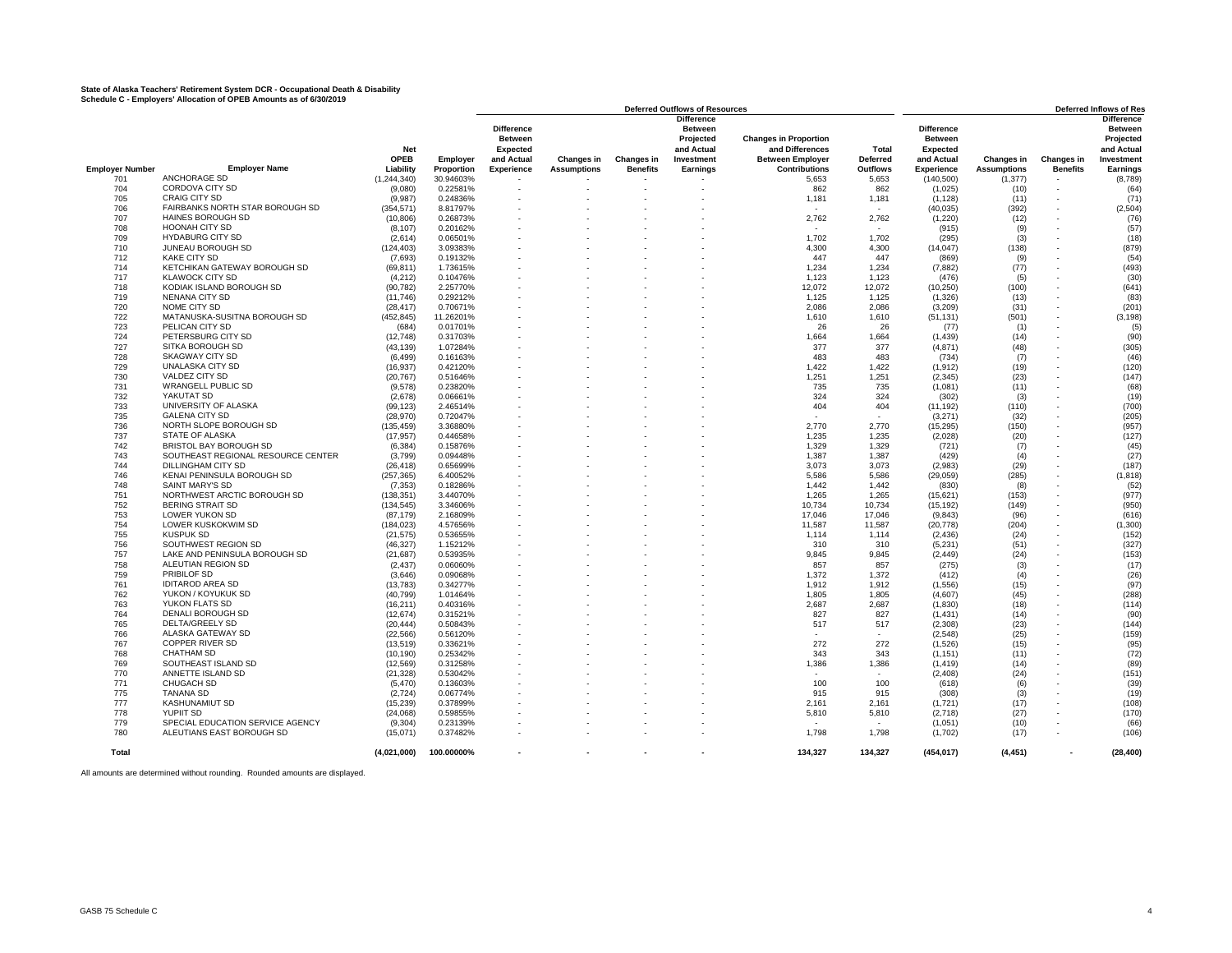# **State of Alaska Teachers' Retirement System DCR - Occupational Death & Disability Schedule C - Employers' Allocation of OPEB Amounts as of 6/30/2019**

|                        |                                    |               |            |                   |                    |                   | <b>Deferred Outflows of Resources</b> |                              |                 |                   |                    |                          | <b>Deferred Inflows of Res</b> |
|------------------------|------------------------------------|---------------|------------|-------------------|--------------------|-------------------|---------------------------------------|------------------------------|-----------------|-------------------|--------------------|--------------------------|--------------------------------|
|                        |                                    |               |            |                   |                    |                   | <b>Difference</b>                     |                              |                 |                   |                    |                          | <b>Difference</b>              |
|                        |                                    |               |            | <b>Difference</b> |                    |                   | <b>Between</b>                        |                              |                 | <b>Difference</b> |                    |                          | <b>Between</b>                 |
|                        |                                    |               |            | <b>Between</b>    |                    |                   | Projected                             | <b>Changes in Proportion</b> |                 | <b>Between</b>    |                    |                          | Projected                      |
|                        |                                    | <b>Net</b>    |            | Expected          |                    |                   | and Actual                            | and Differences              | Total           | Expected          |                    |                          | and Actual                     |
|                        |                                    | <b>OPEB</b>   |            | and Actual        |                    |                   | Investment                            | <b>Between Employer</b>      | <b>Deferred</b> | and Actual        |                    |                          | Investment                     |
|                        |                                    |               | Employer   |                   | <b>Changes in</b>  | <b>Changes in</b> |                                       |                              |                 |                   | Changes in         | <b>Changes in</b>        |                                |
| <b>Employer Number</b> | <b>Employer Name</b>               | Liability     | Proportion | <b>Experience</b> | <b>Assumptions</b> | <b>Benefits</b>   | Earnings                              | <b>Contributions</b>         | <b>Outflows</b> | <b>Experience</b> | <b>Assumptions</b> | <b>Benefits</b>          | Earnings                       |
| 701                    | ANCHORAGE SD                       | (1, 244, 340) | 30.94603%  |                   |                    |                   |                                       | 5,653                        | 5,653           | (140, 500)        | (1, 377)           |                          | (8,789)                        |
| 704                    | <b>CORDOVA CITY SD</b>             | (9.080)       | 0.22581%   |                   |                    |                   |                                       | 862                          | 862             | (1,025)           | (10)               |                          | (64)                           |
| 705                    | <b>CRAIG CITY SD</b>               | (9,987)       | 0.24836%   |                   |                    |                   |                                       | 1,181                        | 1,181           | (1, 128)          | (11)               |                          | (71)                           |
| 706                    | FAIRBANKS NORTH STAR BOROUGH SD    | (354.571)     | 8.81797%   |                   |                    |                   |                                       |                              |                 | (40, 035)         | (392)              |                          | (2,504)                        |
| 707                    | HAINES BOROUGH SD                  | (10, 806)     | 0.26873%   |                   |                    |                   |                                       | 2,762                        | 2,762           | (1,220)           | (12)               | $\overline{\phantom{a}}$ | (76)                           |
|                        |                                    |               |            |                   |                    |                   |                                       |                              |                 |                   |                    |                          |                                |
| 708                    | <b>HOONAH CITY SD</b>              | (8.107)       | 0.20162%   |                   |                    |                   |                                       |                              |                 | (915)             | (9)                |                          | (57)                           |
| 709                    | <b>HYDABURG CITY SD</b>            | (2,614)       | 0.06501%   |                   |                    |                   |                                       | 1,702                        | 1,702           | (295)             | (3)                |                          | (18)                           |
| 710                    | JUNEAU BOROUGH SD                  | (124.403)     | 3.09383%   |                   |                    |                   |                                       | 4,300                        | 4.300           | (14, 047)         | (138)              |                          | (879)                          |
| 712                    | <b>KAKE CITY SD</b>                | (7,693)       | 0.19132%   |                   |                    |                   |                                       | 447                          | 447             | (869)             | (9)                |                          | (54)                           |
| 714                    | KETCHIKAN GATEWAY BOROUGH SD       | (69, 811)     | 1.73615%   |                   |                    |                   |                                       | 1,234                        | 1.234           | (7,882)           | (77)               |                          | (493)                          |
| 717                    | <b>KLAWOCK CITY SD</b>             | (4,212)       | 0.10476%   |                   |                    |                   |                                       | 1,123                        | 1,123           | (476)             | (5)                |                          | (30)                           |
| 718                    | KODIAK ISLAND BOROUGH SD           | (90, 782)     | 2.25770%   |                   |                    |                   |                                       | 12.072                       | 12.072          | (10, 250)         | (100)              |                          | (641)                          |
| 719                    | NENANA CITY SD                     | (11,746)      | 0.29212%   |                   |                    |                   |                                       | 1,125                        | 1,125           | (1,326)           | (13)               |                          | (83)                           |
|                        |                                    |               |            |                   |                    |                   |                                       |                              |                 |                   |                    |                          |                                |
| 720                    | NOME CITY SD                       | (28, 417)     | 0.70671%   |                   |                    |                   |                                       | 2,086                        | 2,086           | (3,209)           | (31)               |                          | (201)                          |
| 722                    | MATANUSKA-SUSITNA BOROUGH SD       | (452, 845)    | 11.26201%  |                   |                    |                   |                                       | 1,610                        | 1,610           | (51, 131)         | (501)              |                          | (3, 198)                       |
| 723                    | PELICAN CITY SD                    | (684)         | 0.01701%   |                   |                    |                   |                                       | 26                           | 26              | (77)              | (1)                |                          | (5)                            |
| 724                    | PETERSBURG CITY SD                 | (12,748)      | 0.31703%   |                   |                    |                   |                                       | 1,664                        | 1,664           | (1, 439)          | (14)               |                          | (90)                           |
| 727                    | SITKA BOROUGH SD                   | (43.139)      | 1.07284%   |                   |                    |                   |                                       | 377                          | 377             | (4, 871)          | (48)               |                          | (305)                          |
| 728                    | <b>SKAGWAY CITY SD</b>             | (6, 499)      | 0.16163%   |                   |                    |                   |                                       | 483                          | 483             | (734)             | (7)                |                          | (46)                           |
| 729                    | <b>UNALASKA CITY SD</b>            |               | 0.42120%   |                   |                    |                   |                                       | 1.422                        | 1.422           |                   |                    |                          |                                |
|                        |                                    | (16, 937)     |            |                   |                    |                   |                                       |                              |                 | (1, 912)          | (19)               |                          | (120)                          |
| 730                    | VALDEZ CITY SD                     | (20, 767)     | 0.51646%   |                   |                    |                   |                                       | 1,251                        | 1,251           | (2, 345)          | (23)               | $\overline{\phantom{a}}$ | (147)                          |
| 731                    | <b>WRANGELL PUBLIC SD</b>          | (9,578)       | 0.23820%   |                   |                    |                   |                                       | 735                          | 735             | (1,081)           | (11)               |                          | (68)                           |
| 732                    | YAKUTAT SD                         | (2,678)       | 0.06661%   |                   |                    |                   |                                       | 324                          | 324             | (302)             | (3)                |                          | (19)                           |
| 733                    | UNIVERSITY OF ALASKA               | (99, 123)     | 2.46514%   |                   |                    |                   |                                       | 404                          | 404             | (11, 192)         | (110)              |                          | (700)                          |
| 735                    | <b>GALENA CITY SD</b>              | (28, 970)     | 0.72047%   |                   |                    |                   |                                       |                              |                 | (3,271)           | (32)               |                          | (205)                          |
| 736                    | NORTH SLOPE BOROUGH SD             | (135.459)     | 3.36880%   |                   |                    |                   |                                       | 2.770                        | 2.770           | (15, 295)         | (150)              |                          | (957)                          |
| 737                    | STATE OF ALASKA                    | (17, 957)     | 0.44658%   |                   |                    |                   |                                       | 1,235                        | 1,235           | (2,028)           | (20)               |                          | (127)                          |
|                        |                                    |               |            |                   |                    |                   |                                       |                              |                 |                   |                    |                          |                                |
| 742                    | <b>BRISTOL BAY BOROUGH SD</b>      | (6, 384)      | 0.15876%   |                   |                    |                   |                                       | 1,329                        | 1,329           | (721)             | (7)                |                          | (45)                           |
| 743                    | SOUTHEAST REGIONAL RESOURCE CENTER | (3,799)       | 0.09448%   |                   |                    |                   |                                       | 1,387                        | 1,387           | (429)             | (4)                |                          | (27)                           |
| 744                    | <b>DILLINGHAM CITY SD</b>          | (26, 418)     | 0.65699%   |                   |                    |                   |                                       | 3,073                        | 3.073           | (2,983)           | (29)               |                          | (187)                          |
| 746                    | KENAI PENINSULA BOROUGH SD         | (257, 365)    | 6.40052%   |                   |                    |                   |                                       | 5,586                        | 5,586           | (29, 059)         | (285)              |                          | (1, 818)                       |
| 748                    | <b>SAINT MARY'S SD</b>             | (7, 353)      | 0.18286%   |                   |                    |                   |                                       | 1.442                        | 1.442           | (830)             | (8)                |                          | (52)                           |
| 751                    | NORTHWEST ARCTIC BOROUGH SD        | (138, 351)    | 3.44070%   |                   |                    |                   |                                       | 1,265                        | 1,265           | (15,621)          | (153)              |                          | (977)                          |
| 752                    | <b>BERING STRAIT SD</b>            | (134, 545)    | 3.34606%   |                   |                    |                   |                                       | 10,734                       | 10,734          | (15, 192)         | (149)              |                          | (950)                          |
| 753                    | LOWER YUKON SD                     | (87, 179)     | 2.16809%   |                   |                    |                   |                                       | 17,046                       | 17,046          | (9,843)           | (96)               |                          | (616)                          |
|                        |                                    |               |            |                   |                    |                   |                                       |                              |                 |                   |                    |                          |                                |
| 754                    | LOWER KUSKOKWIM SD                 | (184, 023)    | 4.57656%   |                   |                    |                   |                                       | 11,587                       | 11,587          | (20, 778)         | (204)              |                          | (1,300)                        |
| 755                    | <b>KUSPUK SD</b>                   | (21, 575)     | 0.53655%   |                   |                    |                   |                                       | 1,114                        | 1.114           | (2, 436)          | (24)               |                          | (152)                          |
| 756                    | SOUTHWEST REGION SD                | (46, 327)     | 1.15212%   |                   |                    |                   |                                       | 310                          | 310             | (5,231)           | (51)               |                          | (327)                          |
| 757                    | LAKE AND PENINSULA BOROUGH SD      | (21, 687)     | 0.53935%   |                   |                    |                   |                                       | 9,845                        | 9.845           | (2, 449)          | (24)               |                          | (153)                          |
| 758                    | ALEUTIAN REGION SD                 | (2, 437)      | 0.06060%   |                   |                    |                   |                                       | 857                          | 857             | (275)             | (3)                |                          | (17)                           |
| 759                    | PRIBILOF SD                        | (3.646)       | 0.09068%   |                   |                    |                   |                                       | 1,372                        | 1.372           | (412)             | (4)                |                          | (26)                           |
| 761                    | <b>IDITAROD AREA SD</b>            | (13,783)      | 0.34277%   |                   |                    |                   |                                       | 1.912                        | 1.912           | (1, 556)          | (15)               |                          | (97)                           |
|                        |                                    |               |            |                   |                    |                   |                                       |                              |                 |                   |                    |                          |                                |
| 762                    | YUKON / KOYUKUK SD                 | (40, 799)     | 1.01464%   |                   |                    |                   |                                       | 1,805                        | 1,805           | (4,607)           | (45)               |                          | (288)                          |
| 763                    | YUKON FLATS SD                     | (16, 211)     | 0.40316%   |                   |                    |                   |                                       | 2,687                        | 2,687           | (1,830)           | (18)               | $\overline{\phantom{a}}$ | (114)                          |
| 764                    | DENALI BOROUGH SD                  | (12, 674)     | 0.31521%   |                   |                    |                   |                                       | 827                          | 827             | (1, 431)          | (14)               |                          | (90)                           |
| 765                    | <b>DELTA/GREELY SD</b>             | (20, 444)     | 0.50843%   |                   |                    |                   |                                       | 517                          | 517             | (2, 308)          | (23)               |                          | (144)                          |
| 766                    | ALASKA GATEWAY SD                  | (22, 566)     | 0.56120%   |                   |                    |                   |                                       |                              |                 | (2,548)           | (25)               |                          | (159)                          |
| 767                    | <b>COPPER RIVER SD</b>             | (13, 519)     | 0.33621%   |                   |                    |                   |                                       | 272                          | 272             | (1,526)           | (15)               |                          | (95)                           |
| 768                    | <b>CHATHAM SD</b>                  | (10, 190)     | 0.25342%   |                   |                    |                   |                                       | 343                          | 343             | (1, 151)          | (11)               |                          | (72)                           |
|                        |                                    |               |            |                   |                    |                   |                                       |                              |                 |                   |                    |                          |                                |
| 769                    | SOUTHEAST ISLAND SD                | (12, 569)     | 0.31258%   |                   |                    |                   |                                       | 1,386                        | 1,386           | (1, 419)          | (14)               |                          | (89)                           |
| 770                    | ANNETTE ISLAND SD                  | (21, 328)     | 0.53042%   |                   |                    |                   |                                       |                              |                 | (2, 408)          | (24)               |                          | (151)                          |
| 771                    | CHUGACH SD                         | (5,470)       | 0.13603%   |                   |                    |                   |                                       | 100                          | 100             | (618)             | (6)                | $\sim$                   | (39)                           |
| 775                    | <b>TANANA SD</b>                   | (2,724)       | 0.06774%   |                   |                    |                   |                                       | 915                          | 915             | (308)             | (3)                |                          | (19)                           |
| 777                    | KASHUNAMIUT SD                     | (15, 239)     | 0.37899%   |                   |                    |                   |                                       | 2,161                        | 2,161           | (1,721)           | (17)               | $\overline{\phantom{a}}$ | (108)                          |
| 778                    | <b>YUPIIT SD</b>                   | (24,068)      | 0.59855%   |                   |                    |                   |                                       | 5,810                        | 5,810           | (2,718)           | (27)               |                          | (170)                          |
| 779                    | SPECIAL EDUCATION SERVICE AGENCY   | (9,304)       | 0.23139%   |                   |                    |                   |                                       |                              |                 | (1,051)           | (10)               |                          | (66)                           |
| 780                    | ALEUTIANS EAST BOROUGH SD          | (15,071)      | 0.37482%   |                   |                    |                   |                                       | 1,798                        | 1,798           | (1,702)           | (17)               |                          | (106)                          |
|                        |                                    |               |            |                   |                    |                   |                                       |                              |                 |                   |                    |                          |                                |
|                        |                                    |               |            |                   |                    |                   |                                       |                              |                 |                   |                    |                          |                                |
| Total                  |                                    | (4,021,000)   | 100.00000% |                   |                    |                   |                                       | 134,327                      | 134,327         | (454, 017)        | (4, 451)           |                          | (28, 400)                      |
|                        |                                    |               |            |                   |                    |                   |                                       |                              |                 |                   |                    |                          |                                |

All amounts are determined without rounding. Rounded amounts are displayed.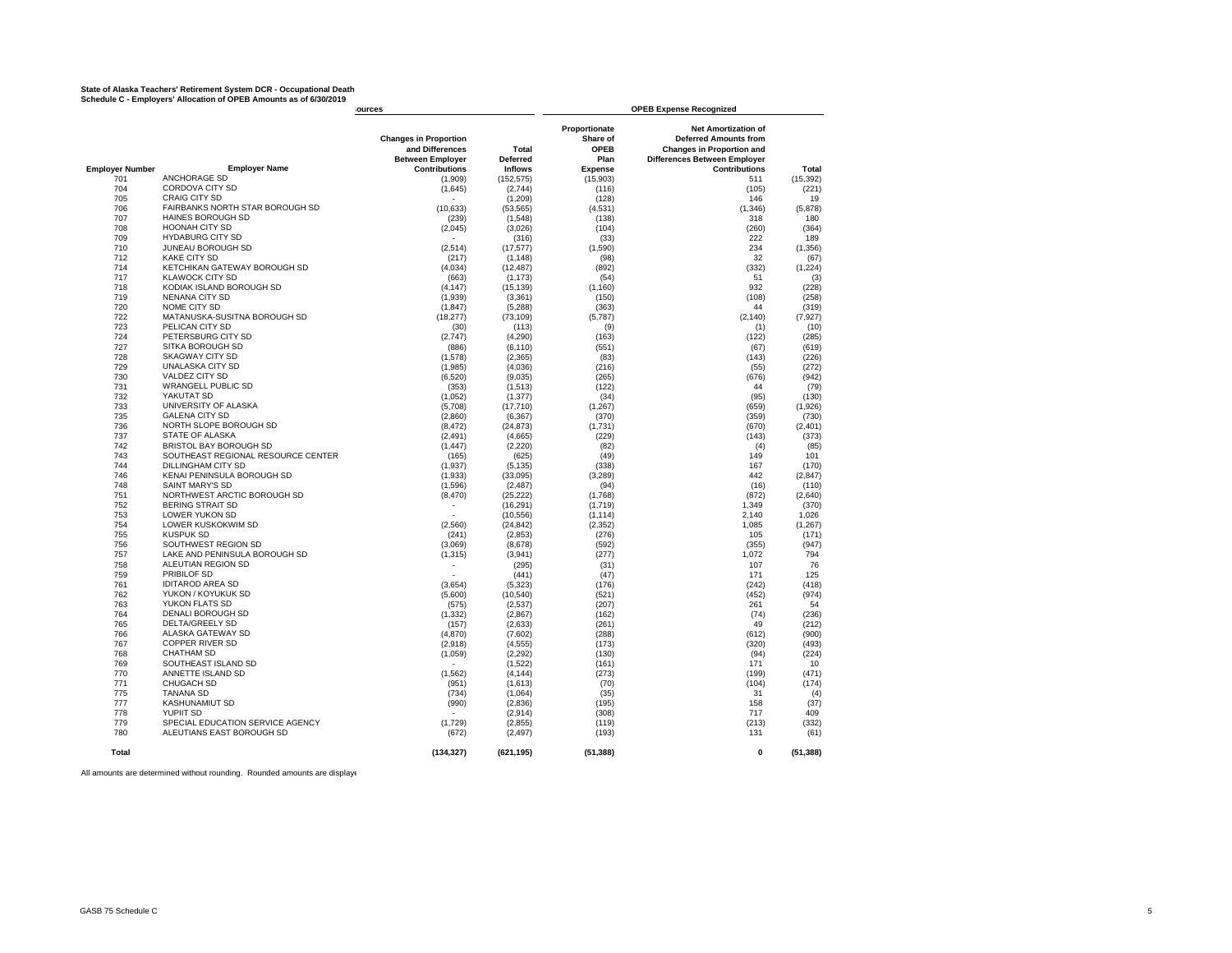## State of Alaska Teachers' Retirement System DCR - Occupational Death<br>Schedule C - Employers' Allocation of OPEB Amounts as of 6/30/2019

|                        |                                             | iources                                                                                            |                                            |                                                                    | <b>OPEB Expense Recognized</b>                                                                                                                                |                |
|------------------------|---------------------------------------------|----------------------------------------------------------------------------------------------------|--------------------------------------------|--------------------------------------------------------------------|---------------------------------------------------------------------------------------------------------------------------------------------------------------|----------------|
| <b>Employer Number</b> | <b>Employer Name</b>                        | <b>Changes in Proportion</b><br>and Differences<br><b>Between Employer</b><br><b>Contributions</b> | Total<br><b>Deferred</b><br><b>Inflows</b> | Proportionate<br>Share of<br><b>OPEB</b><br>Plan<br><b>Expense</b> | <b>Net Amortization of</b><br><b>Deferred Amounts from</b><br><b>Changes in Proportion and</b><br><b>Differences Between Employer</b><br><b>Contributions</b> | Total          |
| 701                    | <b>ANCHORAGE SD</b>                         | (1,909)                                                                                            | (152, 575)                                 | (15,903)                                                           | 511                                                                                                                                                           | (15, 392)      |
| 704                    | CORDOVA CITY SD                             | (1,645)                                                                                            | (2,744)                                    | (116)                                                              | (105)                                                                                                                                                         | (221)          |
| 705                    | <b>CRAIG CITY SD</b>                        |                                                                                                    | (1,209)                                    | (128)                                                              | 146                                                                                                                                                           | 19             |
| 706                    | FAIRBANKS NORTH STAR BOROUGH SD             | (10, 633)                                                                                          | (53, 565)                                  | (4,531)                                                            | (1, 346)                                                                                                                                                      | (5,878)        |
| 707                    | <b>HAINES BOROUGH SD</b>                    | (239)                                                                                              | (1,548)                                    | (138)                                                              | 318                                                                                                                                                           | 180            |
| 708                    | <b>HOONAH CITY SD</b>                       | (2,045)                                                                                            | (3,026)                                    | (104)                                                              | (260)                                                                                                                                                         | (364)          |
| 709                    | <b>HYDABURG CITY SD</b>                     |                                                                                                    | (316)                                      | (33)                                                               | 222                                                                                                                                                           | 189            |
| 710                    | JUNEAU BOROUGH SD                           | (2, 514)                                                                                           | (17, 577)                                  | (1,590)                                                            | 234                                                                                                                                                           | (1, 356)       |
| 712                    | <b>KAKE CITY SD</b>                         | (217)                                                                                              | (1, 148)                                   | (98)                                                               | 32                                                                                                                                                            | (67)           |
| 714                    | KETCHIKAN GATEWAY BOROUGH SD                | (4,034)                                                                                            | (12, 487)                                  | (892)                                                              | (332)                                                                                                                                                         | (1, 224)       |
| 717                    | <b>KLAWOCK CITY SD</b>                      | (663)                                                                                              | (1, 173)                                   | (54)                                                               | 51                                                                                                                                                            | (3)            |
| 718                    | KODIAK ISLAND BOROUGH SD                    | (4, 147)                                                                                           | (15, 139)                                  | (1, 160)                                                           | 932                                                                                                                                                           | (228)          |
| 719                    | NENANA CITY SD                              | (1,939)                                                                                            | (3,361)                                    | (150)                                                              | (108)                                                                                                                                                         | (258)          |
| 720                    | NOME CITY SD                                | (1, 847)                                                                                           | (5,288)                                    | (363)                                                              | 44                                                                                                                                                            | (319)          |
| 722                    | MATANUSKA-SUSITNA BOROUGH SD                | (18, 277)                                                                                          | (73, 109)                                  | (5,787)                                                            | (2, 140)                                                                                                                                                      | (7, 927)       |
| 723                    | PELICAN CITY SD                             | (30)                                                                                               | (113)                                      | (9)                                                                | (1)                                                                                                                                                           | (10)           |
| 724                    | PETERSBURG CITY SD                          | (2,747)                                                                                            | (4,290)                                    | (163)                                                              | (122)                                                                                                                                                         | (285)          |
| 727                    | SITKA BOROUGH SD                            | (886)                                                                                              | (6, 110)                                   | (551)                                                              | (67)                                                                                                                                                          | (619)          |
| 728                    | <b>SKAGWAY CITY SD</b>                      | (1,578)                                                                                            | (2, 365)                                   | (83)                                                               | (143)                                                                                                                                                         | (226)          |
| 729                    | <b>UNALASKA CITY SD</b>                     | (1,985)                                                                                            | (4,036)                                    | (216)                                                              | (55)                                                                                                                                                          | (272)          |
| 730                    | VALDEZ CITY SD                              | (6,520)                                                                                            | (9,035)                                    | (265)                                                              | (676)                                                                                                                                                         | (942)          |
| 731                    | <b>WRANGELL PUBLIC SD</b>                   | (353)                                                                                              | (1,513)                                    | (122)                                                              | 44                                                                                                                                                            | (79)           |
| 732                    | YAKUTAT SD                                  | (1,052)                                                                                            | (1, 377)                                   | (34)                                                               | (95)                                                                                                                                                          | (130)          |
| 733                    | UNIVERSITY OF ALASKA                        | (5,708)                                                                                            | (17, 710)                                  | (1, 267)                                                           | (659)                                                                                                                                                         | (1,926)        |
| 735                    | <b>GALENA CITY SD</b>                       | (2,860)                                                                                            | (6, 367)                                   | (370)                                                              | (359)                                                                                                                                                         | (730)          |
| 736                    | NORTH SLOPE BOROUGH SD                      | (8, 472)                                                                                           | (24, 873)                                  | (1,731)                                                            | (670)                                                                                                                                                         | (2,401)        |
| 737                    | STATE OF ALASKA                             | (2, 491)                                                                                           | (4,665)                                    | (229)                                                              | (143)                                                                                                                                                         | (373)          |
| 742                    | BRISTOL BAY BOROUGH SD                      | (1, 447)                                                                                           | (2, 220)                                   | (82)                                                               | (4)                                                                                                                                                           | (85)           |
| 743                    | SOUTHEAST REGIONAL RESOURCE CENTER          | (165)                                                                                              | (625)                                      | (49)                                                               | 149                                                                                                                                                           | 101            |
| 744                    | DILLINGHAM CITY SD                          | (1,937)                                                                                            | (5, 135)                                   | (338)                                                              | 167                                                                                                                                                           | (170)          |
| 746                    | KENAI PENINSULA BOROUGH SD                  | (1,933)                                                                                            | (33,095)                                   | (3, 289)                                                           | 442                                                                                                                                                           | (2, 847)       |
| 748                    | SAINT MARY'S SD                             | (1,596)                                                                                            | (2, 487)                                   | (94)                                                               | (16)                                                                                                                                                          | (110)          |
| 751                    | NORTHWEST ARCTIC BOROUGH SD                 | (8,470)                                                                                            | (25, 222)                                  | (1,768)                                                            | (872)                                                                                                                                                         | (2,640)        |
| 752                    | <b>BERING STRAIT SD</b>                     |                                                                                                    | (16, 291)                                  | (1,719)                                                            | 1,349                                                                                                                                                         | (370)          |
| 753                    | LOWER YUKON SD                              |                                                                                                    | (10, 556)                                  | (1, 114)                                                           | 2.140                                                                                                                                                         | 1,026          |
| 754                    | <b>LOWER KUSKOKWIM SD</b>                   | (2,560)                                                                                            | (24, 842)                                  | (2, 352)                                                           | 1,085                                                                                                                                                         | (1, 267)       |
| 755                    | <b>KUSPUK SD</b>                            | (241)                                                                                              | (2,853)                                    | (276)                                                              | 105                                                                                                                                                           | (171)          |
| 756                    | SOUTHWEST REGION SD                         | (3,069)                                                                                            | (8,678)                                    | (592)                                                              | (355)                                                                                                                                                         | (947)          |
| 757                    | LAKE AND PENINSULA BOROUGH SD               | (1, 315)                                                                                           | (3,941)                                    | (277)                                                              | 1,072                                                                                                                                                         | 794            |
| 758                    | ALEUTIAN REGION SD                          | $\overline{\phantom{a}}$                                                                           | (295)                                      | (31)                                                               | 107                                                                                                                                                           | 76             |
| 759                    | PRIBILOF SD                                 |                                                                                                    | (441)                                      | (47)                                                               | 171                                                                                                                                                           | 125            |
| 761                    | <b>IDITAROD AREA SD</b>                     | (3,654)                                                                                            | (5, 323)                                   | (176)                                                              | (242)                                                                                                                                                         | (418)          |
| 762                    | YUKON / KOYUKUK SD<br>YUKON FLATS SD        | (5,600)                                                                                            | (10, 540)                                  | (521)                                                              | (452)                                                                                                                                                         | (974)          |
| 763                    |                                             | (575)                                                                                              | (2,537)                                    | (207)                                                              | 261                                                                                                                                                           | 54             |
| 764<br>765             | DENALI BOROUGH SD<br><b>DELTA/GREELY SD</b> | (1, 332)                                                                                           | (2,867)                                    | (162)                                                              | (74)<br>49                                                                                                                                                    | (236)          |
| 766                    | ALASKA GATEWAY SD                           | (157)                                                                                              | (2,633)                                    | (261)                                                              |                                                                                                                                                               | (212)          |
| 767                    | <b>COPPER RIVER SD</b>                      | (4,870)<br>(2,918)                                                                                 | (7,602)                                    | (288)<br>(173)                                                     | (612)<br>(320)                                                                                                                                                | (900)<br>(493) |
| 768                    | <b>CHATHAM SD</b>                           | (1,059)                                                                                            | (4, 555)<br>(2, 292)                       | (130)                                                              | (94)                                                                                                                                                          | (224)          |
| 769                    | SOUTHEAST ISLAND SD                         |                                                                                                    | (1,522)                                    | (161)                                                              | 171                                                                                                                                                           | 10             |
| 770                    | ANNETTE ISLAND SD                           | (1, 562)                                                                                           | (4, 144)                                   | (273)                                                              | (199)                                                                                                                                                         | (471)          |
| 771                    | <b>CHUGACH SD</b>                           | (951)                                                                                              | (1,613)                                    | (70)                                                               | (104)                                                                                                                                                         | (174)          |
| 775                    | <b>TANANA SD</b>                            | (734)                                                                                              | (1,064)                                    | (35)                                                               | 31                                                                                                                                                            | (4)            |
| 777                    | <b>KASHUNAMIUT SD</b>                       | (990)                                                                                              | (2,836)                                    | (195)                                                              | 158                                                                                                                                                           | (37)           |
| 778                    | <b>YUPIIT SD</b>                            |                                                                                                    | (2,914)                                    | (308)                                                              | 717                                                                                                                                                           | 409            |
| 779                    | SPECIAL EDUCATION SERVICE AGENCY            | (1,729)                                                                                            | (2,855)                                    | (119)                                                              | (213)                                                                                                                                                         | (332)          |
| 780                    | ALEUTIANS EAST BOROUGH SD                   | (672)                                                                                              | (2, 497)                                   | (193)                                                              | 131                                                                                                                                                           | (61)           |
| Total                  |                                             | (134, 327)                                                                                         | (621, 195)                                 | (51, 388)                                                          | $\mathbf 0$                                                                                                                                                   | (51, 388)      |

All amounts are determined without rounding. Rounded amounts are displaye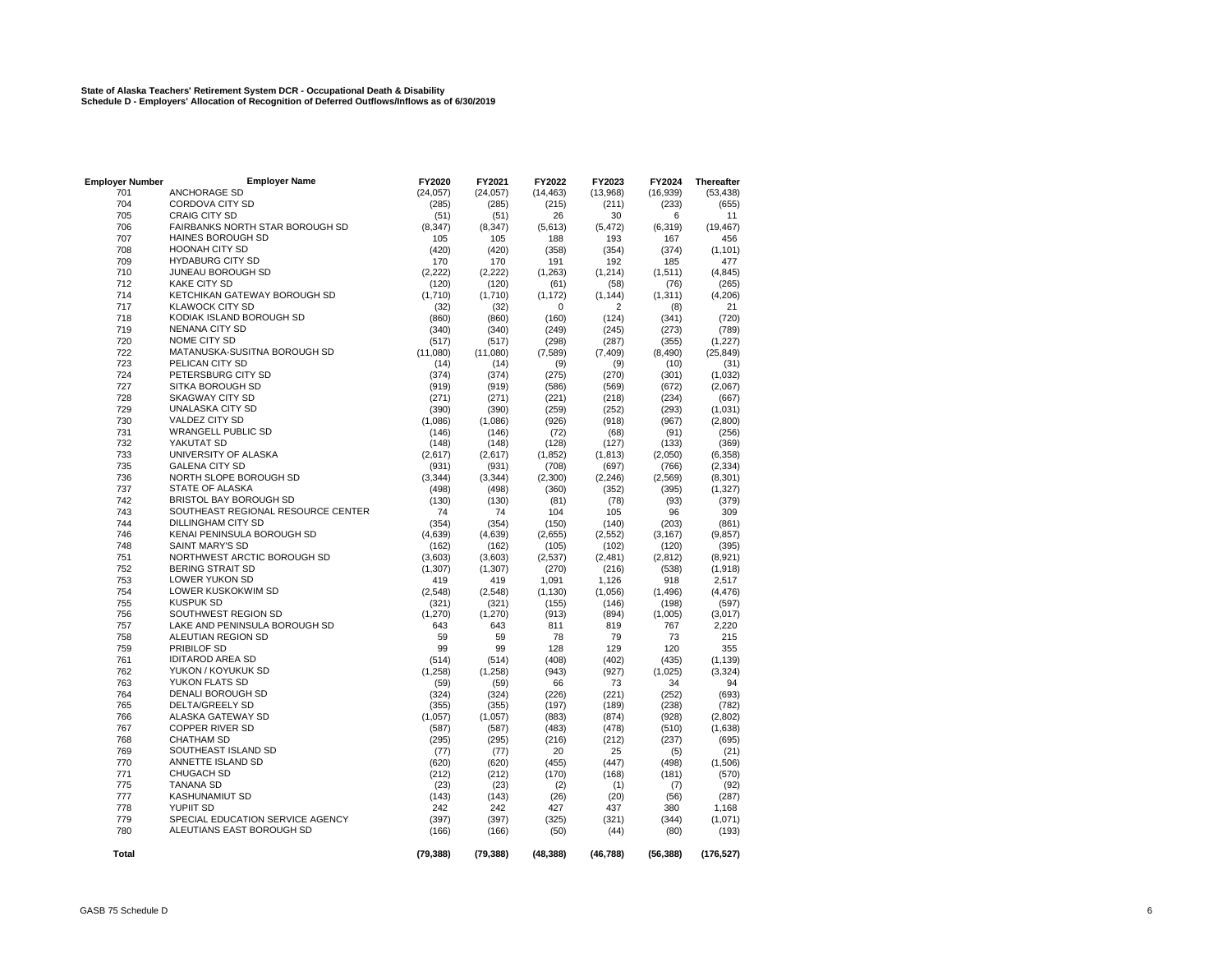# **State of Alaska Teachers' Retirement System DCR - Occupational Death & Disability Schedule D - Employers' Allocation of Recognition of Deferred Outflows/Inflows as of 6/30/2019**

| <b>Employer Number</b> | <b>Employer Name</b>               | FY2020    | FY2021    | FY2022    | FY2023    | FY2024    | <b>Thereafter</b> |
|------------------------|------------------------------------|-----------|-----------|-----------|-----------|-----------|-------------------|
| 701                    | <b>ANCHORAGE SD</b>                | (24, 057) | (24, 057) | (14, 463) | (13,968)  | (16, 939) | (53, 438)         |
| 704                    | CORDOVA CITY SD                    | (285)     | (285)     | (215)     | (211)     | (233)     | (655)             |
| 705                    | <b>CRAIG CITY SD</b>               | (51)      | (51)      | 26        | 30        | 6         | 11                |
| 706                    | FAIRBANKS NORTH STAR BOROUGH SD    | (8, 347)  | (8, 347)  | (5,613)   | (5, 472)  | (6, 319)  | (19, 467)         |
| 707                    | HAINES BOROUGH SD                  | 105       | 105       | 188       | 193       | 167       | 456               |
| 708                    | <b>HOONAH CITY SD</b>              | (420)     | (420)     | (358)     | (354)     | (374)     | (1, 101)          |
| 709                    | <b>HYDABURG CITY SD</b>            | 170       | 170       | 191       | 192       | 185       | 477               |
| 710                    | JUNEAU BOROUGH SD                  | (2, 222)  | (2, 222)  | (1,263)   | (1, 214)  | (1, 511)  | (4, 845)          |
| 712                    | <b>KAKE CITY SD</b>                | (120)     | (120)     | (61)      | (58)      | (76)      | (265)             |
| 714                    | KETCHIKAN GATEWAY BOROUGH SD       | (1,710)   | (1,710)   | (1, 172)  | (1, 144)  | (1, 311)  | (4, 206)          |
| 717                    | <b>KLAWOCK CITY SD</b>             | (32)      | (32)      | 0         | 2         | (8)       | 21                |
| 718                    | KODIAK ISLAND BOROUGH SD           | (860)     | (860)     | (160)     | (124)     | (341)     | (720)             |
| 719                    | <b>NENANA CITY SD</b>              | (340)     | (340)     | (249)     | (245)     | (273)     | (789)             |
| 720                    | NOME CITY SD                       | (517)     | (517)     | (298)     | (287)     | (355)     | (1, 227)          |
| 722                    | MATANUSKA-SUSITNA BOROUGH SD       | (11,080)  | (11,080)  | (7,589)   | (7, 409)  | (8, 490)  | (25, 849)         |
| 723                    | PELICAN CITY SD                    | (14)      | (14)      | (9)       |           | (10)      |                   |
| 724                    | PETERSBURG CITY SD                 |           |           |           | (9)       |           | (31)              |
| 727                    |                                    | (374)     | (374)     | (275)     | (270)     | (301)     | (1,032)           |
|                        | SITKA BOROUGH SD                   | (919)     | (919)     | (586)     | (569)     | (672)     | (2,067)           |
| 728                    | <b>SKAGWAY CITY SD</b>             | (271)     | (271)     | (221)     | (218)     | (234)     | (667)             |
| 729                    | <b>UNALASKA CITY SD</b>            | (390)     | (390)     | (259)     | (252)     | (293)     | (1,031)           |
| 730                    | VALDEZ CITY SD                     | (1,086)   | (1,086)   | (926)     | (918)     | (967)     | (2,800)           |
| 731                    | <b>WRANGELL PUBLIC SD</b>          | (146)     | (146)     | (72)      | (68)      | (91)      | (256)             |
| 732                    | YAKUTAT SD                         | (148)     | (148)     | (128)     | (127)     | (133)     | (369)             |
| 733                    | UNIVERSITY OF ALASKA               | (2,617)   | (2,617)   | (1, 852)  | (1, 813)  | (2,050)   | (6, 358)          |
| 735                    | <b>GALENA CITY SD</b>              | (931)     | (931)     | (708)     | (697)     | (766)     | (2, 334)          |
| 736                    | NORTH SLOPE BOROUGH SD             | (3, 344)  | (3, 344)  | (2,300)   | (2, 246)  | (2, 569)  | (8, 301)          |
| 737                    | STATE OF ALASKA                    | (498)     | (498)     | (360)     | (352)     | (395)     | (1, 327)          |
| 742                    | <b>BRISTOL BAY BOROUGH SD</b>      | (130)     | (130)     | (81)      | (78)      | (93)      | (379)             |
| 743                    | SOUTHEAST REGIONAL RESOURCE CENTER | 74        | 74        | 104       | 105       | 96        | 309               |
| 744                    | DILLINGHAM CITY SD                 | (354)     | (354)     | (150)     | (140)     | (203)     | (861)             |
| 746                    | KENAI PENINSULA BOROUGH SD         | (4, 639)  | (4,639)   | (2,655)   | (2, 552)  | (3, 167)  | (9, 857)          |
| 748                    | <b>SAINT MARY'S SD</b>             | (162)     | (162)     | (105)     | (102)     | (120)     | (395)             |
| 751                    | NORTHWEST ARCTIC BOROUGH SD        | (3,603)   | (3,603)   | (2,537)   | (2, 481)  | (2, 812)  | (8,921)           |
| 752                    | <b>BERING STRAIT SD</b>            | (1, 307)  | (1, 307)  | (270)     | (216)     | (538)     | (1,918)           |
| 753                    | <b>LOWER YUKON SD</b>              | 419       | 419       | 1,091     | 1,126     | 918       | 2,517             |
| 754                    | LOWER KUSKOKWIM SD                 | (2,548)   | (2, 548)  | (1, 130)  | (1,056)   | (1, 496)  | (4, 476)          |
| 755                    | <b>KUSPUK SD</b>                   | (321)     | (321)     | (155)     | (146)     | (198)     | (597)             |
| 756                    | SOUTHWEST REGION SD                | (1, 270)  | (1, 270)  | (913)     | (894)     | (1,005)   | (3,017)           |
| 757                    | LAKE AND PENINSULA BOROUGH SD      | 643       | 643       | 811       | 819       | 767       | 2,220             |
| 758                    | ALEUTIAN REGION SD                 | 59        | 59        | 78        | 79        | 73        | 215               |
| 759                    | PRIBILOF SD                        | 99        | 99        | 128       | 129       | 120       | 355               |
| 761                    | <b>IDITAROD AREA SD</b>            | (514)     | (514)     | (408)     | (402)     | (435)     | (1, 139)          |
| 762                    | YUKON / KOYUKUK SD                 | (1, 258)  | (1, 258)  | (943)     | (927)     | (1,025)   | (3, 324)          |
| 763                    | YUKON FLATS SD                     | (59)      | (59)      | 66        | 73        | 34        | 94                |
| 764                    | DENALI BOROUGH SD                  | (324)     | (324)     | (226)     | (221)     | (252)     | (693)             |
| 765                    | <b>DELTA/GREELY SD</b>             | (355)     | (355)     | (197)     | (189)     | (238)     | (782)             |
| 766                    | ALASKA GATEWAY SD                  | (1,057)   | (1,057)   | (883)     | (874)     | (928)     | (2,802)           |
| 767                    | <b>COPPER RIVER SD</b>             | (587)     | (587)     | (483)     | (478)     | (510)     | (1,638)           |
| 768                    | <b>CHATHAM SD</b>                  | (295)     | (295)     | (216)     | (212)     | (237)     | (695)             |
| 769                    | SOUTHEAST ISLAND SD                | (77)      | (77)      | 20        | 25        | (5)       | (21)              |
| 770                    | ANNETTE ISLAND SD                  | (620)     | (620)     | (455)     | (447)     | (498)     | (1,506)           |
| 771                    | <b>CHUGACH SD</b>                  | (212)     | (212)     | (170)     | (168)     | (181)     | (570)             |
| 775                    | <b>TANANA SD</b>                   | (23)      | (23)      |           |           |           | (92)              |
| 777                    | <b>KASHUNAMIUT SD</b>              |           |           | (2)       | (1)       | (7)       |                   |
|                        | <b>YUPIIT SD</b>                   | (143)     | (143)     | (26)      | (20)      | (56)      | (287)             |
| 778                    |                                    | 242       | 242       | 427       | 437       | 380       | 1,168             |
| 779                    | SPECIAL EDUCATION SERVICE AGENCY   | (397)     | (397)     | (325)     | (321)     | (344)     | (1,071)           |
| 780                    | ALEUTIANS EAST BOROUGH SD          | (166)     | (166)     | (50)      | (44)      | (80)      | (193)             |
| Total                  |                                    | (79, 388) | (79, 388) | (48, 388) | (46, 788) | (56, 388) | (176, 527)        |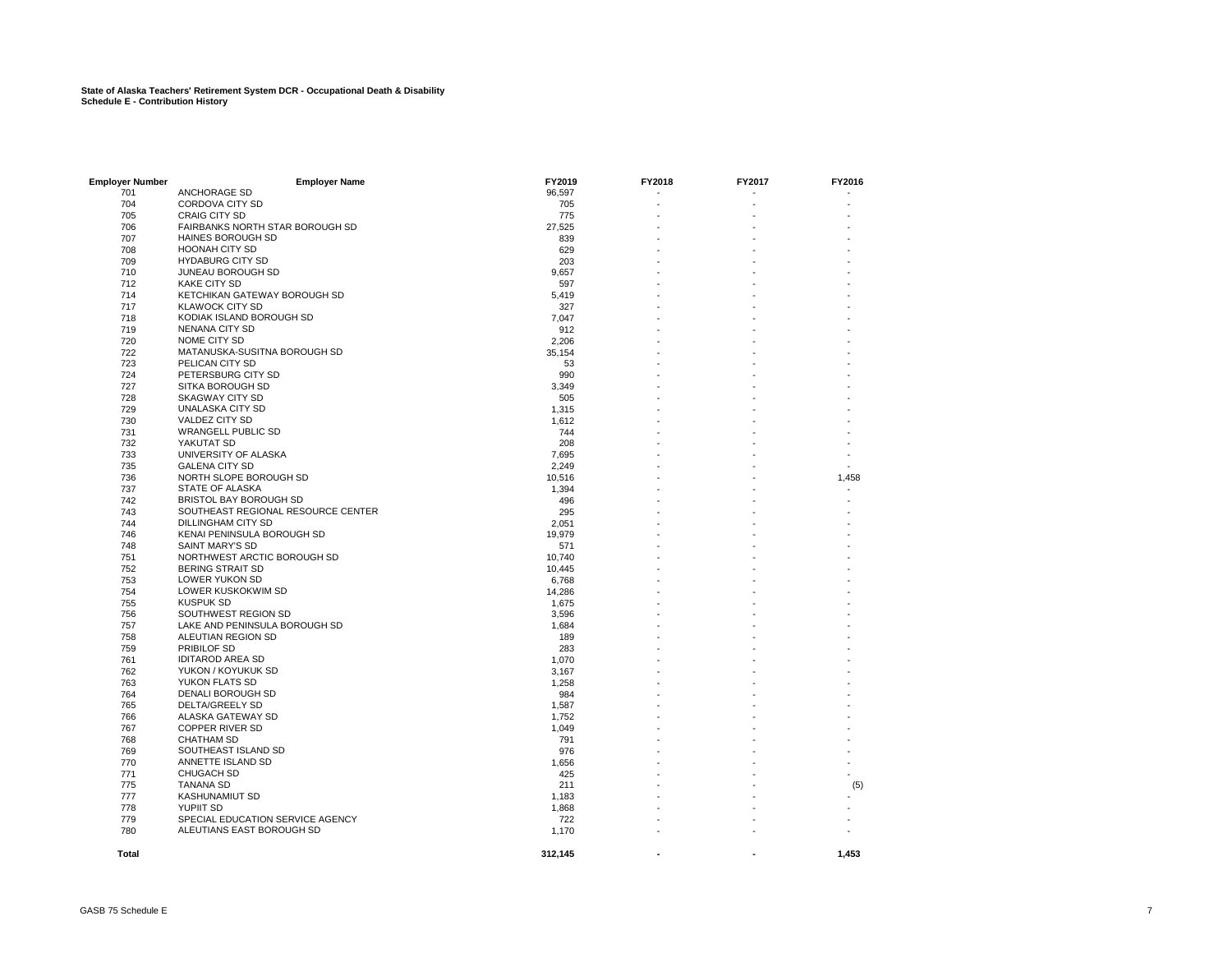| <b>Employer Number</b> | <b>Employer Name</b>                                          | FY2019  | FY2018 | FY2017 | FY2016 |
|------------------------|---------------------------------------------------------------|---------|--------|--------|--------|
| 701                    | ANCHORAGE SD                                                  | 96,597  |        |        |        |
| 704                    | CORDOVA CITY SD                                               | 705     |        |        |        |
| 705                    | <b>CRAIG CITY SD</b>                                          | 775     |        |        |        |
| 706                    | FAIRBANKS NORTH STAR BOROUGH SD                               | 27,525  |        |        |        |
| 707                    | <b>HAINES BOROUGH SD</b>                                      | 839     |        |        |        |
| 708                    | <b>HOONAH CITY SD</b>                                         | 629     |        |        |        |
| 709                    | <b>HYDABURG CITY SD</b>                                       | 203     |        |        |        |
| 710                    | JUNEAU BOROUGH SD                                             | 9,657   |        |        |        |
| 712                    | <b>KAKE CITY SD</b>                                           | 597     |        |        |        |
| 714                    | KETCHIKAN GATEWAY BOROUGH SD                                  | 5,419   |        |        |        |
| 717                    | <b>KLAWOCK CITY SD</b>                                        | 327     |        |        |        |
| 718                    | KODIAK ISLAND BOROUGH SD                                      | 7,047   |        |        |        |
| 719                    | NENANA CITY SD                                                | 912     |        |        |        |
| 720                    | NOME CITY SD                                                  | 2,206   |        |        |        |
| 722                    | MATANUSKA-SUSITNA BOROUGH SD                                  | 35,154  |        |        |        |
| 723                    | PELICAN CITY SD                                               | 53      |        |        |        |
| 724                    | PETERSBURG CITY SD                                            | 990     |        |        |        |
| 727                    | SITKA BOROUGH SD                                              | 3,349   |        |        |        |
| 728                    | <b>SKAGWAY CITY SD</b>                                        | 505     |        |        |        |
| 729                    | UNALASKA CITY SD                                              | 1,315   |        |        |        |
|                        | VALDEZ CITY SD                                                |         |        |        |        |
| 730                    |                                                               | 1,612   |        |        |        |
| 731                    | <b>WRANGELL PUBLIC SD</b>                                     | 744     |        |        |        |
| 732                    | YAKUTAT SD                                                    | 208     |        |        |        |
| 733                    | UNIVERSITY OF ALASKA                                          | 7,695   |        |        |        |
| 735                    | <b>GALENA CITY SD</b>                                         | 2,249   |        |        |        |
| 736                    | NORTH SLOPE BOROUGH SD                                        | 10,516  |        |        | 1,458  |
| 737                    | STATE OF ALASKA                                               | 1,394   |        |        |        |
| 742                    | <b>BRISTOL BAY BOROUGH SD</b>                                 | 496     |        |        |        |
| 743                    | SOUTHEAST REGIONAL RESOURCE CENTER                            | 295     |        |        |        |
| 744                    | DILLINGHAM CITY SD                                            | 2,051   |        |        |        |
| 746                    | KENAI PENINSULA BOROUGH SD                                    | 19,979  |        |        |        |
| 748                    | SAINT MARY'S SD                                               | 571     |        |        |        |
| 751                    | NORTHWEST ARCTIC BOROUGH SD                                   | 10,740  |        |        |        |
| 752                    | <b>BERING STRAIT SD</b>                                       | 10,445  |        |        |        |
| 753                    | LOWER YUKON SD                                                | 6,768   |        |        |        |
| 754                    | LOWER KUSKOKWIM SD                                            | 14,286  |        |        |        |
| 755                    | <b>KUSPUK SD</b>                                              | 1,675   |        |        |        |
| 756                    | SOUTHWEST REGION SD                                           | 3,596   |        |        |        |
| 757                    | LAKE AND PENINSULA BOROUGH SD                                 | 1,684   |        |        |        |
| 758                    | ALEUTIAN REGION SD                                            | 189     |        |        |        |
| 759                    | PRIBILOF SD                                                   | 283     |        |        |        |
| 761                    | <b>IDITAROD AREA SD</b>                                       | 1,070   |        |        |        |
| 762                    | YUKON / KOYUKUK SD                                            | 3,167   |        |        |        |
| 763                    | YUKON FLATS SD                                                | 1,258   |        |        |        |
| 764                    | DENALI BOROUGH SD                                             | 984     |        |        |        |
| 765                    | DELTA/GREELY SD                                               | 1,587   |        |        |        |
| 766                    | ALASKA GATEWAY SD                                             | 1,752   |        |        |        |
| 767                    | <b>COPPER RIVER SD</b>                                        | 1,049   |        |        |        |
| 768                    | <b>CHATHAM SD</b>                                             | 791     |        |        |        |
| 769                    | SOUTHEAST ISLAND SD                                           | 976     |        |        |        |
| 770                    | ANNETTE ISLAND SD                                             | 1,656   |        |        |        |
| 771                    | <b>CHUGACH SD</b>                                             | 425     |        |        |        |
| 775                    | <b>TANANA SD</b>                                              | 211     |        |        |        |
| 777                    | <b>KASHUNAMIUT SD</b>                                         | 1,183   |        |        | (5)    |
| 778                    | YUPIIT SD                                                     | 1,868   |        |        |        |
|                        |                                                               |         |        |        |        |
| 779                    | SPECIAL EDUCATION SERVICE AGENCY<br>ALEUTIANS EAST BOROUGH SD | 722     |        |        |        |
| 780                    |                                                               | 1,170   |        |        |        |
| <b>Total</b>           |                                                               | 312,145 |        |        | 1,453  |
|                        |                                                               |         |        |        |        |